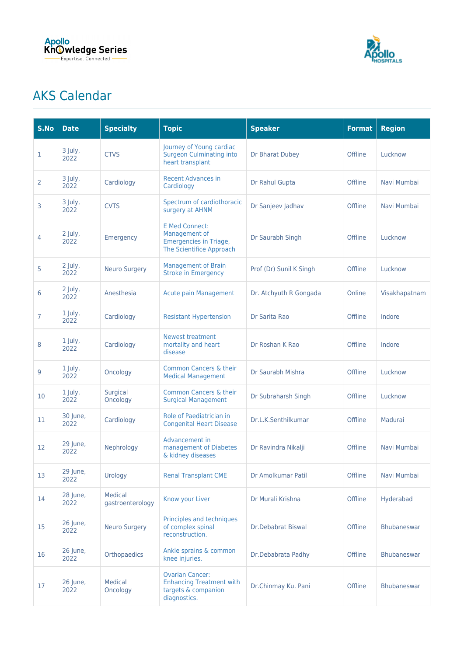



## AKS Calendar

| S.No           | <b>Date</b>       | <b>Specialty</b>                   | <b>Topic</b>                                                                                     | <b>Speaker</b>            | <b>Format</b> | <b>Region</b>      |
|----------------|-------------------|------------------------------------|--------------------------------------------------------------------------------------------------|---------------------------|---------------|--------------------|
| 1              | 3 July,<br>2022   | <b>CTVS</b>                        | Journey of Young cardiac<br><b>Surgeon Culminating into</b><br>heart transplant                  | Dr Bharat Dubey           | Offline       | Lucknow            |
| 2              | 3 July,<br>2022   | Cardiology                         | <b>Recent Advances in</b><br>Cardiology                                                          | Dr Rahul Gupta            | Offline       | Navi Mumbai        |
| 3              | 3 July,<br>2022   | <b>CVTS</b>                        | Spectrum of cardiothoracic<br>surgery at AHNM                                                    | Dr Sanjeev Jadhav         | Offline       | Navi Mumbai        |
| 4              | 2 July,<br>2022   | Emergency                          | <b>E Med Connect:</b><br>Management of<br>Emergencies in Triage,<br>The Scientifice Approach     | Dr Saurabh Singh          | Offline       | Lucknow            |
| 5              | 2 July,<br>2022   | <b>Neuro Surgery</b>               | <b>Management of Brain</b><br><b>Stroke in Emergency</b>                                         | Prof (Dr) Sunil K Singh   | Offline       | Lucknow            |
| 6              | $2$ July,<br>2022 | Anesthesia                         | <b>Acute pain Management</b>                                                                     | Dr. Atchyuth R Gongada    | Online        | Visakhapatnam      |
| $\overline{7}$ | 1 July,<br>2022   | Cardiology                         | <b>Resistant Hypertension</b>                                                                    | Dr Sarita Rao             | Offline       | Indore             |
| 8              | 1 July,<br>2022   | Cardiology                         | <b>Newest treatment</b><br>mortality and heart<br>disease                                        | Dr Roshan K Rao           | Offline       | Indore             |
| 9              | 1 July,<br>2022   | Oncology                           | <b>Common Cancers &amp; their</b><br><b>Medical Management</b>                                   | Dr Saurabh Mishra         | Offline       | Lucknow            |
| 10             | 1 July,<br>2022   | Surgical<br>Oncology               | <b>Common Cancers &amp; their</b><br><b>Surgical Management</b>                                  | Dr Subraharsh Singh       | Offline       | Lucknow            |
| 11             | 30 June,<br>2022  | Cardiology                         | Role of Paediatrician in<br><b>Congenital Heart Disease</b>                                      | Dr.L.K.Senthilkumar       | Offline       | Madurai            |
| 12             | 29 June,<br>2022  | Nephrology                         | Advancement in<br>management of Diabetes<br>& kidney diseases                                    | Dr Ravindra Nikalji       | Offline       | Navi Mumbai        |
| 13             | 29 June,<br>2022  | Urology                            | <b>Renal Transplant CME</b>                                                                      | Dr Amolkumar Patil        | Offline       | Navi Mumbai        |
| 14             | 28 June,<br>2022  | <b>Medical</b><br>gastroenterology | Know your Liver                                                                                  | Dr Murali Krishna         | Offline       | Hyderabad          |
| 15             | 26 June,<br>2022  | <b>Neuro Surgery</b>               | Principles and techniques<br>of complex spinal<br>reconstruction.                                | <b>Dr.Debabrat Biswal</b> | Offline       | <b>Bhubaneswar</b> |
| 16             | 26 June,<br>2022  | Orthopaedics                       | Ankle sprains & common<br>knee injuries.                                                         | Dr.Debabrata Padhy        | Offline       | <b>Bhubaneswar</b> |
| 17             | 26 June,<br>2022  | Medical<br>Oncology                | <b>Ovarian Cancer:</b><br><b>Enhancing Treatment with</b><br>targets & companion<br>diagnostics. | Dr.Chinmay Ku. Pani       | Offline       | Bhubaneswar        |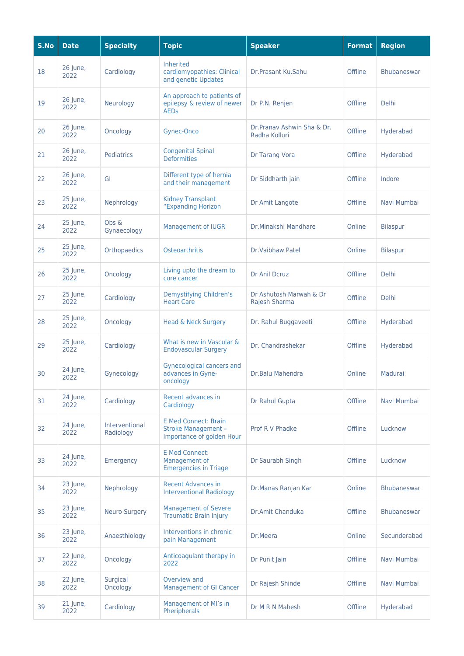| S.No | <b>Date</b>      | <b>Specialty</b>            | <b>Topic</b>                                                                           | <b>Speaker</b>                               | <b>Format</b> | <b>Region</b>      |
|------|------------------|-----------------------------|----------------------------------------------------------------------------------------|----------------------------------------------|---------------|--------------------|
| 18   | 26 June,<br>2022 | Cardiology                  | <b>Inherited</b><br>cardiomyopathies: Clinical<br>and genetic Updates                  | Dr.Prasant Ku.Sahu                           | Offline       | <b>Bhubaneswar</b> |
| 19   | 26 June,<br>2022 | Neurology                   | An approach to patients of<br>epilepsy & review of newer<br><b>AEDs</b>                | Dr P.N. Renjen                               | Offline       | Delhi              |
| 20   | 26 June,<br>2022 | Oncology                    | Gynec-Onco                                                                             | Dr. Pranav Ashwin Sha & Dr.<br>Radha Kolluri | Offline       | Hyderabad          |
| 21   | 26 June,<br>2022 | <b>Pediatrics</b>           | <b>Congenital Spinal</b><br><b>Deformities</b>                                         | Dr Tarang Vora                               | Offline       | Hyderabad          |
| 22   | 26 June,<br>2022 | GI                          | Different type of hernia<br>and their management                                       | Dr Siddharth jain                            | Offline       | Indore             |
| 23   | 25 June,<br>2022 | Nephrology                  | <b>Kidney Transplant</b><br>"Expanding Horizon                                         | Dr Amit Langote                              | Offline       | Navi Mumbai        |
| 24   | 25 June,<br>2022 | Obs &<br>Gynaecology        | <b>Management of IUGR</b>                                                              | Dr.Minakshi Mandhare                         | Online        | <b>Bilaspur</b>    |
| 25   | 25 June,<br>2022 | Orthopaedics                | Osteoarthritis                                                                         | Dr.Vaibhaw Patel                             | Online        | <b>Bilaspur</b>    |
| 26   | 25 June,<br>2022 | Oncology                    | Living upto the dream to<br>cure cancer                                                | Dr Anil Dcruz                                | Offline       | <b>Delhi</b>       |
| 27   | 25 June,<br>2022 | Cardiology                  | Demystifying Children's<br><b>Heart Care</b>                                           | Dr Ashutosh Marwah & Dr<br>Rajesh Sharma     | Offline       | <b>Delhi</b>       |
| 28   | 25 June,<br>2022 | Oncology                    | Head & Neck Surgery                                                                    | Dr. Rahul Buggaveeti                         | Offline       | Hyderabad          |
| 29   | 25 June,<br>2022 | Cardiology                  | What is new in Vascular &<br><b>Endovascular Surgery</b>                               | Dr. Chandrashekar                            | Offline       | Hyderabad          |
| 30   | 24 June,<br>2022 | Gynecology                  | <b>Gynecological cancers and</b><br>advances in Gyne-<br>oncology                      | Dr.Balu Mahendra                             | Online        | Madurai            |
| 31   | 24 June,<br>2022 | Cardiology                  | Recent advances in<br>Cardiology                                                       | Dr Rahul Gupta                               | Offline       | Navi Mumbai        |
| 32   | 24 June,<br>2022 | Interventional<br>Radiology | <b>E Med Connect: Brain</b><br><b>Stroke Management -</b><br>Importance of golden Hour | Prof R V Phadke                              | Offline       | Lucknow            |
| 33   | 24 June,<br>2022 | Emergency                   | <b>E Med Connect:</b><br>Management of<br><b>Emergencies in Triage</b>                 | Dr Saurabh Singh                             | Offline       | Lucknow            |
| 34   | 23 June,<br>2022 | Nephrology                  | <b>Recent Advances in</b><br><b>Interventional Radiology</b>                           | Dr.Manas Ranjan Kar                          | Online        | <b>Bhubaneswar</b> |
| 35   | 23 June,<br>2022 | <b>Neuro Surgery</b>        | <b>Management of Severe</b><br><b>Traumatic Brain Injury</b>                           | Dr.Amit Chanduka                             | Offline       | <b>Bhubaneswar</b> |
| 36   | 23 June,<br>2022 | Anaesthiology               | Interventions in chronic<br>pain Management                                            | Dr.Meera                                     | Online        | Secunderabad       |
| 37   | 22 June,<br>2022 | Oncology                    | Anticoagulant therapy in<br>2022                                                       | Dr Punit Jain                                | Offline       | Navi Mumbai        |
| 38   | 22 June,<br>2022 | Surgical<br>Oncology        | Overview and<br><b>Management of GI Cancer</b>                                         | Dr Rajesh Shinde                             | Offline       | Navi Mumbai        |
| 39   | 21 June,<br>2022 | Cardiology                  | Management of MI's in<br>Pheripherals                                                  | Dr M R N Mahesh                              | Offline       | Hyderabad          |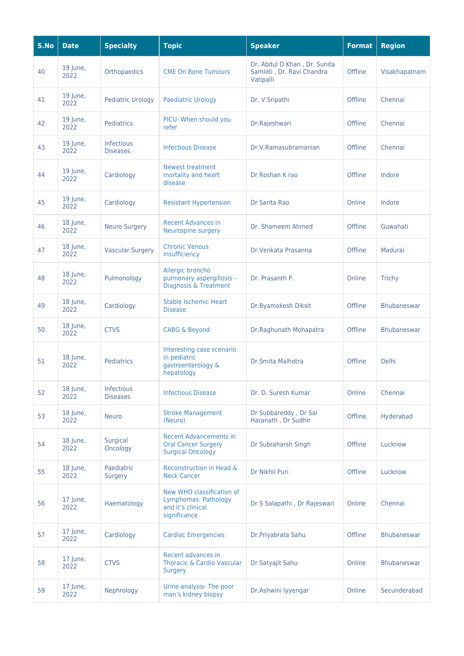| S.No | <b>Date</b>        | <b>Specialty</b>              | <b>Topic</b>                                                                            | <b>Speaker</b>                                                         | <b>Format</b> | <b>Region</b>      |
|------|--------------------|-------------------------------|-----------------------------------------------------------------------------------------|------------------------------------------------------------------------|---------------|--------------------|
| 40   | 19 June,<br>2022   | Orthopaedics                  | <b>CME On Bone Tumours</b>                                                              | Dr. Abdul D Khan, Dr. Sunita<br>Samleti, Dr. Ravi Chandra<br>Vatipalli | Offline       | Visakhapatnam      |
| 41   | $19$ June,<br>2022 | <b>Pediatric Urology</b>      | <b>Paediatric Urology</b>                                                               | Dr. V.Sripathi                                                         | Offline       | Chennai            |
| 42   | 19 June,<br>2022   | Pediatrics                    | PICU- When should you<br>refer                                                          | Dr.Rajeshwari                                                          | Offline       | Chennai            |
| 43   | 19 June,<br>2022   | Infectious<br><b>Diseases</b> | <b>Infectious Disease</b>                                                               | Dr.V.Ramasubramanian                                                   | Offline       | Chennai            |
| 44   | 19 June,<br>2022   | Cardiology                    | <b>Newest treatment</b><br>mortality and heart<br>disease                               | Dr Roshan K rao                                                        | Offline       | Indore             |
| 45   | 19 June,<br>2022   | Cardiology                    | <b>Resistant Hypertension</b>                                                           | Dr Sarita Rao                                                          | Online        | Indore             |
| 46   | 18 June,<br>2022   | <b>Neuro Surgery</b>          | <b>Recent Advances in</b><br>Neurospine surgery                                         | Dr. Shameem Ahmed                                                      | Offline       | Guwahati           |
| 47   | 18 June,<br>2022   | <b>Vascular Surgery</b>       | <b>Chronic Venous</b><br>Insufficiency                                                  | Dr. Venkata Prasanna                                                   | Offline       | Madurai            |
| 48   | 18 June,<br>2022   | Pulmonology                   | Allergic broncho<br>pulmonary aspergillosis -<br><b>Diagnosis &amp; Treatment</b>       | Dr. Prasanth P.                                                        | Online        | <b>Trichy</b>      |
| 49   | 18 June,<br>2022   | Cardiology                    | <b>Stable Ischemic Heart</b><br><b>Disease</b>                                          | Dr.Byamokesh Diksit                                                    | Offline       | <b>Bhubaneswar</b> |
| 50   | 18 June,<br>2022   | <b>CTVS</b>                   | <b>CABG &amp; Beyond</b>                                                                | Dr.Raghunath Mohapatra                                                 | Offline       | <b>Bhubaneswar</b> |
| 51   | 18 June,<br>2022   | <b>Pediatrics</b>             | Interesting case scenario<br>in pediatric<br>gastroenterology &<br>hepatology           | Dr.Smita Malhotra                                                      | Offline       | <b>Delhi</b>       |
| 52   | 18 June,<br>2022   | Infectious<br><b>Diseases</b> | <b>Infectious Disease</b>                                                               | Dr. D. Suresh Kumar                                                    | Online        | Chennai            |
| 53   | 18 June,<br>2022   | <b>Neuro</b>                  | <b>Stroke Management</b><br>(Neuro)                                                     | Dr Subbareddy, Dr Sai<br>Haranath, Dr Sudhir                           | Offline       | Hyderabad          |
| 54   | 18 June,<br>2022   | Surgical<br>Oncology          | <b>Recent Advancements in</b><br><b>Oral Cancer Surgery</b><br><b>Surgical Oncology</b> | Dr Subraharsh Singh                                                    | Offline       | Lucknow            |
| 55   | 18 June,<br>2022   | Paediatric<br>Surgery         | Reconstruction in Head &<br><b>Neck Cancer</b>                                          | Dr Nikhil Puri                                                         | Offline       | Lucknow            |
| 56   | 17 June,<br>2022   | Haematology                   | New WHO classification of<br>Lymphomas- Pathology<br>and it's clinical<br>significance  | Dr S Salapathi, Dr Rajeswari                                           | Online        | Chennai            |
| 57   | 17 June,<br>2022   | Cardiology                    | <b>Cardiac Emergencies</b>                                                              | Dr.Priyabrata Sahu                                                     | Offline       | Bhubaneswar        |
| 58   | 17 June,<br>2022   | <b>CTVS</b>                   | Recent advances in<br>Thoracic & Cardio Vascular<br><b>Surgery</b>                      | Dr.Satyajit Sahu                                                       | Online        | <b>Bhubaneswar</b> |
| 59   | 17 June,<br>2022   | Nephrology                    | Urine analysis- The poor<br>man's kidney biopsy                                         | Dr.Ashwini Iyyengar                                                    | Online        | Secunderabad       |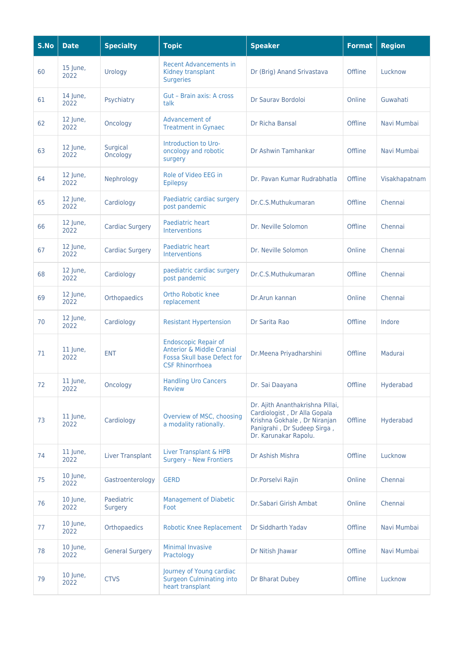| S.No | <b>Date</b>        | <b>Specialty</b>        | <b>Topic</b>                                                                                                                 | <b>Speaker</b>                                                                                                                                           | <b>Format</b> | <b>Region</b> |
|------|--------------------|-------------------------|------------------------------------------------------------------------------------------------------------------------------|----------------------------------------------------------------------------------------------------------------------------------------------------------|---------------|---------------|
| 60   | 15 June,<br>2022   | Urology                 | <b>Recent Advancements in</b><br>Kidney transplant<br><b>Surgeries</b>                                                       | Dr (Brig) Anand Srivastava                                                                                                                               | Offline       | Lucknow       |
| 61   | 14 June,<br>2022   | Psychiatry              | Gut - Brain axis: A cross<br>talk                                                                                            | Dr Saurav Bordoloi                                                                                                                                       | Online        | Guwahati      |
| 62   | 12 June,<br>2022   | Oncology                | Advancement of<br><b>Treatment in Gynaec</b>                                                                                 | Dr Richa Bansal                                                                                                                                          | Offline       | Navi Mumbai   |
| 63   | 12 June,<br>2022   | Surgical<br>Oncology    | Introduction to Uro-<br>oncology and robotic<br>surgery                                                                      | Dr Ashwin Tamhankar                                                                                                                                      | Offline       | Navi Mumbai   |
| 64   | 12 June,<br>2022   | Nephrology              | Role of Video EEG in<br><b>Epilepsy</b>                                                                                      | Dr. Pavan Kumar Rudrabhatla                                                                                                                              | Offline       | Visakhapatnam |
| 65   | 12 June,<br>2022   | Cardiology              | Paediatric cardiac surgery<br>post pandemic                                                                                  | Dr.C.S.Muthukumaran                                                                                                                                      | Offline       | Chennai       |
| 66   | 12 June,<br>2022   | Cardiac Surgery         | Paediatric heart<br>Interventions                                                                                            | Dr. Neville Solomon                                                                                                                                      | Offline       | Chennai       |
| 67   | 12 June,<br>2022   | <b>Cardiac Surgery</b>  | Paediatric heart<br><b>Interventions</b>                                                                                     | Dr. Neville Solomon                                                                                                                                      | Online        | Chennai       |
| 68   | 12 June,<br>2022   | Cardiology              | paediatric cardiac surgery<br>post pandemic                                                                                  | Dr.C.S.Muthukumaran                                                                                                                                      | Offline       | Chennai       |
| 69   | 12 June,<br>2022   | Orthopaedics            | Ortho Robotic knee<br>replacement                                                                                            | Dr.Arun kannan                                                                                                                                           | Online        | Chennai       |
| 70   | 12 June,<br>2022   | Cardiology              | <b>Resistant Hypertension</b>                                                                                                | Dr Sarita Rao                                                                                                                                            | Offline       | Indore        |
| 71   | 11 June,<br>2022   | <b>ENT</b>              | <b>Endoscopic Repair of</b><br><b>Anterior &amp; Middle Cranial</b><br>Fossa Skull base Defect for<br><b>CSF Rhinorrhoea</b> | Dr.Meena Priyadharshini                                                                                                                                  | Offline       | Madurai       |
| 72   | $11$ June,<br>2022 | Oncology                | <b>Handling Uro Cancers</b><br><b>Review</b>                                                                                 | Dr. Sai Daayana                                                                                                                                          | Offline       | Hyderabad     |
| 73   | 11 June,<br>2022   | Cardiology              | Overview of MSC, choosing<br>a modality rationally.                                                                          | Dr. Ajith Ananthakrishna Pillai,<br>Cardiologist, Dr Alla Gopala<br>Krishna Gokhale, Dr Niranjan<br>Panigrahi, Dr Sudeep Sirga,<br>Dr. Karunakar Rapolu. | Offline       | Hyderabad     |
| 74   | 11 June,<br>2022   | <b>Liver Transplant</b> | Liver Transplant & HPB<br><b>Surgery - New Frontiers</b>                                                                     | Dr Ashish Mishra                                                                                                                                         | Offline       | Lucknow       |
| 75   | $10$ June,<br>2022 | Gastroenterology        | <b>GERD</b>                                                                                                                  | Dr.Porselvi Rajin                                                                                                                                        | Online        | Chennai       |
| 76   | 10 June,<br>2022   | Paediatric<br>Surgery   | <b>Management of Diabetic</b><br>Foot                                                                                        | Dr.Sabari Girish Ambat                                                                                                                                   | Online        | Chennai       |
| 77   | 10 June,<br>2022   | Orthopaedics            | <b>Robotic Knee Replacement</b>                                                                                              | Dr Siddharth Yadav                                                                                                                                       | Offline       | Navi Mumbai   |
| 78   | 10 June,<br>2022   | <b>General Surgery</b>  | <b>Minimal Invasive</b><br>Practology                                                                                        | Dr Nitish Jhawar                                                                                                                                         | Offline       | Navi Mumbai   |
| 79   | 10 June,<br>2022   | <b>CTVS</b>             | Journey of Young cardiac<br><b>Surgeon Culminating into</b><br>heart transplant                                              | Dr Bharat Dubey                                                                                                                                          | Offline       | Lucknow       |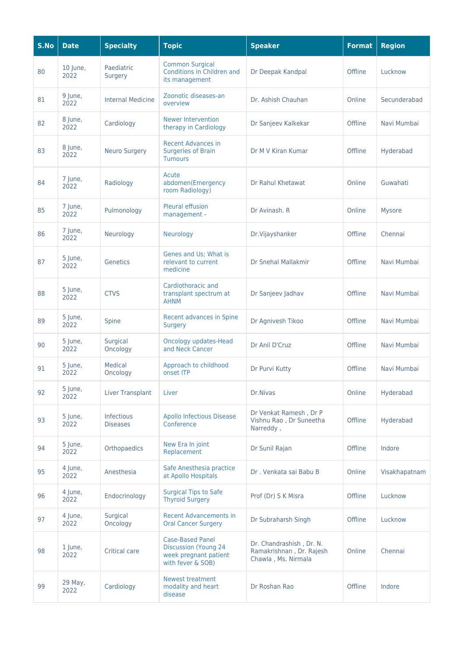| S.No | <b>Date</b>      | <b>Specialty</b>              | <b>Topic</b>                                                                                          | <b>Speaker</b>                                                              | <b>Format</b> | <b>Region</b> |
|------|------------------|-------------------------------|-------------------------------------------------------------------------------------------------------|-----------------------------------------------------------------------------|---------------|---------------|
| 80   | 10 June,<br>2022 | Paediatric<br>Surgery         | <b>Common Surgical</b><br>Conditions in Children and<br>its management                                | Dr Deepak Kandpal                                                           | Offline       | Lucknow       |
| 81   | 9 June,<br>2022  | <b>Internal Medicine</b>      | Zoonotic diseases-an<br>overview                                                                      | Dr. Ashish Chauhan                                                          | Online        | Secunderabad  |
| 82   | 8 June,<br>2022  | Cardiology                    | <b>Newer Intervention</b><br>therapy in Cardiology                                                    | Dr Sanjeev Kalkekar                                                         | Offline       | Navi Mumbai   |
| 83   | 8 June,<br>2022  | <b>Neuro Surgery</b>          | <b>Recent Advances in</b><br><b>Surgeries of Brain</b><br><b>Tumours</b>                              | Dr M V Kiran Kumar                                                          | Offline       | Hyderabad     |
| 84   | 7 June,<br>2022  | Radiology                     | Acute<br>abdomen(Emergency<br>room Radiology)                                                         | Dr Rahul Khetawat                                                           | Online        | Guwahati      |
| 85   | 7 June,<br>2022  | Pulmonology                   | <b>Pleural effusion</b><br>management -                                                               | Dr Avinash, R                                                               | Online        | <b>Mysore</b> |
| 86   | 7 June,<br>2022  | Neurology                     | Neurology                                                                                             | Dr.Vijayshanker                                                             | Offline       | Chennai       |
| 87   | 5 June,<br>2022  | Genetics                      | Genes and Us; What is<br>relevant to current<br>medicine                                              | <b>Dr Snehal Mallakmir</b>                                                  | Offline       | Navi Mumbai   |
| 88   | 5 June,<br>2022  | <b>CTVS</b>                   | Cardiothoracic and<br>transplant spectrum at<br><b>AHNM</b>                                           | Dr Sanjeev Jadhav                                                           | Offline       | Navi Mumbai   |
| 89   | 5 June,<br>2022  | Spine                         | Recent advances in Spine<br><b>Surgery</b>                                                            | Dr Agnivesh Tikoo                                                           | Offline       | Navi Mumbai   |
| 90   | 5 June,<br>2022  | <b>Surgical</b><br>Oncology   | <b>Oncology updates-Head</b><br>and Neck Cancer                                                       | Dr Anil D'Cruz                                                              | Offline       | Navi Mumbai   |
| 91   | 5 June,<br>2022  | Medical<br>Oncology           | Approach to childhood<br>onset ITP                                                                    | Dr Purvi Kutty                                                              | Offline       | Navi Mumbai   |
| 92   | 5 June,<br>2022  | <b>Liver Transplant</b>       | Liver                                                                                                 | Dr.Nivas                                                                    | Online        | Hyderabad     |
| 93   | 5 June,<br>2022  | Infectious<br><b>Diseases</b> | <b>Apollo Infectious Disease</b><br>Conference                                                        | Dr Venkat Ramesh, Dr P<br>Vishnu Rao, Dr Suneetha<br>Narreddy.              | Offline       | Hyderabad     |
| 94   | 5 June,<br>2022  | Orthopaedics                  | New Era In joint<br>Replacement                                                                       | Dr Sunil Rajan                                                              | Offline       | Indore        |
| 95   | 4 June,<br>2022  | Anesthesia                    | Safe Anesthesia practice<br>at Apollo Hospitals                                                       | Dr. Venkata sai Babu B                                                      | Online        | Visakhapatnam |
| 96   | 4 June,<br>2022  | Endocrinology                 | <b>Surgical Tips to Safe</b><br><b>Thyroid Surgery</b>                                                | Prof (Dr) S K Misra                                                         | Offline       | Lucknow       |
| 97   | 4 June,<br>2022  | Surgical<br>Oncology          | <b>Recent Advancements in</b><br><b>Oral Cancer Surgery</b>                                           | Dr Subraharsh Singh                                                         | Offline       | Lucknow       |
| 98   | 1 June,<br>2022  | <b>Critical care</b>          | <b>Case-Based Panel</b><br><b>Discussion (Young 24)</b><br>week pregnant patient<br>with fever & SOB) | Dr. Chandrashish, Dr. N.<br>Ramakrishnan, Dr. Rajesh<br>Chawla, Ms. Nirmala | Online        | Chennai       |
| 99   | 29 May,<br>2022  | Cardiology                    | <b>Newest treatment</b><br>modality and heart<br>disease                                              | Dr Roshan Rao                                                               | Offline       | Indore        |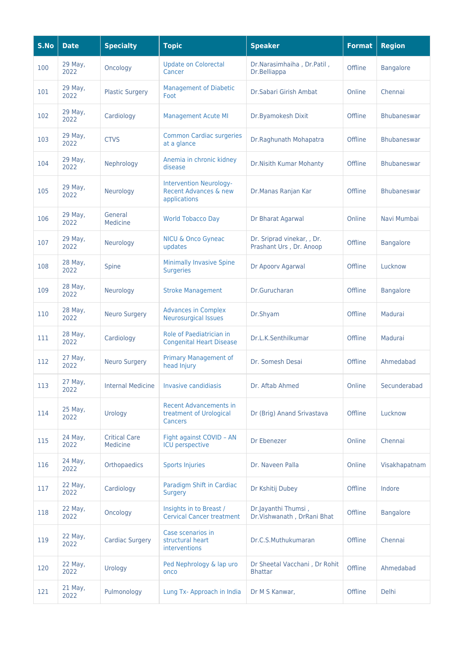| S.No | <b>Date</b>     | <b>Specialty</b>                 | <b>Topic</b>                                                            | <b>Speaker</b>                                        | <b>Format</b> | <b>Region</b>      |
|------|-----------------|----------------------------------|-------------------------------------------------------------------------|-------------------------------------------------------|---------------|--------------------|
| 100  | 29 May,<br>2022 | Oncology                         | <b>Update on Colorectal</b><br>Cancer                                   | Dr.Narasimhaiha, Dr.Patil,<br>Dr.Belliappa            | Offline       | <b>Bangalore</b>   |
| 101  | 29 May,<br>2022 | <b>Plastic Surgery</b>           | <b>Management of Diabetic</b><br>Foot                                   | Dr.Sabari Girish Ambat                                | Online        | Chennai            |
| 102  | 29 May,<br>2022 | Cardiology                       | <b>Management Acute MI</b>                                              | Dr.Byamokesh Dixit                                    | Offline       | <b>Bhubaneswar</b> |
| 103  | 29 May,<br>2022 | <b>CTVS</b>                      | <b>Common Cardiac surgeries</b><br>at a glance                          | Dr.Raghunath Mohapatra                                | Offline       | <b>Bhubaneswar</b> |
| 104  | 29 May,<br>2022 | Nephrology                       | Anemia in chronic kidney<br>disease                                     | Dr.Nisith Kumar Mohanty                               | Offline       | <b>Bhubaneswar</b> |
| 105  | 29 May,<br>2022 | Neurology                        | <b>Intervention Neurology-</b><br>Recent Advances & new<br>applications | Dr.Manas Ranjan Kar                                   | Offline       | <b>Bhubaneswar</b> |
| 106  | 29 May,<br>2022 | General<br>Medicine              | <b>World Tobacco Day</b>                                                | Dr Bharat Agarwal                                     | Online        | Navi Mumbai        |
| 107  | 29 May,<br>2022 | Neurology                        | <b>NICU &amp; Onco Gyneac</b><br>updates                                | Dr. Sriprad vinekar, , Dr.<br>Prashant Urs, Dr. Anoop | Offline       | <b>Bangalore</b>   |
| 108  | 28 May,<br>2022 | Spine                            | <b>Minimally Invasive Spine</b><br><b>Surgeries</b>                     | Dr Apoorv Agarwal                                     | Offline       | Lucknow            |
| 109  | 28 May,<br>2022 | Neurology                        | <b>Stroke Management</b>                                                | Dr.Gurucharan                                         | Offline       | <b>Bangalore</b>   |
| 110  | 28 May,<br>2022 | <b>Neuro Surgery</b>             | <b>Advances in Complex</b><br><b>Neurosurgical Issues</b>               | Dr.Shyam                                              | Offline       | Madurai            |
| 111  | 28 May,<br>2022 | Cardiology                       | Role of Paediatrician in<br><b>Congenital Heart Disease</b>             | Dr.L.K.Senthilkumar                                   | Offline       | Madurai            |
| 112  | 27 May,<br>2022 | <b>Neuro Surgery</b>             | Primary Management of<br>head Injury                                    | Dr. Somesh Desai                                      | Offline       | Ahmedabad          |
| 113  | 27 May,<br>2022 | <b>Internal Medicine</b>         | <b>Invasive candidiasis</b>                                             | Dr. Aftab Ahmed                                       | Online        | Secunderabad       |
| 114  | 25 May,<br>2022 | Urology                          | <b>Recent Advancements in</b><br>treatment of Urological<br>Cancers     | Dr (Brig) Anand Srivastava                            | Offline       | Lucknow            |
| 115  | 24 May,<br>2022 | <b>Critical Care</b><br>Medicine | Fight against COVID - AN<br><b>ICU</b> perspective                      | Dr Ebenezer                                           | Online        | Chennai            |
| 116  | 24 May,<br>2022 | Orthopaedics                     | <b>Sports Injuries</b>                                                  | Dr. Naveen Palla                                      | Online        | Visakhapatnam      |
| 117  | 22 May,<br>2022 | Cardiology                       | Paradigm Shift in Cardiac<br>Surgery                                    | Dr Kshitij Dubey                                      | Offline       | Indore             |
| 118  | 22 May,<br>2022 | Oncology                         | Insights in to Breast /<br><b>Cervical Cancer treatment</b>             | Dr.Jayanthi Thumsi,<br>Dr.Vishwanath, DrRani Bhat     | Offline       | <b>Bangalore</b>   |
| 119  | 22 May,<br>2022 | <b>Cardiac Surgery</b>           | Case scenarios in<br>structural heart<br>interventions                  | Dr.C.S.Muthukumaran                                   | Offline       | Chennai            |
| 120  | 22 May,<br>2022 | Urology                          | Ped Nephrology & lap uro<br>onco                                        | Dr Sheetal Vacchani, Dr Rohit<br><b>Bhattar</b>       | Offline       | Ahmedabad          |
| 121  | 21 May,<br>2022 | Pulmonology                      | Lung Tx- Approach in India                                              | Dr M S Kanwar,                                        | Offline       | Delhi              |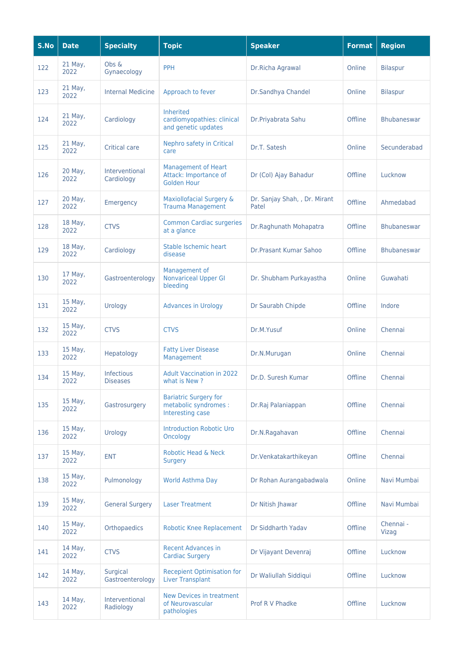| S.No | <b>Date</b>     | <b>Specialty</b>              | <b>Topic</b>                                                              | <b>Speaker</b>                         | <b>Format</b> | <b>Region</b>      |
|------|-----------------|-------------------------------|---------------------------------------------------------------------------|----------------------------------------|---------------|--------------------|
| 122  | 21 May,<br>2022 | Obs &<br>Gynaecology          | PPH                                                                       | Dr.Richa Agrawal                       | Online        | <b>Bilaspur</b>    |
| 123  | 21 May,<br>2022 | <b>Internal Medicine</b>      | Approach to fever                                                         | Dr.Sandhya Chandel                     | Online        | <b>Bilaspur</b>    |
| 124  | 21 May,<br>2022 | Cardiology                    | Inherited<br>cardiomyopathies: clinical<br>and genetic updates            | Dr.Priyabrata Sahu                     | Offline       | <b>Bhubaneswar</b> |
| 125  | 21 May,<br>2022 | <b>Critical care</b>          | Nephro safety in Critical<br>care                                         | Dr.T. Satesh                           | Online        | Secunderabad       |
| 126  | 20 May,<br>2022 | Interventional<br>Cardiology  | <b>Management of Heart</b><br>Attack: Importance of<br><b>Golden Hour</b> | Dr (Col) Ajay Bahadur                  | Offline       | Lucknow            |
| 127  | 20 May,<br>2022 | Emergency                     | Maxiollofacial Surgery &<br><b>Trauma Management</b>                      | Dr. Sanjay Shah, , Dr. Mirant<br>Patel | Offline       | Ahmedabad          |
| 128  | 18 May,<br>2022 | <b>CTVS</b>                   | <b>Common Cardiac surgeries</b><br>at a glance                            | Dr.Raghunath Mohapatra                 | Offline       | <b>Bhubaneswar</b> |
| 129  | 18 May,<br>2022 | Cardiology                    | Stable Ischemic heart<br>disease                                          | Dr. Prasant Kumar Sahoo                | Offline       | <b>Bhubaneswar</b> |
| 130  | 17 May,<br>2022 | Gastroenterology              | Management of<br><b>Nonvariceal Upper GI</b><br>bleeding                  | Dr. Shubham Purkayastha                | Online        | Guwahati           |
| 131  | 15 May,<br>2022 | Urology                       | <b>Advances in Urology</b>                                                | Dr Saurabh Chipde                      | Offline       | Indore             |
| 132  | 15 May,<br>2022 | <b>CTVS</b>                   | <b>CTVS</b>                                                               | Dr.M.Yusuf                             | Online        | Chennai            |
| 133  | 15 May,<br>2022 | Hepatology                    | <b>Fatty Liver Disease</b><br>Management                                  | Dr.N.Murugan                           | Online        | Chennai            |
| 134  | 15 May,<br>2022 | Infectious<br><b>Diseases</b> | <b>Adult Vaccination in 2022</b><br>what is New?                          | Dr.D. Suresh Kumar                     | Offline       | Chennai            |
| 135  | 15 May,<br>2022 | Gastrosurgery                 | <b>Bariatric Surgery for</b><br>metabolic syndromes :<br>Interesting case | Dr.Raj Palaniappan                     | Offline       | Chennai            |
| 136  | 15 May,<br>2022 | Urology                       | <b>Introduction Robotic Uro</b><br>Oncology                               | Dr.N.Ragahavan                         | Offline       | Chennai            |
| 137  | 15 May,<br>2022 | <b>ENT</b>                    | Robotic Head & Neck<br><b>Surgery</b>                                     | Dr.Venkatakarthikeyan                  | Offline       | Chennai            |
| 138  | 15 May,<br>2022 | Pulmonology                   | World Asthma Day                                                          | Dr Rohan Aurangabadwala                | Online        | Navi Mumbai        |
| 139  | 15 May,<br>2022 | <b>General Surgery</b>        | <b>Laser Treatment</b>                                                    | Dr Nitish Jhawar                       | Offline       | Navi Mumbai        |
| 140  | 15 May,<br>2022 | Orthopaedics                  | <b>Robotic Knee Replacement</b>                                           | Dr Siddharth Yadav                     | Offline       | Chennai -<br>Vizag |
| 141  | 14 May,<br>2022 | <b>CTVS</b>                   | <b>Recent Advances in</b><br><b>Cardiac Surgery</b>                       | Dr Vijayant Devenraj                   | Offline       | Lucknow            |
| 142  | 14 May,<br>2022 | Surgical<br>Gastroenterology  | <b>Recepient Optimisation for</b><br><b>Liver Transplant</b>              | Dr Waliullah Siddiqui                  | Offline       | Lucknow            |
| 143  | 14 May,<br>2022 | Interventional<br>Radiology   | New Devices in treatment<br>of Neurovascular<br>pathologies               | Prof R V Phadke                        | Offline       | Lucknow            |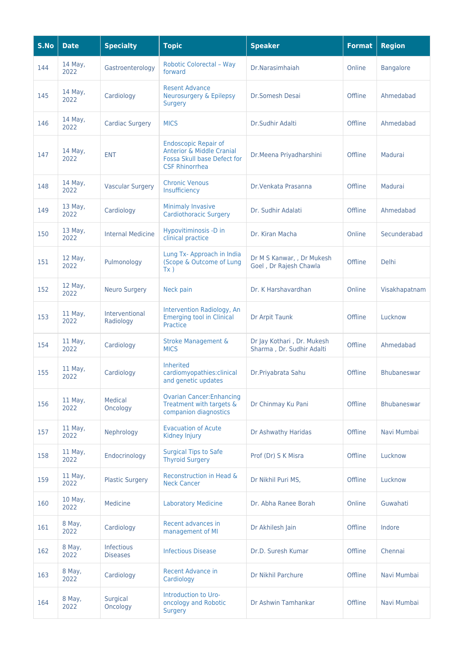| S.No | <b>Date</b>       | <b>Specialty</b>                     | <b>Topic</b>                                                                                                                | <b>Speaker</b>                                          | <b>Format</b> | <b>Region</b>      |
|------|-------------------|--------------------------------------|-----------------------------------------------------------------------------------------------------------------------------|---------------------------------------------------------|---------------|--------------------|
| 144  | 14 May,<br>2022   | Gastroenterology                     | <b>Robotic Colorectal - Way</b><br>forward                                                                                  | Dr.Narasimhaiah                                         | Online        | <b>Bangalore</b>   |
| 145  | 14 May,<br>2022   | Cardiology                           | <b>Resent Advance</b><br><b>Neurosurgery &amp; Epilepsy</b><br><b>Surgery</b>                                               | Dr.Somesh Desai                                         | Offline       | Ahmedabad          |
| 146  | 14 May,<br>2022   | <b>Cardiac Surgery</b>               | <b>MICS</b>                                                                                                                 | Dr.Sudhir Adalti                                        | Offline       | Ahmedabad          |
| 147  | 14 May,<br>2022   | <b>ENT</b>                           | <b>Endoscopic Repair of</b><br><b>Anterior &amp; Middle Cranial</b><br>Fossa Skull base Defect for<br><b>CSF Rhinorrhea</b> | Dr.Meena Priyadharshini                                 | Offline       | Madurai            |
| 148  | 14 May,<br>2022   | <b>Vascular Surgery</b>              | <b>Chronic Venous</b><br>Insufficiency                                                                                      | Dr. Venkata Prasanna                                    | Offline       | Madurai            |
| 149  | 13 May,<br>2022   | Cardiology                           | <b>Minimaly Invasive</b><br><b>Cardiothoracic Surgery</b>                                                                   | Dr. Sudhir Adalati                                      | Offline       | Ahmedabad          |
| 150  | 13 May,<br>2022   | <b>Internal Medicine</b>             | Hypovitiminosis -D in<br>clinical practice                                                                                  | Dr. Kiran Macha                                         | Online        | Secunderabad       |
| 151  | 12 May,<br>2022   | Pulmonology                          | Lung Tx- Approach in India<br>(Scope & Outcome of Lung<br>Tx )                                                              | Dr M S Kanwar, , Dr Mukesh<br>Goel, Dr Rajesh Chawla    | Offline       | Delhi              |
| 152  | 12 May,<br>2022   | <b>Neuro Surgery</b>                 | Neck pain                                                                                                                   | Dr. K Harshavardhan                                     | Online        | Visakhapatnam      |
| 153  | 11 May,<br>2022   | Interventional<br>Radiology          | Intervention Radiology, An<br><b>Emerging tool in Clinical</b><br>Practice                                                  | Dr Arpit Taunk                                          | Offline       | Lucknow            |
| 154  | 11 May,<br>2022   | Cardiology                           | <b>Stroke Management &amp;</b><br><b>MICS</b>                                                                               | Dr Jay Kothari, Dr. Mukesh<br>Sharma, Dr. Sudhir Adalti | Offline       | Ahmedabad          |
| 155  | 11 May,<br>2022   | Cardiology                           | <b>Inherited</b><br>cardiomyopathies:clinical<br>and genetic updates                                                        | Dr.Priyabrata Sahu                                      | Offline       | <b>Bhubaneswar</b> |
| 156  | $11$ May,<br>2022 | Medical<br>Oncology                  | <b>Ovarian Cancer: Enhancing</b><br>Treatment with targets &<br>companion diagnostics                                       | Dr Chinmay Ku Pani                                      | Offline       | <b>Bhubaneswar</b> |
| 157  | $11$ May,<br>2022 | Nephrology                           | <b>Evacuation of Acute</b><br>Kidney Injury                                                                                 | Dr Ashwathy Haridas                                     | Offline       | Navi Mumbai        |
| 158  | 11 May,<br>2022   | Endocrinology                        | <b>Surgical Tips to Safe</b><br><b>Thyroid Surgery</b>                                                                      | Prof (Dr) S K Misra                                     | Offline       | Lucknow            |
| 159  | 11 May,<br>2022   | <b>Plastic Surgery</b>               | Reconstruction in Head &<br><b>Neck Cancer</b>                                                                              | Dr Nikhil Puri MS,                                      | Offline       | Lucknow            |
| 160  | 10 May,<br>2022   | Medicine                             | <b>Laboratory Medicine</b>                                                                                                  | Dr. Abha Ranee Borah                                    | Online        | Guwahati           |
| 161  | 8 May,<br>2022    | Cardiology                           | Recent advances in<br>management of MI                                                                                      | Dr Akhilesh Jain                                        | Offline       | Indore             |
| 162  | 8 May,<br>2022    | <b>Infectious</b><br><b>Diseases</b> | <b>Infectious Disease</b>                                                                                                   | Dr.D. Suresh Kumar                                      | Offline       | Chennai            |
| 163  | 8 May,<br>2022    | Cardiology                           | <b>Recent Advance in</b><br>Cardiology                                                                                      | Dr Nikhil Parchure                                      | Offline       | Navi Mumbai        |
| 164  | 8 May,<br>2022    | Surgical<br>Oncology                 | Introduction to Uro-<br>oncology and Robotic<br><b>Surgery</b>                                                              | Dr Ashwin Tamhankar                                     | Offline       | Navi Mumbai        |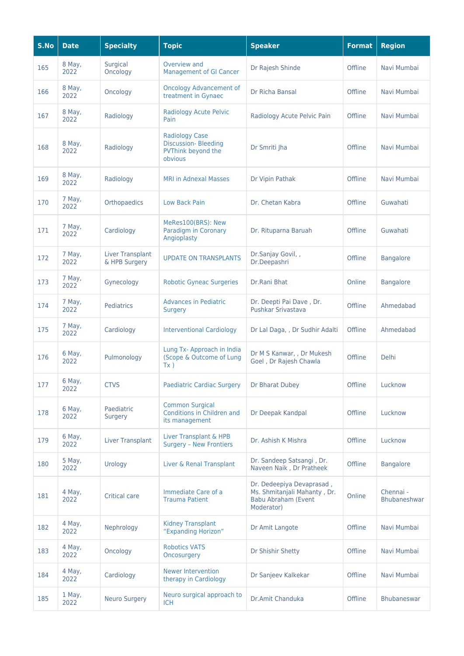| S.No | <b>Date</b>    | <b>Specialty</b>                  | <b>Topic</b>                                                                         | <b>Speaker</b>                                                                                        | <b>Format</b> | <b>Region</b>             |
|------|----------------|-----------------------------------|--------------------------------------------------------------------------------------|-------------------------------------------------------------------------------------------------------|---------------|---------------------------|
| 165  | 8 May,<br>2022 | Surgical<br>Oncology              | Overview and<br><b>Management of GI Cancer</b>                                       | Dr Rajesh Shinde                                                                                      | Offline       | Navi Mumbai               |
| 166  | 8 May,<br>2022 | Oncology                          | <b>Oncology Advancement of</b><br>treatment in Gynaec                                | Dr Richa Bansal                                                                                       | Offline       | Navi Mumbai               |
| 167  | 8 May,<br>2022 | Radiology                         | <b>Radiology Acute Pelvic</b><br>Pain                                                | Radiology Acute Pelvic Pain                                                                           | Offline       | Navi Mumbai               |
| 168  | 8 May,<br>2022 | Radiology                         | <b>Radiology Case</b><br><b>Discussion-Bleeding</b><br>PVThink beyond the<br>obvious | Dr Smriti Jha                                                                                         | Offline       | Navi Mumbai               |
| 169  | 8 May,<br>2022 | Radiology                         | <b>MRI in Adnexal Masses</b>                                                         | Dr Vipin Pathak                                                                                       | Offline       | Navi Mumbai               |
| 170  | 7 May,<br>2022 | Orthopaedics                      | <b>Low Back Pain</b>                                                                 | Dr. Chetan Kabra                                                                                      | Offline       | Guwahati                  |
| 171  | 7 May,<br>2022 | Cardiology                        | MeRes100(BRS): New<br>Paradigm in Coronary<br>Angioplasty                            | Dr. Rituparna Baruah                                                                                  | Offline       | Guwahati                  |
| 172  | 7 May,<br>2022 | Liver Transplant<br>& HPB Surgery | <b>UPDATE ON TRANSPLANTS</b>                                                         | Dr.Sanjay Govil, ,<br>Dr.Deepashri                                                                    | Offline       | <b>Bangalore</b>          |
| 173  | 7 May,<br>2022 | Gynecology                        | <b>Robotic Gyneac Surgeries</b>                                                      | Dr.Rani Bhat                                                                                          | Online        | <b>Bangalore</b>          |
| 174  | 7 May,<br>2022 | <b>Pediatrics</b>                 | <b>Advances in Pediatric</b><br><b>Surgery</b>                                       | Dr. Deepti Pai Dave, Dr.<br>Pushkar Srivastava                                                        | Offline       | Ahmedabad                 |
| 175  | 7 May,<br>2022 | Cardiology                        | <b>Interventional Cardiology</b>                                                     | Dr Lal Daga, , Dr Sudhir Adalti                                                                       | Offline       | Ahmedabad                 |
| 176  | 6 May,<br>2022 | Pulmonology                       | Lung Tx- Approach in India<br>(Scope & Outcome of Lung<br>Tx)                        | Dr M S Kanwar, , Dr Mukesh<br>Goel, Dr Rajesh Chawla                                                  | Offline       | Delhi                     |
| 177  | 6 May,<br>2022 | <b>CTVS</b>                       | <b>Paediatric Cardiac Surgery</b>                                                    | Dr Bharat Dubey                                                                                       | Offline       | Lucknow                   |
| 178  | 6 May,<br>2022 | Paediatric<br><b>Surgery</b>      | <b>Common Surgical</b><br>Conditions in Children and<br>its management               | Dr Deepak Kandpal                                                                                     | Offline       | Lucknow                   |
| 179  | 6 May,<br>2022 | <b>Liver Transplant</b>           | Liver Transplant & HPB<br><b>Surgery - New Frontiers</b>                             | Dr. Ashish K Mishra                                                                                   | Offline       | Lucknow                   |
| 180  | 5 May,<br>2022 | Urology                           | Liver & Renal Transplant                                                             | Dr. Sandeep Satsangi, Dr.<br>Naveen Naik, Dr Pratheek                                                 | Offline       | <b>Bangalore</b>          |
| 181  | 4 May,<br>2022 | <b>Critical care</b>              | Immediate Care of a<br><b>Trauma Patient</b>                                         | Dr. Dedeepiya Devaprasad,<br>Ms. Shmitanjali Mahanty, Dr.<br><b>Babu Abraham (Event</b><br>Moderator) | Online        | Chennai -<br>Bhubaneshwar |
| 182  | 4 May,<br>2022 | Nephrology                        | <b>Kidney Transplant</b><br>"Expanding Horizon"                                      | Dr Amit Langote                                                                                       | Offline       | Navi Mumbai               |
| 183  | 4 May,<br>2022 | Oncology                          | <b>Robotics VATS</b><br>Oncosurgery                                                  | Dr Shishir Shetty                                                                                     | Offline       | Navi Mumbai               |
| 184  | 4 May,<br>2022 | Cardiology                        | <b>Newer Intervention</b><br>therapy in Cardiology                                   | Dr Sanjeev Kalkekar                                                                                   | Offline       | Navi Mumbai               |
| 185  | 1 May,<br>2022 | <b>Neuro Surgery</b>              | Neuro surgical approach to<br><b>ICH</b>                                             | Dr.Amit Chanduka                                                                                      | Offline       | Bhubaneswar               |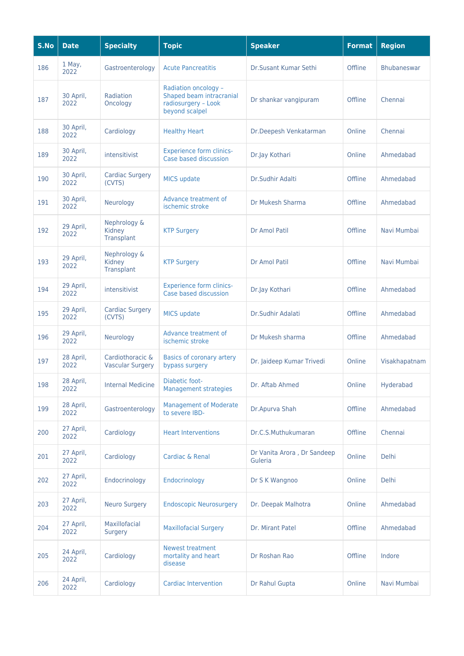| S.No | <b>Date</b>       | <b>Specialty</b>                            | <b>Topic</b>                                                                              | <b>Speaker</b>                         | <b>Format</b> | <b>Region</b> |
|------|-------------------|---------------------------------------------|-------------------------------------------------------------------------------------------|----------------------------------------|---------------|---------------|
| 186  | 1 May,<br>2022    | Gastroenterology                            | <b>Acute Pancreatitis</b>                                                                 | Dr.Susant Kumar Sethi                  | Offline       | Bhubaneswar   |
| 187  | 30 April,<br>2022 | Radiation<br>Oncology                       | Radiation oncology -<br>Shaped beam intracranial<br>radiosurgery - Look<br>beyond scalpel | Dr shankar vangipuram                  | Offline       | Chennai       |
| 188  | 30 April,<br>2022 | Cardiology                                  | <b>Healthy Heart</b>                                                                      | Dr.Deepesh Venkatarman                 | Online        | Chennai       |
| 189  | 30 April,<br>2022 | intensitivist                               | <b>Experience form clinics-</b><br>Case based discussion                                  | Dr.Jay Kothari                         | Online        | Ahmedabad     |
| 190  | 30 April,<br>2022 | <b>Cardiac Surgery</b><br>(CVTS)            | <b>MICS update</b>                                                                        | Dr.Sudhir Adalti                       | Offline       | Ahmedabad     |
| 191  | 30 April,<br>2022 | Neurology                                   | Advance treatment of<br>ischemic stroke                                                   | Dr Mukesh Sharma                       | Offline       | Ahmedabad     |
| 192  | 29 April,<br>2022 | Nephrology &<br>Kidney<br>Transplant        | <b>KTP Surgery</b>                                                                        | Dr Amol Patil                          | Offline       | Navi Mumbai   |
| 193  | 29 April,<br>2022 | Nephrology &<br>Kidney<br>Transplant        | <b>KTP Surgery</b>                                                                        | Dr Amol Patil                          | Offline       | Navi Mumbai   |
| 194  | 29 April,<br>2022 | intensitivist                               | <b>Experience form clinics-</b><br>Case based discussion                                  | Dr.Jay Kothari                         | Offline       | Ahmedabad     |
| 195  | 29 April,<br>2022 | <b>Cardiac Surgery</b><br>(CVTS)            | <b>MICS update</b>                                                                        | Dr.Sudhir Adalati                      | Offline       | Ahmedabad     |
| 196  | 29 April,<br>2022 | Neurology                                   | Advance treatment of<br>ischemic stroke                                                   | Dr Mukesh sharma                       | Offline       | Ahmedabad     |
| 197  | 28 April,<br>2022 | Cardiothoracic &<br><b>Vascular Surgery</b> | Basics of coronary artery<br>bypass surgery                                               | Dr. Jaideep Kumar Trivedi              | Online        | Visakhapatnam |
| 198  | 28 April,<br>2022 | <b>Internal Medicine</b>                    | Diabetic foot-<br><b>Management strategies</b>                                            | Dr. Aftab Ahmed                        | Online        | Hyderabad     |
| 199  | 28 April,<br>2022 | Gastroenterology                            | <b>Management of Moderate</b><br>to severe IBD-                                           | Dr.Apurva Shah                         | Offline       | Ahmedabad     |
| 200  | 27 April,<br>2022 | Cardiology                                  | <b>Heart Interventions</b>                                                                | Dr.C.S.Muthukumaran                    | Offline       | Chennai       |
| 201  | 27 April,<br>2022 | Cardiology                                  | Cardiac & Renal                                                                           | Dr Vanita Arora, Dr Sandeep<br>Guleria | Online        | Delhi         |
| 202  | 27 April,<br>2022 | Endocrinology                               | Endocrinology                                                                             | Dr S K Wangnoo                         | Online        | Delhi         |
| 203  | 27 April,<br>2022 | <b>Neuro Surgery</b>                        | <b>Endoscopic Neurosurgery</b>                                                            | Dr. Deepak Malhotra                    | Online        | Ahmedabad     |
| 204  | 27 April,<br>2022 | Maxillofacial<br><b>Surgery</b>             | <b>Maxillofacial Surgery</b>                                                              | Dr. Mirant Patel                       | Offline       | Ahmedabad     |
| 205  | 24 April,<br>2022 | Cardiology                                  | <b>Newest treatment</b><br>mortality and heart<br>disease                                 | Dr Roshan Rao                          | Offline       | Indore        |
| 206  | 24 April,<br>2022 | Cardiology                                  | <b>Cardiac Intervention</b>                                                               | Dr Rahul Gupta                         | Online        | Navi Mumbai   |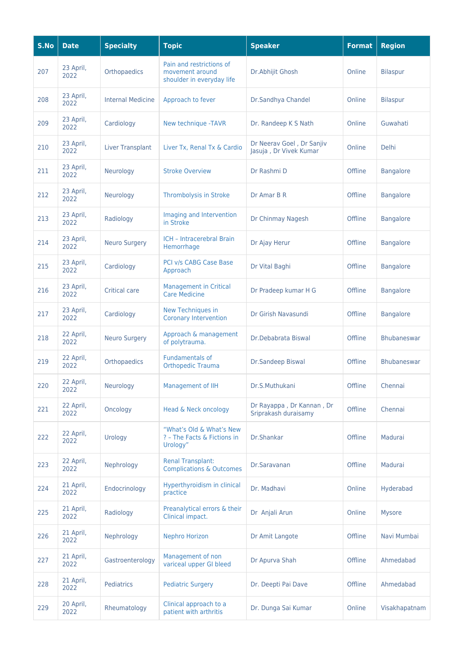| S.No | <b>Date</b>       | <b>Specialty</b>         | <b>Topic</b>                                                             | <b>Speaker</b>                                      | <b>Format</b> | <b>Region</b>      |
|------|-------------------|--------------------------|--------------------------------------------------------------------------|-----------------------------------------------------|---------------|--------------------|
| 207  | 23 April,<br>2022 | Orthopaedics             | Pain and restrictions of<br>movement around<br>shoulder in everyday life | Dr.Abhijit Ghosh                                    | Online        | <b>Bilaspur</b>    |
| 208  | 23 April,<br>2022 | <b>Internal Medicine</b> | Approach to fever                                                        | Dr.Sandhya Chandel                                  | Online        | <b>Bilaspur</b>    |
| 209  | 23 April,<br>2022 | Cardiology               | New technique -TAVR                                                      | Dr. Randeep K S Nath                                | Online        | Guwahati           |
| 210  | 23 April,<br>2022 | <b>Liver Transplant</b>  | Liver Tx, Renal Tx & Cardio                                              | Dr Neerav Goel, Dr Sanjiv<br>Jasuja, Dr Vivek Kumar | Online        | <b>Delhi</b>       |
| 211  | 23 April,<br>2022 | Neurology                | <b>Stroke Overview</b>                                                   | Dr Rashmi D                                         | Offline       | <b>Bangalore</b>   |
| 212  | 23 April,<br>2022 | Neurology                | Thrombolysis in Stroke                                                   | Dr Amar B R                                         | Offline       | <b>Bangalore</b>   |
| 213  | 23 April,<br>2022 | Radiology                | Imaging and Intervention<br>in Stroke                                    | Dr Chinmay Nagesh                                   | Offline       | <b>Bangalore</b>   |
| 214  | 23 April,<br>2022 | <b>Neuro Surgery</b>     | <b>ICH - Intracerebral Brain</b><br>Hemorrhage                           | Dr Ajay Herur                                       | Offline       | <b>Bangalore</b>   |
| 215  | 23 April,<br>2022 | Cardiology               | PCI v/s CABG Case Base<br>Approach                                       | Dr Vital Baghi                                      | Offline       | <b>Bangalore</b>   |
| 216  | 23 April,<br>2022 | Critical care            | <b>Management in Critical</b><br><b>Care Medicine</b>                    | Dr Pradeep kumar H G                                | Offline       | <b>Bangalore</b>   |
| 217  | 23 April,<br>2022 | Cardiology               | <b>New Techniques in</b><br><b>Coronary Intervention</b>                 | Dr Girish Navasundi                                 | Offline       | <b>Bangalore</b>   |
| 218  | 22 April,<br>2022 | <b>Neuro Surgery</b>     | Approach & management<br>of polytrauma.                                  | Dr.Debabrata Biswal                                 | Offline       | <b>Bhubaneswar</b> |
| 219  | 22 April,<br>2022 | Orthopaedics             | <b>Fundamentals of</b><br><b>Orthopedic Trauma</b>                       | <b>Dr.Sandeep Biswal</b>                            | Offline       | <b>Bhubaneswar</b> |
| 220  | 22 April,<br>2022 | Neurology                | Management of IIH                                                        | Dr.S.Muthukani                                      | Offline       | Chennai            |
| 221  | 22 April,<br>2022 | Oncology                 | Head & Neck oncology                                                     | Dr Rayappa, Dr Kannan, Dr<br>Sriprakash duraisamy   | Offline       | Chennai            |
| 222  | 22 April,<br>2022 | Urology                  | "What's Old & What's New<br>? - The Facts & Fictions in<br>Urology"      | Dr.Shankar                                          | Offline       | Madurai            |
| 223  | 22 April,<br>2022 | Nephrology               | <b>Renal Transplant:</b><br><b>Complications &amp; Outcomes</b>          | Dr.Saravanan                                        | Offline       | Madurai            |
| 224  | 21 April,<br>2022 | Endocrinology            | Hyperthyroidism in clinical<br>practice                                  | Dr. Madhavi                                         | Online        | Hyderabad          |
| 225  | 21 April,<br>2022 | Radiology                | Preanalytical errors & their<br>Clinical impact.                         | Dr Anjali Arun                                      | Online        | <b>Mysore</b>      |
| 226  | 21 April,<br>2022 | Nephrology               | <b>Nephro Horizon</b>                                                    | Dr Amit Langote                                     | Offline       | Navi Mumbai        |
| 227  | 21 April,<br>2022 | Gastroenterology         | Management of non<br>variceal upper GI bleed                             | Dr Apurva Shah                                      | Offline       | Ahmedabad          |
| 228  | 21 April,<br>2022 | Pediatrics               | <b>Pediatric Surgery</b>                                                 | Dr. Deepti Pai Dave                                 | Offline       | Ahmedabad          |
| 229  | 20 April,<br>2022 | Rheumatology             | Clinical approach to a<br>patient with arthritis                         | Dr. Dunga Sai Kumar                                 | Online        | Visakhapatnam      |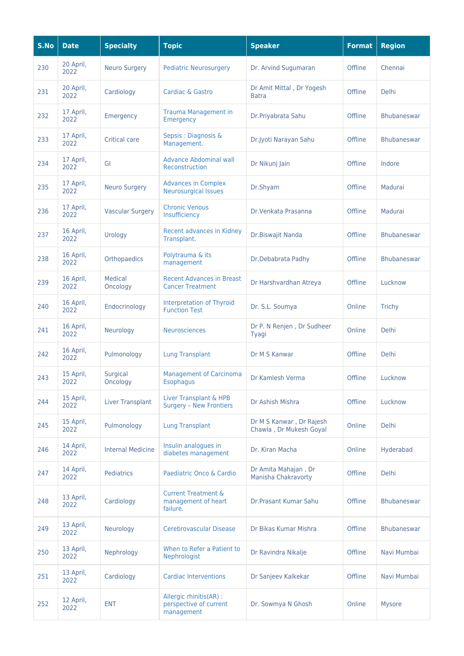| S.No | <b>Date</b>       | <b>Specialty</b>         | <b>Topic</b>                                                      | <b>Speaker</b>                                      | <b>Format</b> | <b>Region</b>      |
|------|-------------------|--------------------------|-------------------------------------------------------------------|-----------------------------------------------------|---------------|--------------------|
| 230  | 20 April,<br>2022 | <b>Neuro Surgery</b>     | <b>Pediatric Neurosurgery</b>                                     | Dr. Arvind Sugumaran                                | Offline       | Chennai            |
| 231  | 20 April,<br>2022 | Cardiology               | <b>Cardiac &amp; Gastro</b>                                       | Dr Amit Mittal, Dr Yogesh<br><b>Batra</b>           | Offline       | <b>Delhi</b>       |
| 232  | 17 April,<br>2022 | <b>Emergency</b>         | <b>Trauma Management in</b><br>Emergency                          | Dr.Priyabrata Sahu                                  | Offline       | <b>Bhubaneswar</b> |
| 233  | 17 April,<br>2022 | <b>Critical care</b>     | Sepsis : Diagnosis &<br>Management.                               | Dr.Jyoti Narayan Sahu                               | Offline       | <b>Bhubaneswar</b> |
| 234  | 17 April,<br>2022 | GI                       | <b>Advance Abdominal wall</b><br>Reconstruction                   | Dr Nikunj Jain                                      | Offline       | Indore             |
| 235  | 17 April,<br>2022 | <b>Neuro Surgery</b>     | <b>Advances in Complex</b><br><b>Neurosurgical Issues</b>         | Dr.Shyam                                            | Offline       | Madurai            |
| 236  | 17 April,<br>2022 | <b>Vascular Surgery</b>  | <b>Chronic Venous</b><br>Insufficiency                            | Dr. Venkata Prasanna                                | Offline       | Madurai            |
| 237  | 16 April,<br>2022 | Urology                  | Recent advances in Kidney<br>Transplant.                          | Dr.Biswajit Nanda                                   | Offline       | <b>Bhubaneswar</b> |
| 238  | 16 April,<br>2022 | Orthopaedics             | Polytrauma & its<br>management                                    | Dr.Debabrata Padhy                                  | Offline       | <b>Bhubaneswar</b> |
| 239  | 16 April,<br>2022 | Medical<br>Oncology      | <b>Recent Advances in Breast</b><br><b>Cancer Treatment</b>       | Dr Harshvardhan Atreya                              | Offline       | Lucknow            |
| 240  | 16 April,<br>2022 | Endocrinology            | <b>Interpretation of Thyroid</b><br><b>Function Test</b>          | Dr. S.L. Soumya                                     | Online        | Trichy             |
| 241  | 16 April,<br>2022 | Neurology                | <b>Neurosciences</b>                                              | Dr P. N Renjen, Dr Sudheer<br>Tyagi                 | Online        | <b>Delhi</b>       |
| 242  | 16 April,<br>2022 | Pulmonology              | <b>Lung Transplant</b>                                            | Dr M S Kanwar                                       | Offline       | Delhi              |
| 243  | 15 April,<br>2022 | Surgical<br>Oncology     | <b>Management of Carcinoma</b><br><b>Esophagus</b>                | Dr Kamlesh Verma                                    | Offline       | Lucknow            |
| 244  | 15 April,<br>2022 | <b>Liver Transplant</b>  | Liver Transplant & HPB<br><b>Surgery - New Frontiers</b>          | Dr Ashish Mishra                                    | Offline       | Lucknow            |
| 245  | 15 April,<br>2022 | Pulmonology              | <b>Lung Transplant</b>                                            | Dr M S Kanwar, Dr Rajesh<br>Chawla, Dr Mukesh Goyal | Online        | Delhi              |
| 246  | 14 April,<br>2022 | <b>Internal Medicine</b> | Insulin analogues in<br>diabetes management                       | Dr. Kiran Macha                                     | Online        | Hyderabad          |
| 247  | 14 April,<br>2022 | Pediatrics               | Paediatric Onco & Cardio                                          | Dr Amita Mahajan, Dr<br>Manisha Chakravorty         | Offline       | Delhi              |
| 248  | 13 April,<br>2022 | Cardiology               | <b>Current Treatment &amp;</b><br>management of heart<br>failure. | Dr.Prasant Kumar Sahu                               | Offline       | <b>Bhubaneswar</b> |
| 249  | 13 April,<br>2022 | Neurology                | Cerebrovascular Disease                                           | Dr Bikas Kumar Mishra                               | Offline       | <b>Bhubaneswar</b> |
| 250  | 13 April,<br>2022 | Nephrology               | When to Refer a Patient to<br>Nephrologist                        | Dr Ravindra Nikalje                                 | Offline       | Navi Mumbai        |
| 251  | 13 April,<br>2022 | Cardiology               | <b>Cardiac Interventions</b>                                      | Dr Sanjeev Kalkekar                                 | Offline       | Navi Mumbai        |
| 252  | 12 April,<br>2022 | <b>ENT</b>               | Allergic rhinitis(AR) :<br>perspective of current<br>management   | Dr. Sowmya N Ghosh                                  | Online        | Mysore             |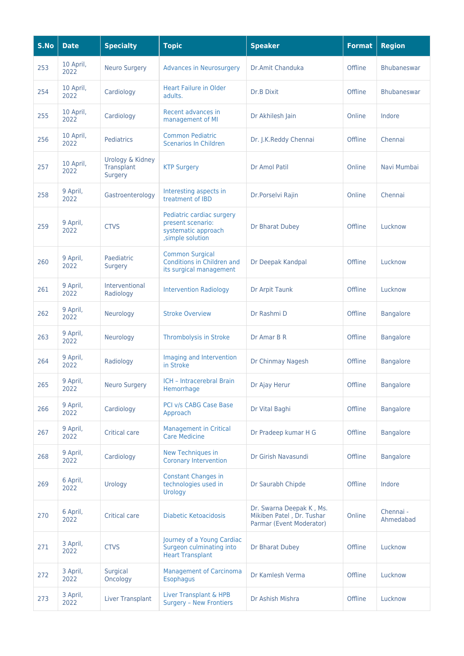| S.No | <b>Date</b>       | <b>Specialty</b>                          | <b>Topic</b>                                                                               | <b>Speaker</b>                                                                    | <b>Format</b> | <b>Region</b>          |
|------|-------------------|-------------------------------------------|--------------------------------------------------------------------------------------------|-----------------------------------------------------------------------------------|---------------|------------------------|
| 253  | 10 April,<br>2022 | <b>Neuro Surgery</b>                      | <b>Advances in Neurosurgery</b>                                                            | Dr.Amit Chanduka                                                                  | Offline       | Bhubaneswar            |
| 254  | 10 April,<br>2022 | Cardiology                                | <b>Heart Failure in Older</b><br>adults.                                                   | <b>Dr.B Dixit</b>                                                                 | Offline       | <b>Bhubaneswar</b>     |
| 255  | 10 April,<br>2022 | Cardiology                                | Recent advances in<br>management of MI                                                     | Dr Akhilesh Jain                                                                  | Online        | Indore                 |
| 256  | 10 April,<br>2022 | <b>Pediatrics</b>                         | <b>Common Pediatric</b><br><b>Scenarios In Children</b>                                    | Dr. J.K.Reddy Chennai                                                             | Offline       | Chennai                |
| 257  | 10 April,<br>2022 | Urology & Kidney<br>Transplant<br>Surgery | <b>KTP Surgery</b>                                                                         | Dr Amol Patil                                                                     | Online        | Navi Mumbai            |
| 258  | 9 April,<br>2022  | Gastroenterology                          | Interesting aspects in<br>treatment of IBD                                                 | Dr.Porselvi Rajin                                                                 | Online        | Chennai                |
| 259  | 9 April,<br>2022  | <b>CTVS</b>                               | Pediatric cardiac surgery<br>present scenario:<br>systematic approach<br>, simple solution | Dr Bharat Dubey                                                                   | Offline       | Lucknow                |
| 260  | 9 April,<br>2022  | Paediatric<br><b>Surgery</b>              | <b>Common Surgical</b><br>Conditions in Children and<br>its surgical management            | Dr Deepak Kandpal                                                                 | Offline       | Lucknow                |
| 261  | 9 April,<br>2022  | Interventional<br>Radiology               | <b>Intervention Radiology</b>                                                              | Dr Arpit Taunk                                                                    | Offline       | Lucknow                |
| 262  | 9 April,<br>2022  | Neurology                                 | <b>Stroke Overview</b>                                                                     | Dr Rashmi D                                                                       | Offline       | <b>Bangalore</b>       |
| 263  | 9 April,<br>2022  | Neurology                                 | <b>Thrombolysis in Stroke</b>                                                              | Dr Amar B R                                                                       | Offline       | <b>Bangalore</b>       |
| 264  | 9 April,<br>2022  | Radiology                                 | Imaging and Intervention<br>in Stroke                                                      | Dr Chinmay Nagesh                                                                 | Offline       | <b>Bangalore</b>       |
| 265  | 9 April,<br>2022  | <b>Neuro Surgery</b>                      | ICH - Intracerebral Brain<br>Hemorrhage                                                    | Dr Ajay Herur                                                                     | Offline       | <b>Bangalore</b>       |
| 266  | 9 April,<br>2022  | Cardiology                                | PCI v/s CABG Case Base<br>Approach                                                         | Dr Vital Baghi                                                                    | Offline       | <b>Bangalore</b>       |
| 267  | 9 April,<br>2022  | <b>Critical care</b>                      | <b>Management in Critical</b><br><b>Care Medicine</b>                                      | Dr Pradeep kumar H G                                                              | Offline       | <b>Bangalore</b>       |
| 268  | 9 April,<br>2022  | Cardiology                                | <b>New Techniques in</b><br><b>Coronary Intervention</b>                                   | Dr Girish Navasundi                                                               | Offline       | <b>Bangalore</b>       |
| 269  | 6 April,<br>2022  | Urology                                   | <b>Constant Changes in</b><br>technologies used in<br>Urology                              | Dr Saurabh Chipde                                                                 | Offline       | Indore                 |
| 270  | 6 April,<br>2022  | <b>Critical care</b>                      | <b>Diabetic Ketoacidosis</b>                                                               | Dr. Swarna Deepak K, Ms.<br>Mikiben Patel, Dr. Tushar<br>Parmar (Event Moderator) | Online        | Chennai -<br>Ahmedabad |
| 271  | 3 April,<br>2022  | <b>CTVS</b>                               | Journey of a Young Cardiac<br>Surgeon culminating into<br><b>Heart Transplant</b>          | Dr Bharat Dubey                                                                   | Offline       | Lucknow                |
| 272  | 3 April,<br>2022  | Surgical<br>Oncology                      | <b>Management of Carcinoma</b><br><b>Esophagus</b>                                         | Dr Kamlesh Verma                                                                  | Offline       | Lucknow                |
| 273  | 3 April,<br>2022  | <b>Liver Transplant</b>                   | Liver Transplant & HPB<br><b>Surgery - New Frontiers</b>                                   | Dr Ashish Mishra                                                                  | Offline       | Lucknow                |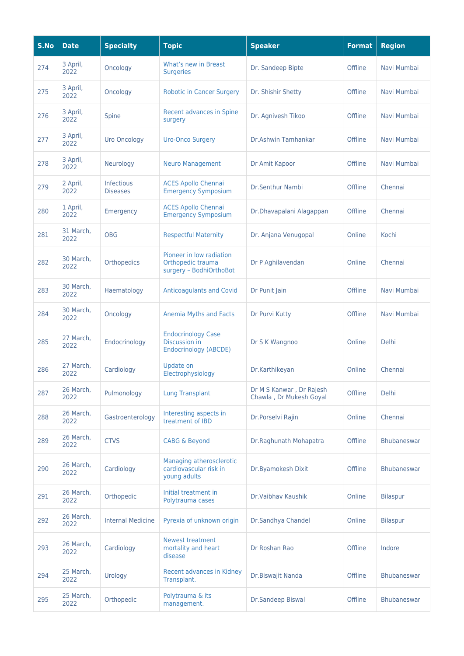| S.No | <b>Date</b>       | <b>Specialty</b>                     | <b>Topic</b>                                                               | <b>Speaker</b>                                      | <b>Format</b> | <b>Region</b>      |
|------|-------------------|--------------------------------------|----------------------------------------------------------------------------|-----------------------------------------------------|---------------|--------------------|
| 274  | 3 April,<br>2022  | Oncology                             | What's new in Breast<br><b>Surgeries</b>                                   | Dr. Sandeep Bipte                                   | Offline       | Navi Mumbai        |
| 275  | 3 April,<br>2022  | Oncology                             | <b>Robotic in Cancer Surgery</b>                                           | Dr. Shishir Shetty                                  | Offline       | Navi Mumbai        |
| 276  | 3 April,<br>2022  | Spine                                | Recent advances in Spine<br>surgery                                        | Dr. Agnivesh Tikoo                                  | Offline       | Navi Mumbai        |
| 277  | 3 April,<br>2022  | <b>Uro Oncology</b>                  | <b>Uro-Onco Surgery</b>                                                    | Dr.Ashwin Tamhankar                                 | Offline       | Navi Mumbai        |
| 278  | 3 April,<br>2022  | Neurology                            | <b>Neuro Management</b>                                                    | Dr Amit Kapoor                                      | Offline       | Navi Mumbai        |
| 279  | 2 April,<br>2022  | <b>Infectious</b><br><b>Diseases</b> | <b>ACES Apollo Chennai</b><br><b>Emergency Symposium</b>                   | Dr.Senthur Nambi                                    | Offline       | Chennai            |
| 280  | 1 April,<br>2022  | Emergency                            | <b>ACES Apollo Chennai</b><br><b>Emergency Symposium</b>                   | Dr.Dhavapalani Alagappan                            | Offline       | Chennai            |
| 281  | 31 March,<br>2022 | <b>OBG</b>                           | <b>Respectful Maternity</b>                                                | Dr. Anjana Venugopal                                | Online        | Kochi              |
| 282  | 30 March,<br>2022 | Orthopedics                          | Pioneer in low radiation<br>Orthopedic trauma<br>surgery - BodhiOrthoBot   | Dr P Aghilavendan                                   | Online        | Chennai            |
| 283  | 30 March,<br>2022 | Haematology                          | <b>Anticoagulants and Covid</b>                                            | Dr Punit Jain                                       | Offline       | Navi Mumbai        |
| 284  | 30 March,<br>2022 | Oncology                             | Anemia Myths and Facts                                                     | Dr Purvi Kutty                                      | Offline       | Navi Mumbai        |
| 285  | 27 March,<br>2022 | Endocrinology                        | <b>Endocrinology Case</b><br><b>Discussion in</b><br>Endocrinology (ABCDE) | Dr S K Wangnoo                                      | Online        | Delhi              |
| 286  | 27 March,<br>2022 | Cardiology                           | Update on<br>Electrophysiology                                             | Dr.Karthikeyan                                      | Online        | Chennai            |
| 287  | 26 March,<br>2022 | Pulmonology                          | <b>Lung Transplant</b>                                                     | Dr M S Kanwar, Dr Rajesh<br>Chawla, Dr Mukesh Goyal | Offline       | <b>Delhi</b>       |
| 288  | 26 March,<br>2022 | Gastroenterology                     | Interesting aspects in<br>treatment of IBD                                 | Dr.Porselvi Rajin                                   | Online        | Chennai            |
| 289  | 26 March,<br>2022 | <b>CTVS</b>                          | <b>CABG &amp; Beyond</b>                                                   | Dr.Raghunath Mohapatra                              | Offline       | <b>Bhubaneswar</b> |
| 290  | 26 March,<br>2022 | Cardiology                           | Managing atherosclerotic<br>cardiovascular risk in<br>young adults         | Dr.Byamokesh Dixit                                  | Offline       | <b>Bhubaneswar</b> |
| 291  | 26 March,<br>2022 | Orthopedic                           | Initial treatment in<br>Polytrauma cases                                   | Dr. Vaibhay Kaushik                                 | Online        | <b>Bilaspur</b>    |
| 292  | 26 March,<br>2022 | <b>Internal Medicine</b>             | Pyrexia of unknown origin                                                  | Dr.Sandhya Chandel                                  | Online        | <b>Bilaspur</b>    |
| 293  | 26 March,<br>2022 | Cardiology                           | <b>Newest treatment</b><br>mortality and heart<br>disease                  | Dr Roshan Rao                                       | Offline       | Indore             |
| 294  | 25 March,<br>2022 | Urology                              | Recent advances in Kidney<br>Transplant.                                   | Dr.Biswajit Nanda                                   | Offline       | <b>Bhubaneswar</b> |
| 295  | 25 March,<br>2022 | Orthopedic                           | Polytrauma & its<br>management.                                            | Dr.Sandeep Biswal                                   | Offline       | <b>Bhubaneswar</b> |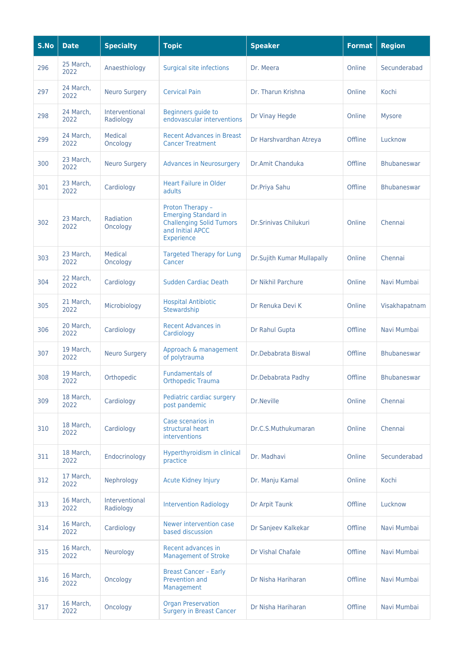| S.No | <b>Date</b>       | <b>Specialty</b>            | <b>Topic</b>                                                                                                         | <b>Speaker</b>             | <b>Format</b> | <b>Region</b>      |
|------|-------------------|-----------------------------|----------------------------------------------------------------------------------------------------------------------|----------------------------|---------------|--------------------|
| 296  | 25 March,<br>2022 | Anaesthiology               | Surgical site infections                                                                                             | Dr. Meera                  | Online        | Secunderabad       |
| 297  | 24 March,<br>2022 | <b>Neuro Surgery</b>        | <b>Cervical Pain</b>                                                                                                 | Dr. Tharun Krishna         | Online        | Kochi              |
| 298  | 24 March,<br>2022 | Interventional<br>Radiology | Beginners guide to<br>endovascular interventions                                                                     | Dr Vinay Hegde             | Online        | <b>Mysore</b>      |
| 299  | 24 March,<br>2022 | Medical<br>Oncology         | <b>Recent Advances in Breast</b><br><b>Cancer Treatment</b>                                                          | Dr Harshvardhan Atreya     | Offline       | Lucknow            |
| 300  | 23 March,<br>2022 | <b>Neuro Surgery</b>        | <b>Advances in Neurosurgery</b>                                                                                      | Dr.Amit Chanduka           | Offline       | <b>Bhubaneswar</b> |
| 301  | 23 March,<br>2022 | Cardiology                  | <b>Heart Failure in Older</b><br>adults                                                                              | Dr.Priya Sahu              | Offline       | <b>Bhubaneswar</b> |
| 302  | 23 March,<br>2022 | Radiation<br>Oncology       | Proton Therapy -<br><b>Emerging Standard in</b><br><b>Challenging Solid Tumors</b><br>and Initial APCC<br>Experience | Dr.Sriniyas Chilukuri      | Online        | Chennai            |
| 303  | 23 March,<br>2022 | Medical<br>Oncology         | <b>Targeted Therapy for Lung</b><br>Cancer                                                                           | Dr.Sujith Kumar Mullapally | Online        | Chennai            |
| 304  | 22 March,<br>2022 | Cardiology                  | <b>Sudden Cardiac Death</b>                                                                                          | Dr Nikhil Parchure         | Online        | Navi Mumbai        |
| 305  | 21 March,<br>2022 | Microbiology                | <b>Hospital Antibiotic</b><br>Stewardship                                                                            | Dr Renuka Devi K           | Online        | Visakhapatnam      |
| 306  | 20 March,<br>2022 | Cardiology                  | <b>Recent Advances in</b><br>Cardiology                                                                              | Dr Rahul Gupta             | Offline       | Navi Mumbai        |
| 307  | 19 March,<br>2022 | <b>Neuro Surgery</b>        | Approach & management<br>of polytrauma                                                                               | Dr.Debabrata Biswal        | Offline       | <b>Bhubaneswar</b> |
| 308  | 19 March,<br>2022 | Orthopedic                  | <b>Fundamentals of</b><br><b>Orthopedic Trauma</b>                                                                   | Dr.Debabrata Padhy         | Offline       | Bhubaneswar        |
| 309  | 18 March,<br>2022 | Cardiology                  | Pediatric cardiac surgery<br>post pandemic                                                                           | Dr.Neville                 | Online        | Chennai            |
| 310  | 18 March,<br>2022 | Cardiology                  | Case scenarios in<br>structural heart<br>interventions                                                               | Dr.C.S.Muthukumaran        | Online        | Chennai            |
| 311  | 18 March,<br>2022 | Endocrinology               | Hyperthyroidism in clinical<br>practice                                                                              | Dr. Madhavi                | Online        | Secunderabad       |
| 312  | 17 March,<br>2022 | Nephrology                  | <b>Acute Kidney Injury</b>                                                                                           | Dr. Manju Kamal            | Online        | Kochi              |
| 313  | 16 March,<br>2022 | Interventional<br>Radiology | <b>Intervention Radiology</b>                                                                                        | Dr Arpit Taunk             | Offline       | Lucknow            |
| 314  | 16 March,<br>2022 | Cardiology                  | Newer intervention case<br>based discussion                                                                          | Dr Sanjeev Kalkekar        | Offline       | Navi Mumbai        |
| 315  | 16 March,<br>2022 | Neurology                   | Recent advances in<br><b>Management of Stroke</b>                                                                    | Dr Vishal Chafale          | Offline       | Navi Mumbai        |
| 316  | 16 March,<br>2022 | Oncology                    | <b>Breast Cancer - Early</b><br>Prevention and<br>Management                                                         | Dr Nisha Hariharan         | Offline       | Navi Mumbai        |
| 317  | 16 March,<br>2022 | Oncology                    | <b>Organ Preservation</b><br><b>Surgery in Breast Cancer</b>                                                         | Dr Nisha Hariharan         | Offline       | Navi Mumbai        |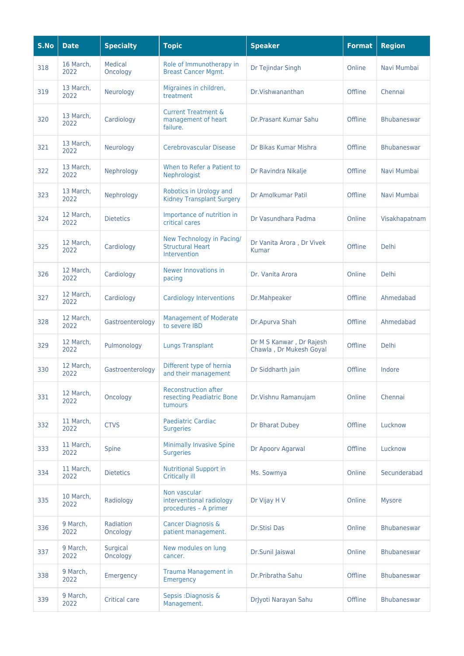| S.No | <b>Date</b>       | <b>Specialty</b>      | <b>Topic</b>                                                         | <b>Speaker</b>                                      | <b>Format</b> | <b>Region</b>      |
|------|-------------------|-----------------------|----------------------------------------------------------------------|-----------------------------------------------------|---------------|--------------------|
| 318  | 16 March,<br>2022 | Medical<br>Oncology   | Role of Immunotherapy in<br><b>Breast Cancer Mgmt.</b>               | Dr Tejindar Singh                                   | Online        | Navi Mumbai        |
| 319  | 13 March,<br>2022 | Neurology             | Migraines in children,<br>treatment                                  | Dr. Vishwananthan                                   | Offline       | Chennai            |
| 320  | 13 March,<br>2022 | Cardiology            | <b>Current Treatment &amp;</b><br>management of heart<br>failure.    | <b>Dr.Prasant Kumar Sahu</b>                        | Offline       | <b>Bhubaneswar</b> |
| 321  | 13 March.<br>2022 | Neurology             | Cerebrovascular Disease                                              | Dr Bikas Kumar Mishra                               | Offline       | <b>Bhubaneswar</b> |
| 322  | 13 March,<br>2022 | Nephrology            | When to Refer a Patient to<br>Nephrologist                           | Dr Ravindra Nikalje                                 | Offline       | Navi Mumbai        |
| 323  | 13 March,<br>2022 | Nephrology            | Robotics in Urology and<br><b>Kidney Transplant Surgery</b>          | Dr Amolkumar Patil                                  | Offline       | Navi Mumbai        |
| 324  | 12 March,<br>2022 | <b>Dietetics</b>      | Importance of nutrition in<br>critical cares                         | Dr Vasundhara Padma                                 | Online        | Visakhapatnam      |
| 325  | 12 March,<br>2022 | Cardiology            | New Technology in Pacing/<br><b>Structural Heart</b><br>Intervention | Dr Vanita Arora, Dr Vivek<br>Kumar                  | Offline       | Delhi              |
| 326  | 12 March,<br>2022 | Cardiology            | Newer Innovations in<br>pacing                                       | Dr. Vanita Arora                                    | Online        | Delhi              |
| 327  | 12 March,<br>2022 | Cardiology            | <b>Cardiology Interventions</b>                                      | Dr.Mahpeaker                                        | Offline       | Ahmedabad          |
| 328  | 12 March,<br>2022 | Gastroenterology      | <b>Management of Moderate</b><br>to severe IBD                       | Dr.Apurva Shah                                      | Offline       | Ahmedabad          |
| 329  | 12 March,<br>2022 | Pulmonology           | <b>Lungs Transplant</b>                                              | Dr M S Kanwar, Dr Rajesh<br>Chawla, Dr Mukesh Goyal | Offline       | Delhi              |
| 330  | 12 March,<br>2022 | Gastroenterology      | Different type of hernia<br>and their management                     | Dr Siddharth jain                                   | Offline       | Indore             |
| 331  | 12 March,<br>2022 | Oncology              | <b>Reconstruction after</b><br>resecting Peadiatric Bone<br>tumours  | Dr. Vishnu Ramanujam                                | Online        | Chennai            |
| 332  | 11 March,<br>2022 | <b>CTVS</b>           | <b>Paediatric Cardiac</b><br><b>Surgeries</b>                        | Dr Bharat Dubey                                     | Offline       | Lucknow            |
| 333  | 11 March,<br>2022 | Spine                 | <b>Minimally Invasive Spine</b><br><b>Surgeries</b>                  | Dr Apoorv Agarwal                                   | Offline       | Lucknow            |
| 334  | 11 March,<br>2022 | <b>Dietetics</b>      | <b>Nutritional Support in</b><br><b>Critically ill</b>               | Ms. Sowmya                                          | Online        | Secunderabad       |
| 335  | 10 March,<br>2022 | Radiology             | Non vascular<br>interventional radiology<br>procedures - A primer    | Dr Vijay H V                                        | Online        | <b>Mysore</b>      |
| 336  | 9 March,<br>2022  | Radiation<br>Oncology | <b>Cancer Diagnosis &amp;</b><br>patient management.                 | Dr.Stisi Das                                        | Online        | <b>Bhubaneswar</b> |
| 337  | 9 March,<br>2022  | Surgical<br>Oncology  | New modules on lung<br>cancer.                                       | Dr.Sunil Jaiswal                                    | Online        | <b>Bhubaneswar</b> |
| 338  | 9 March,<br>2022  | Emergency             | <b>Trauma Management in</b><br>Emergency                             | Dr.Pribratha Sahu                                   | Offline       | <b>Bhubaneswar</b> |
| 339  | 9 March,<br>2022  | <b>Critical care</b>  | Sepsis : Diagnosis &<br>Management.                                  | DrJyoti Narayan Sahu                                | Offline       | <b>Bhubaneswar</b> |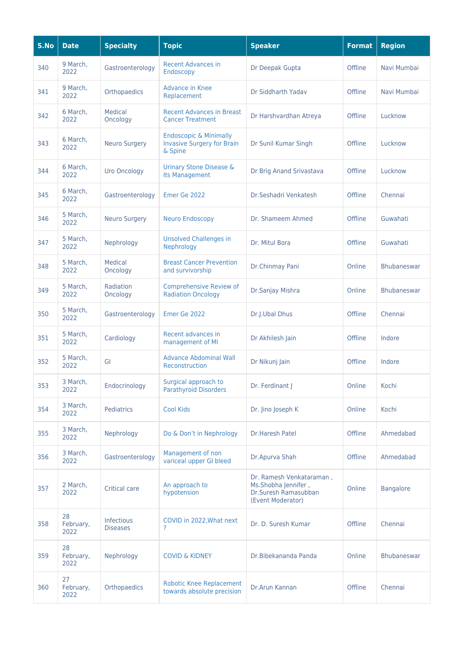| S.No | <b>Date</b>             | <b>Specialty</b>              | <b>Topic</b>                                                                      | <b>Speaker</b>                                                                               | <b>Format</b> | <b>Region</b>      |
|------|-------------------------|-------------------------------|-----------------------------------------------------------------------------------|----------------------------------------------------------------------------------------------|---------------|--------------------|
| 340  | 9 March,<br>2022        | Gastroenterology              | <b>Recent Advances in</b><br>Endoscopy                                            | Dr Deepak Gupta                                                                              | Offline       | Navi Mumbai        |
| 341  | 9 March,<br>2022        | Orthopaedics                  | <b>Advance in Knee</b><br>Replacement                                             | Dr Siddharth Yadav                                                                           | Offline       | Navi Mumbai        |
| 342  | 6 March,<br>2022        | Medical<br>Oncology           | <b>Recent Advances in Breast</b><br><b>Cancer Treatment</b>                       | Dr Harshvardhan Atreya                                                                       | Offline       | Lucknow            |
| 343  | 6 March.<br>2022        | <b>Neuro Surgery</b>          | <b>Endoscopic &amp; Minimally</b><br><b>Invasive Surgery for Brain</b><br>& Spine | Dr Sunil Kumar Singh                                                                         | Offline       | Lucknow            |
| 344  | 6 March,<br>2022        | <b>Uro Oncology</b>           | Urinary Stone Disease &<br><b>Its Management</b>                                  | Dr Brig Anand Srivastava                                                                     | Offline       | Lucknow            |
| 345  | 6 March,<br>2022        | Gastroenterology              | Emer Ge 2022                                                                      | Dr.Seshadri Venkatesh                                                                        | Offline       | Chennai            |
| 346  | 5 March,<br>2022        | <b>Neuro Surgery</b>          | <b>Neuro Endoscopy</b>                                                            | Dr. Shameem Ahmed                                                                            | Offline       | Guwahati           |
| 347  | 5 March.<br>2022        | Nephrology                    | <b>Unsolved Challenges in</b><br>Nephrology                                       | Dr. Mitul Bora                                                                               | Offline       | Guwahati           |
| 348  | 5 March,<br>2022        | Medical<br>Oncology           | <b>Breast Cancer Prevention</b><br>and survivorship                               | Dr.Chinmay Pani                                                                              | Online        | <b>Bhubaneswar</b> |
| 349  | 5 March,<br>2022        | Radiation<br>Oncology         | <b>Comprehensive Review of</b><br><b>Radiation Oncology</b>                       | Dr.Sanjay Mishra                                                                             | Online        | Bhubaneswar        |
| 350  | 5 March,<br>2022        | Gastroenterology              | Emer Ge 2022                                                                      | Dr.J.Ubal Dhus                                                                               | Offline       | Chennai            |
| 351  | 5 March,<br>2022        | Cardiology                    | Recent advances in<br>management of MI                                            | Dr Akhilesh Jain                                                                             | Offline       | Indore             |
| 352  | 5 March,<br>2022        | GI                            | <b>Advance Abdominal Wall</b><br>Reconstruction                                   | Dr Nikunj Jain                                                                               | Offline       | Indore             |
| 353  | 3 March,<br>2022        | Endocrinology                 | Surgical approach to<br><b>Parathyroid Disorders</b>                              | Dr. Ferdinant J                                                                              | Online        | Kochi              |
| 354  | 3 March,<br>2022        | Pediatrics                    | <b>Cool Kids</b>                                                                  | Dr. Jino Joseph K                                                                            | Online        | Kochi              |
| 355  | 3 March,<br>2022        | Nephrology                    | Do & Don't in Nephrology                                                          | <b>Dr.Haresh Patel</b>                                                                       | Offline       | Ahmedabad          |
| 356  | 3 March,<br>2022        | Gastroenterology              | Management of non<br>variceal upper GI bleed                                      | Dr.Apurva Shah                                                                               | Offline       | Ahmedabad          |
| 357  | 2 March,<br>2022        | Critical care                 | An approach to<br>hypotension                                                     | Dr. Ramesh Venkataraman,<br>Ms.Shobha Jennifer,<br>Dr.Suresh Ramasubban<br>(Event Moderator) | Online        | <b>Bangalore</b>   |
| 358  | 28<br>February,<br>2022 | Infectious<br><b>Diseases</b> | COVID in 2022, What next<br>?                                                     | Dr. D. Suresh Kumar                                                                          | Offline       | Chennai            |
| 359  | 28<br>February,<br>2022 | Nephrology                    | <b>COVID &amp; KIDNEY</b>                                                         | Dr.Bibekananda Panda                                                                         | Online        | Bhubaneswar        |
| 360  | 27<br>February,<br>2022 | Orthopaedics                  | <b>Robotic Knee Replacement</b><br>towards absolute precision                     | Dr.Arun Kannan                                                                               | Offline       | Chennai            |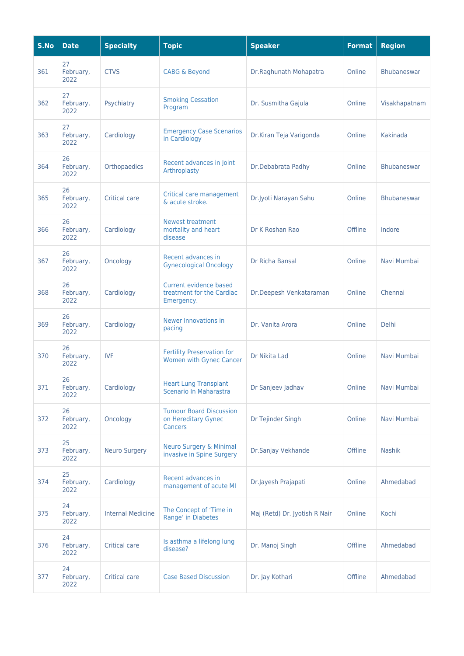| S.No | <b>Date</b>             | <b>Specialty</b>         | <b>Topic</b>                                                            | <b>Speaker</b>                | <b>Format</b> | <b>Region</b> |
|------|-------------------------|--------------------------|-------------------------------------------------------------------------|-------------------------------|---------------|---------------|
| 361  | 27<br>February,<br>2022 | <b>CTVS</b>              | <b>CABG &amp; Beyond</b>                                                | Dr.Raghunath Mohapatra        | Online        | Bhubaneswar   |
| 362  | 27<br>February,<br>2022 | Psychiatry               | <b>Smoking Cessation</b><br>Program                                     | Dr. Susmitha Gajula           | Online        | Visakhapatnam |
| 363  | 27<br>February,<br>2022 | Cardiology               | <b>Emergency Case Scenarios</b><br>in Cardiology                        | Dr.Kiran Teja Varigonda       | Online        | Kakinada      |
| 364  | 26<br>February,<br>2022 | Orthopaedics             | Recent advances in Joint<br>Arthroplasty                                | Dr.Debabrata Padhy            | Online        | Bhubaneswar   |
| 365  | 26<br>February,<br>2022 | <b>Critical care</b>     | Critical care management<br>& acute stroke.                             | Dr.Jyoti Narayan Sahu         | Online        | Bhubaneswar   |
| 366  | 26<br>February,<br>2022 | Cardiology               | <b>Newest treatment</b><br>mortality and heart<br>disease               | Dr K Roshan Rao               | Offline       | Indore        |
| 367  | 26<br>February,<br>2022 | Oncology                 | Recent advances in<br><b>Gynecological Oncology</b>                     | Dr Richa Bansal               | Online        | Navi Mumbai   |
| 368  | 26<br>February,<br>2022 | Cardiology               | Current evidence based<br>treatment for the Cardiac<br>Emergency.       | Dr.Deepesh Venkataraman       | Online        | Chennai       |
| 369  | 26<br>February,<br>2022 | Cardiology               | Newer Innovations in<br>pacing                                          | Dr. Vanita Arora              | Online        | <b>Delhi</b>  |
| 370  | 26<br>February,<br>2022 | <b>IVF</b>               | <b>Fertility Preservation for</b><br>Women with Gynec Cancer            | Dr Nikita Lad                 | Online        | Navi Mumbai   |
| 371  | 26<br>February,<br>2022 | Cardiology               | <b>Heart Lung Transplant</b><br>Scenario In Maharastra                  | Dr Sanjeev Jadhav             | Online        | Navi Mumbai   |
| 372  | 26<br>February,<br>2022 | Oncology                 | <b>Tumour Board Discussion</b><br>on Hereditary Gynec<br><b>Cancers</b> | Dr Tejinder Singh             | Online        | Navi Mumbai   |
| 373  | 25<br>February,<br>2022 | <b>Neuro Surgery</b>     | <b>Neuro Surgery &amp; Minimal</b><br>invasive in Spine Surgery         | Dr.Sanjay Vekhande            | Offline       | <b>Nashik</b> |
| 374  | 25<br>February,<br>2022 | Cardiology               | Recent advances in<br>management of acute MI                            | Dr.Jayesh Prajapati           | Online        | Ahmedabad     |
| 375  | 24<br>February,<br>2022 | <b>Internal Medicine</b> | The Concept of 'Time in<br>Range' in Diabetes                           | Maj (Retd) Dr. Jyotish R Nair | Online        | Kochi         |
| 376  | 24<br>February,<br>2022 | <b>Critical care</b>     | Is asthma a lifelong lung<br>disease?                                   | Dr. Manoj Singh               | Offline       | Ahmedabad     |
| 377  | 24<br>February,<br>2022 | <b>Critical care</b>     | <b>Case Based Discussion</b>                                            | Dr. Jay Kothari               | Offline       | Ahmedabad     |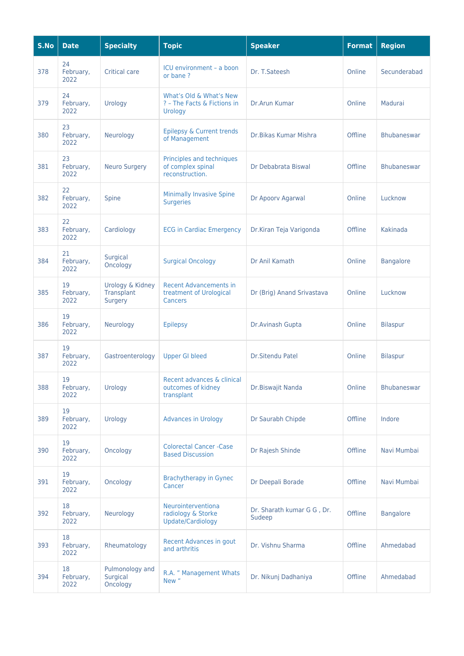| S.No | <b>Date</b>             | <b>Specialty</b>                          | <b>Topic</b>                                                               | <b>Speaker</b>                       | <b>Format</b> | <b>Region</b>      |
|------|-------------------------|-------------------------------------------|----------------------------------------------------------------------------|--------------------------------------|---------------|--------------------|
| 378  | 24<br>February,<br>2022 | <b>Critical care</b>                      | ICU environment - a boon<br>or bane?                                       | Dr. T. Sateesh                       | Online        | Secunderabad       |
| 379  | 24<br>February,<br>2022 | Urology                                   | What's Old & What's New<br>? - The Facts & Fictions in<br>Urology          | Dr.Arun Kumar                        | Online        | Madurai            |
| 380  | 23<br>February,<br>2022 | Neurology                                 | Epilepsy & Current trends<br>of Management                                 | Dr. Bikas Kumar Mishra               | Offline       | <b>Bhubaneswar</b> |
| 381  | 23<br>February,<br>2022 | <b>Neuro Surgery</b>                      | Principles and techniques<br>of complex spinal<br>reconstruction.          | Dr Debabrata Biswal                  | Offline       | <b>Bhubaneswar</b> |
| 382  | 22<br>February,<br>2022 | Spine                                     | <b>Minimally Invasive Spine</b><br><b>Surgeries</b>                        | Dr Apoorv Agarwal                    | Online        | Lucknow            |
| 383  | 22<br>February,<br>2022 | Cardiology                                | <b>ECG in Cardiac Emergency</b>                                            | Dr.Kiran Teja Varigonda              | Offline       | Kakinada           |
| 384  | 21<br>February,<br>2022 | Surgical<br>Oncology                      | <b>Surgical Oncology</b>                                                   | Dr Anil Kamath                       | Online        | <b>Bangalore</b>   |
| 385  | 19<br>February,<br>2022 | Urology & Kidney<br>Transplant<br>Surgery | <b>Recent Advancements in</b><br>treatment of Urological<br><b>Cancers</b> | Dr (Brig) Anand Srivastava           | Online        | Lucknow            |
| 386  | 19<br>February,<br>2022 | Neurology                                 | <b>Epilepsy</b>                                                            | Dr.Avinash Gupta                     | Online        | <b>Bilaspur</b>    |
| 387  | 19<br>February,<br>2022 | Gastroenterology                          | <b>Upper GI bleed</b>                                                      | <b>Dr.Sitendu Patel</b>              | Online        | <b>Bilaspur</b>    |
| 388  | 19<br>February,<br>2022 | Urology                                   | Recent advances & clinical<br>outcomes of kidney<br>transplant             | Dr.Biswajit Nanda                    | Online        | <b>Bhubaneswar</b> |
| 389  | 19<br>February,<br>2022 | Urology                                   | <b>Advances in Urology</b>                                                 | Dr Saurabh Chipde                    | Offline       | Indore             |
| 390  | 19<br>February,<br>2022 | Oncology                                  | <b>Colorectal Cancer - Case</b><br><b>Based Discussion</b>                 | Dr Rajesh Shinde                     | Offline       | Navi Mumbai        |
| 391  | 19<br>February,<br>2022 | Oncology                                  | <b>Brachytherapy in Gynec</b><br>Cancer                                    | Dr Deepali Borade                    | Offline       | Navi Mumbai        |
| 392  | 18<br>February,<br>2022 | Neurology                                 | Neurointerventiona<br>radiology & Storke<br>Update/Cardiology              | Dr. Sharath kumar G G, Dr.<br>Sudeep | Offline       | <b>Bangalore</b>   |
| 393  | 18<br>February,<br>2022 | Rheumatology                              | Recent Advances in gout<br>and arthritis                                   | Dr. Vishnu Sharma                    | Offline       | Ahmedabad          |
| 394  | 18<br>February,<br>2022 | Pulmonology and<br>Surgical<br>Oncology   | R.A. " Management Whats<br>New "                                           | Dr. Nikunj Dadhaniya                 | Offline       | Ahmedabad          |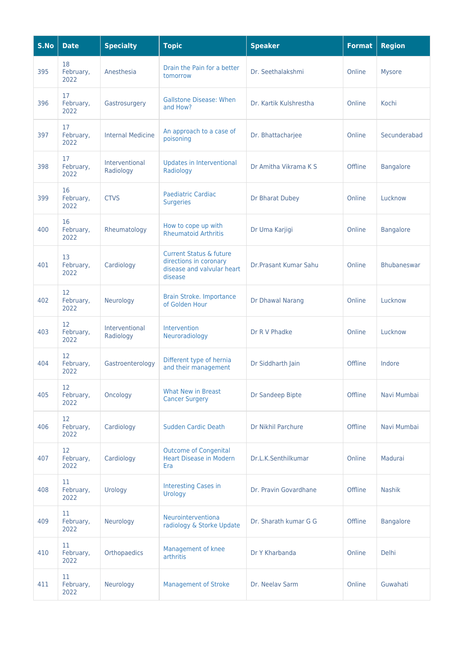| S.No | <b>Date</b>             | <b>Specialty</b>            | <b>Topic</b>                                                                                          | <b>Speaker</b>               | <b>Format</b> | <b>Region</b>      |
|------|-------------------------|-----------------------------|-------------------------------------------------------------------------------------------------------|------------------------------|---------------|--------------------|
| 395  | 18<br>February,<br>2022 | Anesthesia                  | Drain the Pain for a better<br>tomorrow                                                               | Dr. Seethalakshmi            | Online        | <b>Mysore</b>      |
| 396  | 17<br>February,<br>2022 | Gastrosurgery               | <b>Gallstone Disease: When</b><br>and How?                                                            | Dr. Kartik Kulshrestha       | Online        | Kochi              |
| 397  | 17<br>February,<br>2022 | <b>Internal Medicine</b>    | An approach to a case of<br>poisoning                                                                 | Dr. Bhattacharjee            | Online        | Secunderabad       |
| 398  | 17<br>February,<br>2022 | Interventional<br>Radiology | Updates in Interventional<br>Radiology                                                                | Dr Amitha Vikrama K S        | Offline       | <b>Bangalore</b>   |
| 399  | 16<br>February,<br>2022 | <b>CTVS</b>                 | <b>Paediatric Cardiac</b><br><b>Surgeries</b>                                                         | Dr Bharat Dubey              | Online        | Lucknow            |
| 400  | 16<br>February,<br>2022 | Rheumatology                | How to cope up with<br><b>Rheumatoid Arthritis</b>                                                    | Dr Uma Karjigi               | Online        | <b>Bangalore</b>   |
| 401  | 13<br>February,<br>2022 | Cardiology                  | <b>Current Status &amp; future</b><br>directions in coronary<br>disease and valvular heart<br>disease | <b>Dr.Prasant Kumar Sahu</b> | Online        | <b>Bhubaneswar</b> |
| 402  | 12<br>February,<br>2022 | Neurology                   | Brain Stroke. Importance<br>of Golden Hour                                                            | Dr Dhawal Narang             | Online        | Lucknow            |
| 403  | 12<br>February,<br>2022 | Interventional<br>Radiology | Intervention<br>Neuroradiology                                                                        | Dr R V Phadke                | Online        | Lucknow            |
| 404  | 12<br>February,<br>2022 | Gastroenterology            | Different type of hernia<br>and their management                                                      | Dr Siddharth Jain            | Offline       | Indore             |
| 405  | 12<br>February,<br>2022 | Oncology                    | <b>What New in Breast</b><br><b>Cancer Surgery</b>                                                    | Dr Sandeep Bipte             | Offline       | Navi Mumbai        |
| 406  | 12<br>February,<br>2022 | Cardiology                  | <b>Sudden Cardic Death</b>                                                                            | Dr Nikhil Parchure           | Offline       | Navi Mumbai        |
| 407  | 12<br>February,<br>2022 | Cardiology                  | <b>Outcome of Congenital</b><br><b>Heart Disease in Modern</b><br>Era                                 | Dr.L.K.Senthilkumar          | Online        | Madurai            |
| 408  | 11<br>February,<br>2022 | Urology                     | <b>Interesting Cases in</b><br>Urology                                                                | Dr. Pravin Govardhane        | Offline       | <b>Nashik</b>      |
| 409  | 11<br>February,<br>2022 | Neurology                   | Neurointerventiona<br>radiology & Storke Update                                                       | Dr. Sharath kumar G G        | Offline       | <b>Bangalore</b>   |
| 410  | 11<br>February,<br>2022 | Orthopaedics                | Management of knee<br>arthritis                                                                       | Dr Y Kharbanda               | Online        | <b>Delhi</b>       |
| 411  | 11<br>February,<br>2022 | Neurology                   | <b>Management of Stroke</b>                                                                           | Dr. Neelav Sarm              | Online        | Guwahati           |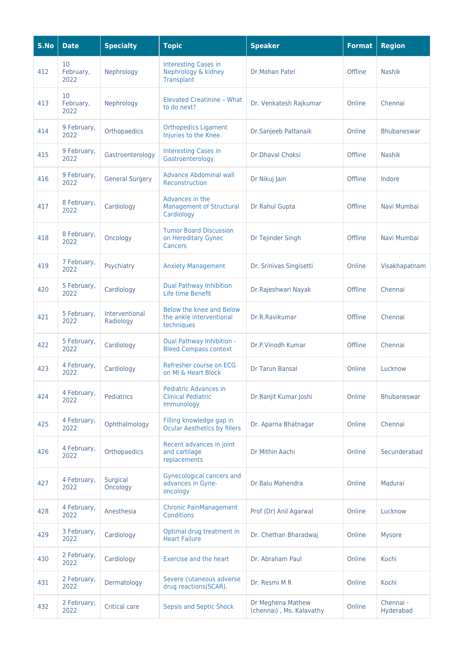| S.No | <b>Date</b>             | <b>Specialty</b>            | <b>Topic</b>                                                           | <b>Speaker</b>                                | <b>Format</b> | <b>Region</b>          |
|------|-------------------------|-----------------------------|------------------------------------------------------------------------|-----------------------------------------------|---------------|------------------------|
| 412  | 10<br>February,<br>2022 | Nephrology                  | <b>Interesting Cases in</b><br>Nephrology & kidney<br>Transplant       | Dr.Mohan Patel                                | Offline       | <b>Nashik</b>          |
| 413  | 10<br>February,<br>2022 | Nephrology                  | <b>Elevated Creatinine - What</b><br>to do next?                       | Dr. Venkatesh Rajkumar                        | Online        | Chennai                |
| 414  | 9 February,<br>2022     | Orthopaedics                | <b>Orthopedics Ligament</b><br>Injuries to the Knee.                   | Dr.Sanjeeb Pattanaik                          | Online        | Bhubaneswar            |
| 415  | 9 February,<br>2022     | Gastroenterology            | <b>Interesting Cases in</b><br>Gastroenterology                        | <b>Dr.Dhaval Choksi</b>                       | Offline       | <b>Nashik</b>          |
| 416  | 9 February,<br>2022     | <b>General Surgery</b>      | <b>Advance Abdominal wall</b><br>Reconstruction                        | Dr Nikuj Jain                                 | Offline       | Indore                 |
| 417  | 8 February,<br>2022     | Cardiology                  | Advances in the<br><b>Management of Structural</b><br>Cardiology       | Dr Rahul Gupta                                | Offline       | Navi Mumbai            |
| 418  | 8 February,<br>2022     | Oncology                    | <b>Tumor Board Discussion</b><br>on Hereditary Gynec<br><b>Cancers</b> | Dr Tejinder Singh                             | Offline       | Navi Mumbai            |
| 419  | 7 February,<br>2022     | Psychiatry                  | <b>Anxiety Management</b>                                              | Dr. Srinivas Singisetti                       | Online        | Visakhapatnam          |
| 420  | 5 February,<br>2022     | Cardiology                  | <b>Dual Pathway Inhibition</b><br>Life time Benefit                    | Dr.Rajeshwari Nayak                           | Offline       | Chennai                |
| 421  | 5 February,<br>2022     | Interventional<br>Radiology | Below the knee and Below<br>the ankle interventional<br>techniques     | Dr.R.Ravikumar                                | Offline       | Chennai                |
| 422  | 5 February,<br>2022     | Cardiology                  | Dual Pathway Inhibition -<br><b>Bleed Compass context</b>              | Dr.P.Vinodh Kumar                             | Offline       | Chennai                |
| 423  | 4 February,<br>2022     | Cardiology                  | Refresher course on ECG<br>on MI & Heart Block                         | <b>Dr Tarun Bansal</b>                        | Online        | Lucknow                |
| 424  | 4 February,<br>2022     | Pediatrics                  | Pediatric Advances in<br><b>Clinical Pediatric</b><br>Immunology       | Dr.Ranjit Kumar Joshi                         | Online        | <b>Bhubaneswar</b>     |
| 425  | 4 February,<br>2022     | Ophthalmology               | Filling knowledge gap in<br><b>Ocular Aesthetics by fillers</b>        | Dr. Aparna Bhatnagar                          | Online        | Chennai                |
| 426  | 4 February,<br>2022     | Orthopaedics                | Recent advances in joint<br>and cartilage<br>replacements              | Dr Mithin Aachi                               | Online        | Secunderabad           |
| 427  | 4 February,<br>2022     | Surgical<br>Oncology        | <b>Gynecological cancers and</b><br>advances in Gyne-<br>oncology      | Dr.Balu Mahendra                              | Online        | Madurai                |
| 428  | 4 February,<br>2022     | Anesthesia                  | <b>Chronic PainManagement</b><br><b>Conditions</b>                     | Prof (Dr) Anil Agarwal                        | Online        | Lucknow                |
| 429  | 3 February,<br>2022     | Cardiology                  | Optimal drug treatment in<br><b>Heart Failure</b>                      | Dr. Chethan Bharadwaj                         | Online        | <b>Mysore</b>          |
| 430  | 2 February,<br>2022     | Cardiology                  | <b>Exercise and the heart</b>                                          | Dr. Abraham Paul                              | Online        | Kochi                  |
| 431  | 2 February,<br>2022     | Dermatology                 | Severe cutaneous adverse<br>drug reactions(SCAR).                      | Dr. Resmi M R                                 | Online        | Kochi                  |
| 432  | 2 February,<br>2022     | <b>Critical care</b>        | <b>Sepsis and Septic Shock</b>                                         | Dr Meghena Mathew<br>(chennai), Ms. Kalavathy | Online        | Chennai -<br>Hyderabad |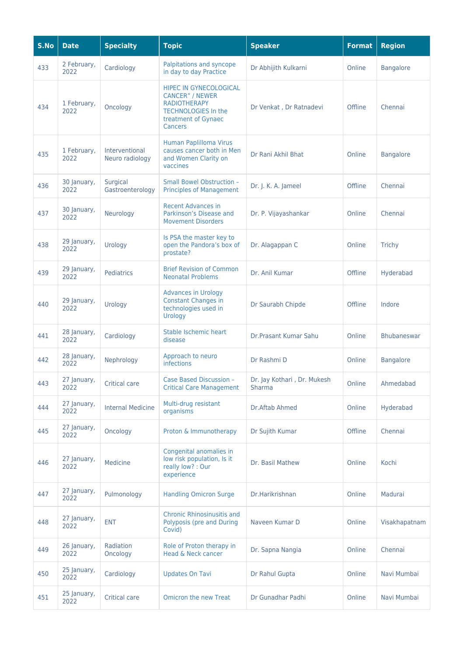| S.No | <b>Date</b>         | <b>Specialty</b>                  | <b>Topic</b>                                                                                                                                          | <b>Speaker</b>                        | <b>Format</b> | <b>Region</b>      |
|------|---------------------|-----------------------------------|-------------------------------------------------------------------------------------------------------------------------------------------------------|---------------------------------------|---------------|--------------------|
| 433  | 2 February,<br>2022 | Cardiology                        | Palpitations and syncope<br>in day to day Practice                                                                                                    | Dr Abhijith Kulkarni                  | Online        | <b>Bangalore</b>   |
| 434  | 1 February,<br>2022 | Oncology                          | <b>HIPEC IN GYNECOLOGICAL</b><br><b>CANCER" / NEWER</b><br><b>RADIOTHERAPY</b><br><b>TECHNOLOGIES In the</b><br>treatment of Gynaec<br><b>Cancers</b> | Dr Venkat, Dr Ratnadevi               | Offline       | Chennai            |
| 435  | 1 February,<br>2022 | Interventional<br>Neuro radiology | Human Paplilloma Virus<br>causes cancer both in Men<br>and Women Clarity on<br>vaccines                                                               | Dr Rani Akhil Bhat                    | Online        | <b>Bangalore</b>   |
| 436  | 30 January,<br>2022 | Surgical<br>Gastroenterology      | <b>Small Bowel Obstruction -</b><br><b>Principles of Management</b>                                                                                   | Dr. J. K. A. Jameel                   | Offline       | Chennai            |
| 437  | 30 January,<br>2022 | Neurology                         | <b>Recent Advances in</b><br>Parkinson's Disease and<br><b>Movement Disorders</b>                                                                     | Dr. P. Vijayashankar                  | Online        | Chennai            |
| 438  | 29 January,<br>2022 | Urology                           | Is PSA the master key to<br>open the Pandora's box of<br>prostate?                                                                                    | Dr. Alagappan C                       | Online        | <b>Trichy</b>      |
| 439  | 29 January,<br>2022 | Pediatrics                        | <b>Brief Revision of Common</b><br><b>Neonatal Problems</b>                                                                                           | Dr. Anil Kumar                        | Offline       | Hyderabad          |
| 440  | 29 January,<br>2022 | Urology                           | <b>Advances in Urology</b><br><b>Constant Changes in</b><br>technologies used in<br>Urology                                                           | Dr Saurabh Chipde                     | Offline       | Indore             |
| 441  | 28 January,<br>2022 | Cardiology                        | Stable Ischemic heart<br>disease                                                                                                                      | Dr.Prasant Kumar Sahu                 | Online        | <b>Bhubaneswar</b> |
| 442  | 28 January,<br>2022 | Nephrology                        | Approach to neuro<br>infections                                                                                                                       | Dr Rashmi D                           | Online        | <b>Bangalore</b>   |
| 443  | 27 January,<br>2022 | <b>Critical care</b>              | Case Based Discussion -<br><b>Critical Care Management</b>                                                                                            | Dr. Jay Kothari, Dr. Mukesh<br>Sharma | Online        | Ahmedabad          |
| 444  | 27 January,<br>2022 | <b>Internal Medicine</b>          | Multi-drug resistant<br>organisms                                                                                                                     | Dr.Aftab Ahmed                        | Online        | Hyderabad          |
| 445  | 27 January,<br>2022 | Oncology                          | Proton & Immunotherapy                                                                                                                                | Dr Sujith Kumar                       | Offline       | Chennai            |
| 446  | 27 January,<br>2022 | Medicine                          | Congenital anomalies in<br>low risk population, Is it<br>really low? : Our<br>experience                                                              | Dr. Basil Mathew                      | Online        | Kochi              |
| 447  | 27 January,<br>2022 | Pulmonology                       | <b>Handling Omicron Surge</b>                                                                                                                         | Dr.Harikrishnan                       | Online        | Madurai            |
| 448  | 27 January,<br>2022 | <b>ENT</b>                        | <b>Chronic Rhinosinusitis and</b><br>Polyposis (pre and During<br>Covid)                                                                              | Naveen Kumar D                        | Online        | Visakhapatnam      |
| 449  | 26 January,<br>2022 | Radiation<br>Oncology             | Role of Proton therapy in<br>Head & Neck cancer                                                                                                       | Dr. Sapna Nangia                      | Online        | Chennai            |
| 450  | 25 January,<br>2022 | Cardiology                        | <b>Updates On Tavi</b>                                                                                                                                | Dr Rahul Gupta                        | Online        | Navi Mumbai        |
| 451  | 25 January,<br>2022 | <b>Critical care</b>              | <b>Omicron the new Treat</b>                                                                                                                          | Dr Gunadhar Padhi                     | Online        | Navi Mumbai        |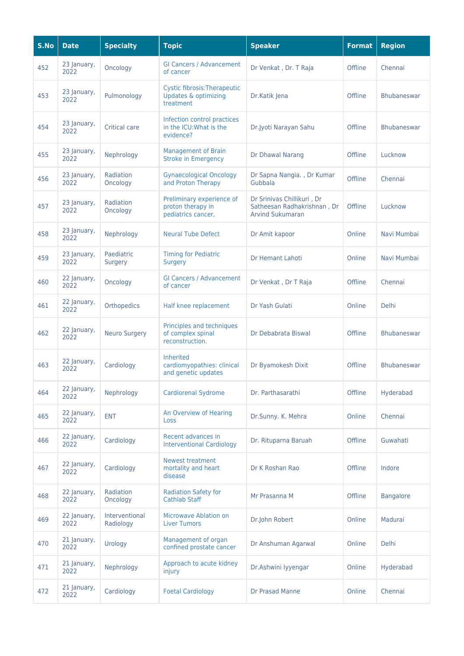| S.No | <b>Date</b>         | <b>Specialty</b>            | <b>Topic</b>                                                                        | <b>Speaker</b>                                                                       | <b>Format</b> | <b>Region</b>      |
|------|---------------------|-----------------------------|-------------------------------------------------------------------------------------|--------------------------------------------------------------------------------------|---------------|--------------------|
| 452  | 23 January,<br>2022 | Oncology                    | <b>GI Cancers / Advancement</b><br>of cancer                                        | Dr Venkat, Dr. T Raja                                                                | Offline       | Chennai            |
| 453  | 23 January,<br>2022 | Pulmonology                 | <b>Cystic fibrosis: Therapeutic</b><br><b>Updates &amp; optimizing</b><br>treatment | Dr.Katik Jena                                                                        | Offline       | <b>Bhubaneswar</b> |
| 454  | 23 January,<br>2022 | <b>Critical care</b>        | Infection control practices<br>in the ICU: What is the<br>evidence?                 | Dr.Jyoti Narayan Sahu                                                                | Offline       | <b>Bhubaneswar</b> |
| 455  | 23 January,<br>2022 | Nephrology                  | <b>Management of Brain</b><br><b>Stroke in Emergency</b>                            | Dr Dhawal Narang                                                                     | Offline       | Lucknow            |
| 456  | 23 January,<br>2022 | Radiation<br>Oncology       | <b>Gynaecological Oncology</b><br>and Proton Therapy                                | Dr Sapna Nangia., Dr Kumar<br>Gubbala                                                | Offline       | Chennai            |
| 457  | 23 January,<br>2022 | Radiation<br>Oncology       | Preliminary experience of<br>proton therapy in<br>pediatrics cancer,                | Dr Srinivas Chillikuri, Dr<br>Satheesan Radhakrishnan, Dr<br><b>Arvind Sukumaran</b> | Offline       | Lucknow            |
| 458  | 23 January,<br>2022 | Nephrology                  | <b>Neural Tube Defect</b>                                                           | Dr Amit kapoor                                                                       | Online        | Navi Mumbai        |
| 459  | 23 January,<br>2022 | Paediatric<br>Surgery       | <b>Timing for Pediatric</b><br>Surgery                                              | <b>Dr Hemant Lahoti</b>                                                              | Online        | Navi Mumbai        |
| 460  | 22 January,<br>2022 | Oncology                    | <b>GI Cancers / Advancement</b><br>of cancer                                        | Dr Venkat, Dr T Raja                                                                 | Offline       | Chennai            |
| 461  | 22 January,<br>2022 | Orthopedics                 | Half knee replacement                                                               | Dr Yash Gulati                                                                       | Online        | <b>Delhi</b>       |
| 462  | 22 January,<br>2022 | <b>Neuro Surgery</b>        | Principles and techniques<br>of complex spinal<br>reconstruction.                   | Dr Debabrata Biswal                                                                  | Offline       | <b>Bhubaneswar</b> |
| 463  | 22 January,<br>2022 | Cardiology                  | <b>Inherited</b><br>cardiomyopathies: clinical<br>and genetic updates               | Dr Byamokesh Dixit                                                                   | Offline       | <b>Bhubaneswar</b> |
| 464  | 22 January,<br>2022 | Nephrology                  | <b>Cardiorenal Sydrome</b>                                                          | Dr. Parthasarathi                                                                    | Offline       | Hyderabad          |
| 465  | 22 January,<br>2022 | <b>ENT</b>                  | An Overview of Hearing<br><b>Loss</b>                                               | Dr.Sunny. K. Mehra                                                                   | Online        | Chennai            |
| 466  | 22 January,<br>2022 | Cardiology                  | Recent advances in<br><b>Interventional Cardiology</b>                              | Dr. Rituparna Baruah                                                                 | Offline       | Guwahati           |
| 467  | 22 January,<br>2022 | Cardiology                  | <b>Newest treatment</b><br>mortality and heart<br>disease                           | Dr K Roshan Rao                                                                      | Offline       | Indore             |
| 468  | 22 January,<br>2022 | Radiation<br>Oncology       | <b>Radiation Safety for</b><br><b>Cathlab Staff</b>                                 | Mr Prasanna M                                                                        | Offline       | <b>Bangalore</b>   |
| 469  | 22 January,<br>2022 | Interventional<br>Radiology | Microwave Ablation on<br><b>Liver Tumors</b>                                        | Dr.John Robert                                                                       | Online        | Madurai            |
| 470  | 21 January,<br>2022 | Urology                     | Management of organ<br>confined prostate cancer                                     | Dr Anshuman Agarwal                                                                  | Online        | <b>Delhi</b>       |
| 471  | 21 January,<br>2022 | Nephrology                  | Approach to acute kidney<br>injury                                                  | Dr.Ashwini Iyyengar                                                                  | Online        | Hyderabad          |
| 472  | 21 January,<br>2022 | Cardiology                  | <b>Foetal Cardiology</b>                                                            | Dr Prasad Manne                                                                      | Online        | Chennai            |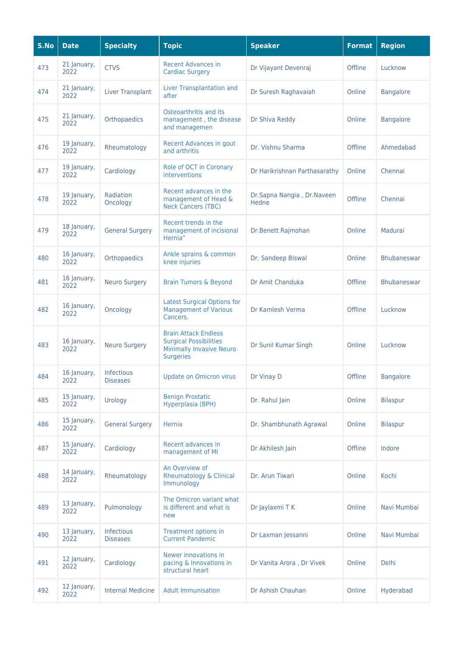| S.No | <b>Date</b>         | <b>Specialty</b>                     | <b>Topic</b>                                                                                                        | <b>Speaker</b>                      | <b>Format</b> | <b>Region</b>      |
|------|---------------------|--------------------------------------|---------------------------------------------------------------------------------------------------------------------|-------------------------------------|---------------|--------------------|
| 473  | 21 January,<br>2022 | <b>CTVS</b>                          | <b>Recent Advances in</b><br><b>Cardiac Surgery</b>                                                                 | Dr Vijayant Devenraj                | Offline       | Lucknow            |
| 474  | 21 January,<br>2022 | <b>Liver Transplant</b>              | Liver Transplantation and<br>after                                                                                  | Dr Suresh Raghavaiah                | Online        | <b>Bangalore</b>   |
| 475  | 21 January,<br>2022 | Orthopaedics                         | Osteoarthritis and its<br>management, the disease<br>and managemen                                                  | Dr Shiva Reddy                      | Online        | <b>Bangalore</b>   |
| 476  | 19 January,<br>2022 | Rheumatology                         | <b>Recent Advances in gout</b><br>and arthritis                                                                     | Dr. Vishnu Sharma                   | Offline       | Ahmedabad          |
| 477  | 19 January,<br>2022 | Cardiology                           | Role of OCT in Coronary<br>interventions                                                                            | Dr Harikrishnan Parthasarathy       | Online        | Chennai            |
| 478  | 19 January,<br>2022 | Radiation<br>Oncology                | Recent advances in the<br>management of Head &<br><b>Neck Cancers (TBC)</b>                                         | Dr.Sapna Nangia, Dr.Naveen<br>Hedne | Offline       | Chennai            |
| 479  | 18 January,<br>2022 | <b>General Surgery</b>               | Recent trends in the<br>management of incisional<br>Hernia"                                                         | Dr.Benett Rajmohan                  | Online        | Madurai            |
| 480  | 16 January,<br>2022 | Orthopaedics                         | Ankle sprains & common<br>knee injuries                                                                             | Dr. Sandeep Biswal                  | Online        | <b>Bhubaneswar</b> |
| 481  | 16 January,<br>2022 | <b>Neuro Surgery</b>                 | <b>Brain Tumors &amp; Beyond</b>                                                                                    | Dr Amit Chanduka                    | Offline       | <b>Bhubaneswar</b> |
| 482  | 16 January,<br>2022 | Oncology                             | <b>Latest Surgical Options for</b><br><b>Management of Various</b><br>Cancers.                                      | Dr Kamlesh Verma                    | Offline       | Lucknow            |
| 483  | 16 January,<br>2022 | <b>Neuro Surgery</b>                 | <b>Brain Attack Endless</b><br><b>Surgical Possibilities</b><br><b>Minimally Invasive Neuro</b><br><b>Surgeries</b> | Dr Sunil Kumar Singh                | Online        | Lucknow            |
| 484  | 16 January,<br>2022 | <b>Infectious</b><br><b>Diseases</b> | <b>Update on Omicron virus</b>                                                                                      | Dr Vinay D                          | Offline       | <b>Bangalore</b>   |
| 485  | 15 January,<br>2022 | Urology                              | <b>Benign Prostatic</b><br>Hyperplasia (BPH)                                                                        | Dr. Rahul Jain                      | Online        | <b>Bilaspur</b>    |
| 486  | 15 January,<br>2022 | <b>General Surgery</b>               | Hernia                                                                                                              | Dr. Shambhunath Agrawal             | Online        | <b>Bilaspur</b>    |
| 487  | 15 January,<br>2022 | Cardiology                           | Recent advances in<br>management of MI                                                                              | Dr Akhilesh Jain                    | Offline       | Indore             |
| 488  | 14 January,<br>2022 | Rheumatology                         | An Overview of<br><b>Rheumatology &amp; Clinical</b><br>Immunology                                                  | Dr. Arun Tiwari                     | Online        | Kochi              |
| 489  | 13 January,<br>2022 | Pulmonology                          | The Omicron variant what<br>is different and what is<br>new                                                         | Dr Jaylaxmi T K                     | Online        | Navi Mumbai        |
| 490  | 13 January,<br>2022 | Infectious<br><b>Diseases</b>        | Treatment options in<br><b>Current Pandemic</b>                                                                     | Dr Laxman Jessanni                  | Online        | Navi Mumbai        |
| 491  | 12 January,<br>2022 | Cardiology                           | Newer innovations in<br>pacing & Innovations in<br>structural heart                                                 | Dr Vanita Arora, Dr Vivek           | Online        | <b>Delhi</b>       |
| 492  | 12 January,<br>2022 | <b>Internal Medicine</b>             | <b>Adult Immunisation</b>                                                                                           | Dr Ashish Chauhan                   | Online        | Hyderabad          |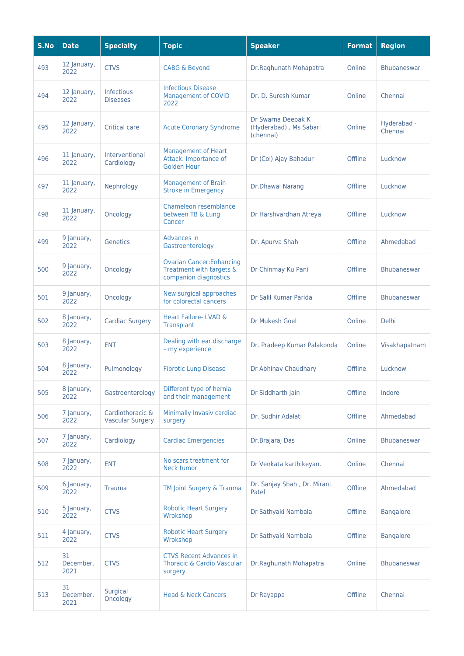| S.No | <b>Date</b>             | <b>Specialty</b>                            | <b>Topic</b>                                                                          | <b>Speaker</b>                                            | <b>Format</b> | <b>Region</b>          |
|------|-------------------------|---------------------------------------------|---------------------------------------------------------------------------------------|-----------------------------------------------------------|---------------|------------------------|
| 493  | 12 January,<br>2022     | <b>CTVS</b>                                 | <b>CABG &amp; Beyond</b>                                                              | Dr.Raghunath Mohapatra                                    | Online        | <b>Bhubaneswar</b>     |
| 494  | 12 January,<br>2022     | <b>Infectious</b><br><b>Diseases</b>        | <b>Infectious Disease</b><br><b>Management of COVID</b><br>2022                       | Dr. D. Suresh Kumar                                       | Online        | Chennai                |
| 495  | 12 January,<br>2022     | <b>Critical care</b>                        | <b>Acute Coronary Syndrome</b>                                                        | Dr Swarna Deepak K<br>(Hyderabad), Ms Sabari<br>(chennai) | Online        | Hyderabad -<br>Chennai |
| 496  | 11 January,<br>2022     | Interventional<br>Cardiology                | <b>Management of Heart</b><br>Attack: Importance of<br><b>Golden Hour</b>             | Dr (Col) Ajay Bahadur                                     | Offline       | Lucknow                |
| 497  | 11 January,<br>2022     | Nephrology                                  | <b>Management of Brain</b><br><b>Stroke in Emergency</b>                              | <b>Dr.Dhawal Narang</b>                                   | Offline       | Lucknow                |
| 498  | 11 January,<br>2022     | Oncology                                    | Chameleon resemblance<br>between TB & Lung<br>Cancer                                  | Dr Harshvardhan Atreya                                    | Offline       | Lucknow                |
| 499  | 9 January,<br>2022      | <b>Genetics</b>                             | Advances in<br>Gastroenterology                                                       | Dr. Apurva Shah                                           | Offline       | Ahmedabad              |
| 500  | 9 January,<br>2022      | Oncology                                    | <b>Ovarian Cancer: Enhancing</b><br>Treatment with targets &<br>companion diagnostics | Dr Chinmay Ku Pani                                        | Offline       | <b>Bhubaneswar</b>     |
| 501  | 9 January,<br>2022      | Oncology                                    | New surgical approaches<br>for colorectal cancers                                     | Dr Salil Kumar Parida                                     | Offline       | <b>Bhubaneswar</b>     |
| 502  | 8 January,<br>2022      | <b>Cardiac Surgery</b>                      | <b>Heart Failure-LVAD &amp;</b><br><b>Transplant</b>                                  | Dr Mukesh Goel                                            | Online        | <b>Delhi</b>           |
| 503  | 8 January,<br>2022      | <b>ENT</b>                                  | Dealing with ear discharge<br>- my experience                                         | Dr. Pradeep Kumar Palakonda                               | Online        | Visakhapatnam          |
| 504  | 8 January,<br>2022      | Pulmonology                                 | <b>Fibrotic Lung Disease</b>                                                          | Dr Abhinav Chaudhary                                      | Offline       | Lucknow                |
| 505  | 8 January,<br>2022      | Gastroenterology                            | Different type of hernia<br>and their management                                      | Dr Siddharth Jain                                         | Offline       | Indore                 |
| 506  | 7 January,<br>2022      | Cardiothoracic &<br><b>Vascular Surgery</b> | Minimally Invasiv cardiac<br>surgery                                                  | Dr. Sudhir Adalati                                        | Offline       | Ahmedabad              |
| 507  | 7 January,<br>2022      | Cardiology                                  | <b>Cardiac Emergencies</b>                                                            | Dr.Brajaraj Das                                           | Online        | <b>Bhubaneswar</b>     |
| 508  | 7 January,<br>2022      | <b>ENT</b>                                  | No scars treatment for<br>Neck tumor                                                  | Dr Venkata karthikeyan.                                   | Online        | Chennai                |
| 509  | 6 January,<br>2022      | <b>Trauma</b>                               | TM Joint Surgery & Trauma                                                             | Dr. Sanjay Shah, Dr. Mirant<br>Patel                      | Offline       | Ahmedabad              |
| 510  | 5 January,<br>2022      | <b>CTVS</b>                                 | <b>Robotic Heart Surgery</b><br>Wrokshop                                              | Dr Sathyaki Nambala                                       | Offline       | <b>Bangalore</b>       |
| 511  | 4 January,<br>2022      | <b>CTVS</b>                                 | <b>Robotic Heart Surgery</b><br>Wrokshop                                              | Dr Sathyaki Nambala                                       | Offline       | <b>Bangalore</b>       |
| 512  | 31<br>December,<br>2021 | <b>CTVS</b>                                 | <b>CTVS Recent Advances in</b><br><b>Thoracic &amp; Cardio Vascular</b><br>surgery    | Dr.Raghunath Mohapatra                                    | Online        | <b>Bhubaneswar</b>     |
| 513  | 31<br>December,<br>2021 | Surgical<br>Oncology                        | <b>Head &amp; Neck Cancers</b>                                                        | Dr Rayappa                                                | Offline       | Chennai                |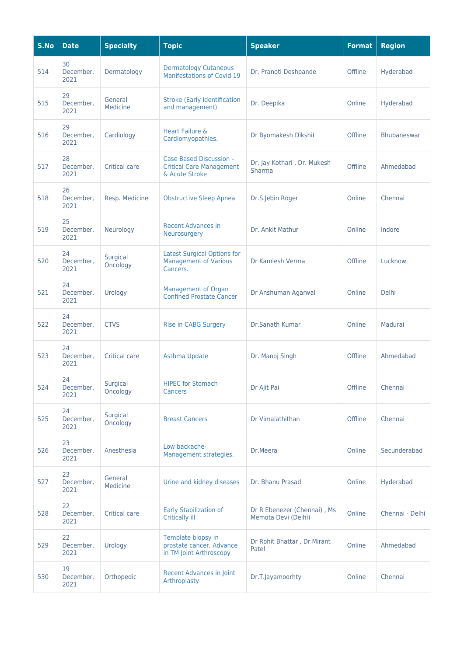| S.No | <b>Date</b>             | <b>Specialty</b>     | <b>Topic</b>                                                                   | <b>Speaker</b>                                     | <b>Format</b> | <b>Region</b>      |
|------|-------------------------|----------------------|--------------------------------------------------------------------------------|----------------------------------------------------|---------------|--------------------|
| 514  | 30<br>December,<br>2021 | Dermatology          | <b>Dermatology Cutaneous</b><br><b>Manifestations of Covid 19</b>              | Dr. Pranoti Deshpande                              | Offline       | Hyderabad          |
| 515  | 29<br>December,<br>2021 | General<br>Medicine  | <b>Stroke (Early identification</b><br>and management)                         | Dr. Deepika                                        | Online        | Hyderabad          |
| 516  | 29<br>December,<br>2021 | Cardiology           | Heart Failure &<br>Cardiomyopathies.                                           | Dr Byomakesh Dikshit                               | Offline       | <b>Bhubaneswar</b> |
| 517  | 28<br>December,<br>2021 | <b>Critical care</b> | Case Based Discussion -<br><b>Critical Care Management</b><br>& Acute Stroke   | Dr. Jay Kothari, Dr. Mukesh<br>Sharma              | Offline       | Ahmedabad          |
| 518  | 26<br>December,<br>2021 | Resp. Medicine       | <b>Obstructive Sleep Apnea</b>                                                 | Dr.S.Jebin Roger                                   | Online        | Chennai            |
| 519  | 25<br>December,<br>2021 | Neurology            | <b>Recent Advances in</b><br>Neurosurgery                                      | Dr. Ankit Mathur                                   | Online        | Indore             |
| 520  | 24<br>December,<br>2021 | Surgical<br>Oncology | <b>Latest Surgical Options for</b><br><b>Management of Various</b><br>Cancers. | Dr Kamlesh Verma                                   | Offline       | Lucknow            |
| 521  | 24<br>December,<br>2021 | Urology              | Management of Organ<br><b>Confined Prostate Cancer</b>                         | Dr Anshuman Agarwal                                | Online        | <b>Delhi</b>       |
| 522  | 24<br>December,<br>2021 | <b>CTVS</b>          | Rise in CABG Surgery                                                           | Dr.Sanath Kumar                                    | Online        | Madurai            |
| 523  | 24<br>December,<br>2021 | Critical care        | Asthma Update                                                                  | Dr. Manoj Singh                                    | Offline       | Ahmedabad          |
| 524  | 24<br>December,<br>2021 | Surgical<br>Oncology | <b>HIPEC for Stomach</b><br>Cancers                                            | Dr Ajit Pai                                        | Offline       | Chennai            |
| 525  | 24<br>December,<br>2021 | Surgical<br>Oncology | <b>Breast Cancers</b>                                                          | Dr Vimalathithan                                   | Offline       | Chennai            |
| 526  | 23<br>December,<br>2021 | Anesthesia           | Low backache-<br>Management strategies.                                        | Dr.Meera                                           | Online        | Secunderabad       |
| 527  | 23<br>December,<br>2021 | General<br>Medicine  | Urine and kidney diseases                                                      | Dr. Bhanu Prasad                                   | Online        | Hyderabad          |
| 528  | 22<br>December,<br>2021 | Critical care        | Early Stabilization of<br><b>Critically ill</b>                                | Dr R Ebenezer (Chennai), Ms<br>Memota Devi (Delhi) | Online        | Chennai - Delhi    |
| 529  | 22<br>December,<br>2021 | Urology              | Template biopsy in<br>prostate cancer, Advance<br>in TM Joint Arthroscopy      | Dr Rohit Bhattar, Dr Mirant<br>Patel               | Online        | Ahmedabad          |
| 530  | 19<br>December,<br>2021 | Orthopedic           | <b>Recent Advances in Joint</b><br>Arthroplasty                                | Dr.T.Jayamoorhty                                   | Online        | Chennai            |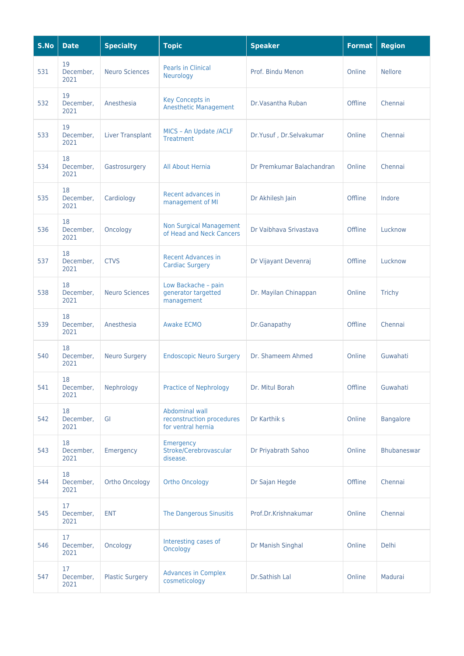| S.No | <b>Date</b>             | <b>Specialty</b>        | <b>Topic</b>                                                      | <b>Speaker</b>            | <b>Format</b> | <b>Region</b>      |
|------|-------------------------|-------------------------|-------------------------------------------------------------------|---------------------------|---------------|--------------------|
| 531  | 19<br>December,<br>2021 | <b>Neuro Sciences</b>   | <b>Pearls in Clinical</b><br>Neurology                            | Prof. Bindu Menon         | Online        | <b>Nellore</b>     |
| 532  | 19<br>December,<br>2021 | Anesthesia              | Key Concepts in<br><b>Anesthetic Management</b>                   | Dr. Vasantha Ruban        | Offline       | Chennai            |
| 533  | 19<br>December,<br>2021 | <b>Liver Transplant</b> | MICS - An Update /ACLF<br><b>Treatment</b>                        | Dr.Yusuf, Dr.Selvakumar   | Online        | Chennai            |
| 534  | 18<br>December,<br>2021 | Gastrosurgery           | All About Hernia                                                  | Dr Premkumar Balachandran | Online        | Chennai            |
| 535  | 18<br>December,<br>2021 | Cardiology              | Recent advances in<br>management of MI                            | Dr Akhilesh Jain          | Offline       | Indore             |
| 536  | 18<br>December,<br>2021 | Oncology                | <b>Non Surgical Management</b><br>of Head and Neck Cancers        | Dr Vaibhava Srivastava    | Offline       | Lucknow            |
| 537  | 18<br>December,<br>2021 | <b>CTVS</b>             | <b>Recent Advances in</b><br><b>Cardiac Surgery</b>               | Dr Vijayant Devenraj      | Offline       | Lucknow            |
| 538  | 18<br>December,<br>2021 | <b>Neuro Sciences</b>   | Low Backache - pain<br>generator targetted<br>management          | Dr. Mayilan Chinappan     | Online        | <b>Trichy</b>      |
| 539  | 18<br>December,<br>2021 | Anesthesia              | <b>Awake ECMO</b>                                                 | Dr.Ganapathy              | Offline       | Chennai            |
| 540  | 18<br>December,<br>2021 | <b>Neuro Surgery</b>    | <b>Endoscopic Neuro Surgery</b>                                   | Dr. Shameem Ahmed         | Online        | Guwahati           |
| 541  | 18<br>December,<br>2021 | Nephrology              | <b>Practice of Nephrology</b>                                     | Dr. Mitul Borah           | Offline       | Guwahati           |
| 542  | 18<br>December,<br>2021 | GI                      | Abdominal wall<br>reconstruction procedures<br>for ventral hernia | Dr Karthik s              | Online        | <b>Bangalore</b>   |
| 543  | 18<br>December,<br>2021 | Emergency               | Emergency<br>Stroke/Cerebrovascular<br>disease.                   | Dr Priyabrath Sahoo       | Online        | <b>Bhubaneswar</b> |
| 544  | 18<br>December,<br>2021 | <b>Ortho Oncology</b>   | <b>Ortho Oncology</b>                                             | Dr Sajan Hegde            | Offline       | Chennai            |
| 545  | 17<br>December,<br>2021 | <b>ENT</b>              | The Dangerous Sinusitis                                           | Prof.Dr.Krishnakumar      | Online        | Chennai            |
| 546  | 17<br>December,<br>2021 | Oncology                | Interesting cases of<br>Oncology                                  | Dr Manish Singhal         | Online        | Delhi              |
| 547  | 17<br>December,<br>2021 | <b>Plastic Surgery</b>  | <b>Advances in Complex</b><br>cosmeticology                       | Dr.Sathish Lal            | Online        | Madurai            |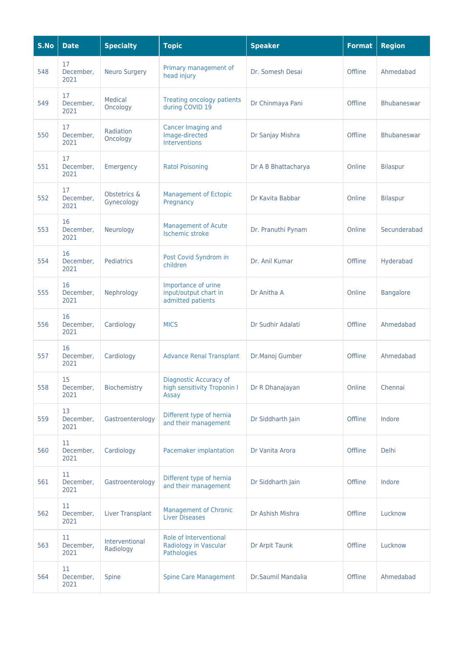| S.No | <b>Date</b>             | <b>Specialty</b>            | <b>Topic</b>                                                      | <b>Speaker</b>      | <b>Format</b> | <b>Region</b>      |
|------|-------------------------|-----------------------------|-------------------------------------------------------------------|---------------------|---------------|--------------------|
| 548  | 17<br>December,<br>2021 | <b>Neuro Surgery</b>        | Primary management of<br>head injury                              | Dr. Somesh Desai    | Offline       | Ahmedabad          |
| 549  | 17<br>December,<br>2021 | Medical<br>Oncology         | <b>Treating oncology patients</b><br>during COVID 19              | Dr Chinmaya Pani    | Offline       | <b>Bhubaneswar</b> |
| 550  | 17<br>December,<br>2021 | Radiation<br>Oncology       | Cancer Imaging and<br>Image-directed<br><b>Interventions</b>      | Dr Sanjay Mishra    | Offline       | <b>Bhubaneswar</b> |
| 551  | 17<br>December,<br>2021 | Emergency                   | <b>Ratol Poisoning</b>                                            | Dr A B Bhattacharya | Online        | <b>Bilaspur</b>    |
| 552  | 17<br>December,<br>2021 | Obstetrics &<br>Gynecology  | <b>Management of Ectopic</b><br>Pregnancy                         | Dr Kavita Babbar    | Online        | <b>Bilaspur</b>    |
| 553  | 16<br>December,<br>2021 | Neurology                   | <b>Management of Acute</b><br><b>Ischemic stroke</b>              | Dr. Pranuthi Pynam  | Online        | Secunderabad       |
| 554  | 16<br>December,<br>2021 | Pediatrics                  | Post Covid Syndrom in<br>children                                 | Dr. Anil Kumar      | Offline       | Hyderabad          |
| 555  | 16<br>December,<br>2021 | Nephrology                  | Importance of urine<br>input/output chart in<br>admitted patients | Dr Anitha A         | Online        | <b>Bangalore</b>   |
| 556  | 16<br>December,<br>2021 | Cardiology                  | <b>MICS</b>                                                       | Dr Sudhir Adalati   | Offline       | Ahmedabad          |
| 557  | 16<br>December,<br>2021 | Cardiology                  | <b>Advance Renal Transplant</b>                                   | Dr.Manoj Gumber     | Offline       | Ahmedabad          |
| 558  | 15<br>December,<br>2021 | Biochemistry                | Diagnostic Accuracy of<br>high sensitivity Troponin I<br>Assay    | Dr R Dhanajayan     | Online        | Chennai            |
| 559  | 13<br>December,<br>2021 | Gastroenterology            | Different type of hernia<br>and their management                  | Dr Siddharth Jain   | Offline       | Indore             |
| 560  | 11<br>December,<br>2021 | Cardiology                  | Pacemaker implantation                                            | Dr Vanita Arora     | Offline       | <b>Delhi</b>       |
| 561  | 11<br>December,<br>2021 | Gastroenterology            | Different type of hernia<br>and their management                  | Dr Siddharth Jain   | Offline       | Indore             |
| 562  | 11<br>December,<br>2021 | <b>Liver Transplant</b>     | <b>Management of Chronic</b><br><b>Liver Diseases</b>             | Dr Ashish Mishra    | Offline       | Lucknow            |
| 563  | 11<br>December,<br>2021 | Interventional<br>Radiology | Role of Interventional<br>Radiology in Vascular<br>Pathologies    | Dr Arpit Taunk      | Offline       | Lucknow            |
| 564  | 11<br>December,<br>2021 | Spine                       | <b>Spine Care Management</b>                                      | Dr.Saumil Mandalia  | Offline       | Ahmedabad          |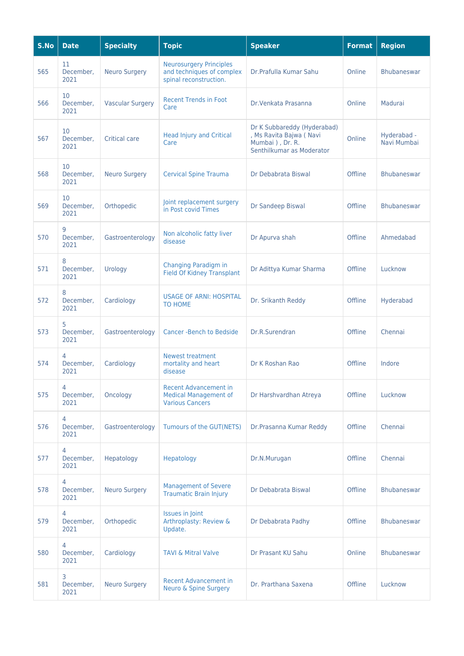| S.No | <b>Date</b>             | <b>Specialty</b>        | <b>Topic</b>                                                                           | <b>Speaker</b>                                                                                          | <b>Format</b> | <b>Region</b>              |
|------|-------------------------|-------------------------|----------------------------------------------------------------------------------------|---------------------------------------------------------------------------------------------------------|---------------|----------------------------|
| 565  | 11<br>December,<br>2021 | <b>Neuro Surgery</b>    | <b>Neurosurgery Principles</b><br>and techniques of complex<br>spinal reconstruction.  | Dr.Prafulla Kumar Sahu                                                                                  | Online        | <b>Bhubaneswar</b>         |
| 566  | 10<br>December,<br>2021 | <b>Vascular Surgery</b> | <b>Recent Trends in Foot</b><br>Care                                                   | Dr. Venkata Prasanna                                                                                    | Online        | Madurai                    |
| 567  | 10<br>December,<br>2021 | <b>Critical care</b>    | <b>Head Injury and Critical</b><br>Care                                                | Dr K Subbareddy (Hyderabad)<br>, Ms Ravita Bajwa (Navi<br>Mumbai ), Dr. R.<br>Senthilkumar as Moderator | Online        | Hyderabad -<br>Navi Mumbai |
| 568  | 10<br>December,<br>2021 | <b>Neuro Surgery</b>    | <b>Cervical Spine Trauma</b>                                                           | Dr Debabrata Biswal                                                                                     | Offline       | <b>Bhubaneswar</b>         |
| 569  | 10<br>December,<br>2021 | Orthopedic              | Joint replacement surgery<br>in Post covid Times                                       | Dr Sandeep Biswal                                                                                       | Offline       | <b>Bhubaneswar</b>         |
| 570  | 9<br>December,<br>2021  | Gastroenterology        | Non alcoholic fatty liver<br>disease                                                   | Dr Apurva shah                                                                                          | Offline       | Ahmedabad                  |
| 571  | 8<br>December,<br>2021  | Urology                 | Changing Paradigm in<br><b>Field Of Kidney Transplant</b>                              | Dr Adittya Kumar Sharma                                                                                 | Offline       | Lucknow                    |
| 572  | 8<br>December,<br>2021  | Cardiology              | <b>USAGE OF ARNI: HOSPITAL</b><br>TO HOME                                              | Dr. Srikanth Reddy                                                                                      | Offline       | Hyderabad                  |
| 573  | 5<br>December,<br>2021  | Gastroenterology        | <b>Cancer-Bench to Bedside</b>                                                         | Dr.R.Surendran                                                                                          | Offline       | Chennai                    |
| 574  | 4<br>December,<br>2021  | Cardiology              | Newest treatment<br>mortality and heart<br>disease                                     | Dr K Roshan Rao                                                                                         | Offline       | Indore                     |
| 575  | 4<br>December,<br>2021  | Oncology                | <b>Recent Advancement in</b><br><b>Medical Management of</b><br><b>Various Cancers</b> | Dr Harshvardhan Atreya                                                                                  | Offline       | Lucknow                    |
| 576  | 4<br>December,<br>2021  | Gastroenterology        | Tumours of the GUT(NETS)                                                               | Dr.Prasanna Kumar Reddy                                                                                 | Offline       | Chennai                    |
| 577  | 4<br>December,<br>2021  | Hepatology              | Hepatology                                                                             | Dr.N.Murugan                                                                                            | Offline       | Chennai                    |
| 578  | 4<br>December,<br>2021  | <b>Neuro Surgery</b>    | <b>Management of Severe</b><br><b>Traumatic Brain Injury</b>                           | Dr Debabrata Biswal                                                                                     | Offline       | Bhubaneswar                |
| 579  | 4<br>December,<br>2021  | Orthopedic              | <b>Issues in Joint</b><br>Arthroplasty: Review &<br>Update.                            | Dr Debabrata Padhy                                                                                      | Offline       | Bhubaneswar                |
| 580  | 4<br>December,<br>2021  | Cardiology              | <b>TAVI &amp; Mitral Valve</b>                                                         | Dr Prasant KU Sahu                                                                                      | Online        | Bhubaneswar                |
| 581  | 3<br>December,<br>2021  | <b>Neuro Surgery</b>    | <b>Recent Advancement in</b><br><b>Neuro &amp; Spine Surgery</b>                       | Dr. Prarthana Saxena                                                                                    | Offline       | Lucknow                    |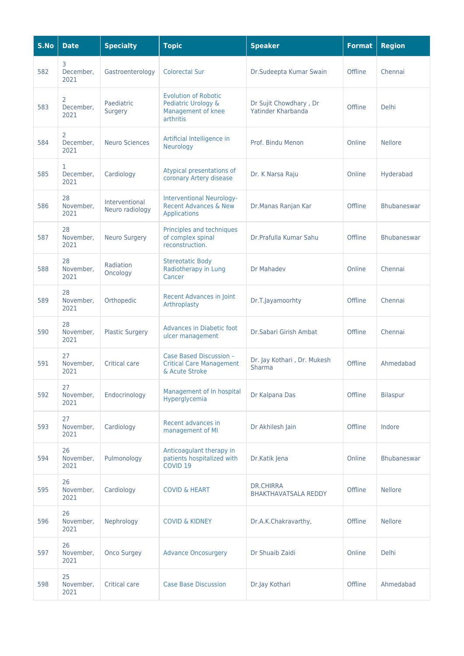| S.No | <b>Date</b>             | <b>Specialty</b>                  | <b>Topic</b>                                                                                | <b>Speaker</b>                                  | <b>Format</b> | <b>Region</b>      |
|------|-------------------------|-----------------------------------|---------------------------------------------------------------------------------------------|-------------------------------------------------|---------------|--------------------|
| 582  | 3<br>December,<br>2021  | Gastroenterology                  | <b>Colorectal Sur</b>                                                                       | Dr.Sudeepta Kumar Swain                         | Offline       | Chennai            |
| 583  | 2<br>December,<br>2021  | Paediatric<br>Surgery             | <b>Evolution of Robotic</b><br>Pediatric Urology &<br>Management of knee<br>arthritis       | Dr Sujit Chowdhary, Dr<br>Yatinder Kharbanda    | Offline       | <b>Delhi</b>       |
| 584  | 2<br>December,<br>2021  | <b>Neuro Sciences</b>             | Artificial Intelligence in<br>Neurology                                                     | Prof. Bindu Menon                               | Online        | <b>Nellore</b>     |
| 585  | 1.<br>December,<br>2021 | Cardiology                        | Atypical presentations of<br>coronary Artery disease                                        | Dr. K Narsa Raju                                | Online        | Hyderabad          |
| 586  | 28<br>November,<br>2021 | Interventional<br>Neuro radiology | <b>Interventional Neurology-</b><br><b>Recent Advances &amp; New</b><br><b>Applications</b> | Dr.Manas Ranjan Kar                             | Offline       | <b>Bhubaneswar</b> |
| 587  | 28<br>November,<br>2021 | <b>Neuro Surgery</b>              | Principles and techniques<br>of complex spinal<br>reconstruction.                           | Dr.Prafulla Kumar Sahu                          | Offline       | <b>Bhubaneswar</b> |
| 588  | 28<br>November,<br>2021 | <b>Radiation</b><br>Oncology      | <b>Stereotatic Body</b><br>Radiotherapy in Lung<br>Cancer                                   | Dr Mahadev                                      | Online        | Chennai            |
| 589  | 28<br>November,<br>2021 | Orthopedic                        | <b>Recent Advances in Joint</b><br>Arthroplasty                                             | Dr.T.Jayamoorhty                                | Offline       | Chennai            |
| 590  | 28<br>November,<br>2021 | <b>Plastic Surgery</b>            | <b>Advances in Diabetic foot</b><br>ulcer management                                        | Dr.Sabari Girish Ambat                          | Offline       | Chennai            |
| 591  | 27<br>November,<br>2021 | <b>Critical care</b>              | Case Based Discussion -<br><b>Critical Care Management</b><br>& Acute Stroke                | Dr. Jay Kothari, Dr. Mukesh<br>Sharma           | Offline       | Ahmedabad          |
| 592  | 27<br>November,<br>2021 | Endocrinology                     | Management of In hospital<br>Hyperglycemia                                                  | Dr Kalpana Das                                  | Offline       | <b>Bilaspur</b>    |
| 593  | 27<br>November,<br>2021 | Cardiology                        | Recent advances in<br>management of MI                                                      | Dr Akhilesh Jain                                | Offline       | Indore             |
| 594  | 26<br>November,<br>2021 | Pulmonology                       | Anticoagulant therapy in<br>patients hospitalized with<br>COVID <sub>19</sub>               | Dr.Katik Jena                                   | Online        | <b>Bhubaneswar</b> |
| 595  | 26<br>November,<br>2021 | Cardiology                        | <b>COVID &amp; HEART</b>                                                                    | <b>DR.CHIRRA</b><br><b>BHAKTHAVATSALA REDDY</b> | Offline       | <b>Nellore</b>     |
| 596  | 26<br>November,<br>2021 | Nephrology                        | <b>COVID &amp; KIDNEY</b>                                                                   | Dr.A.K.Chakravarthy,                            | Offline       | <b>Nellore</b>     |
| 597  | 26<br>November,<br>2021 | <b>Onco Surgey</b>                | <b>Advance Oncosurgery</b>                                                                  | Dr Shuaib Zaidi                                 | Online        | <b>Delhi</b>       |
| 598  | 25<br>November,<br>2021 | <b>Critical care</b>              | <b>Case Base Discussion</b>                                                                 | Dr.Jay Kothari                                  | Offline       | Ahmedabad          |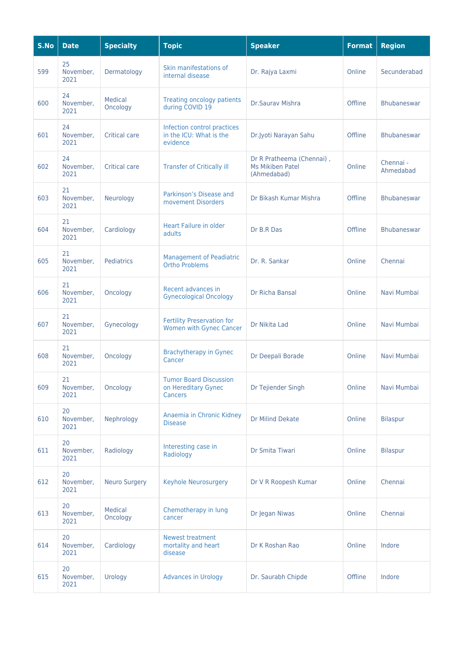| S.No | <b>Date</b>             | <b>Specialty</b>     | <b>Topic</b>                                                           | <b>Speaker</b>                                                      | <b>Format</b> | <b>Region</b>          |
|------|-------------------------|----------------------|------------------------------------------------------------------------|---------------------------------------------------------------------|---------------|------------------------|
| 599  | 25<br>November,<br>2021 | Dermatology          | Skin manifestations of<br>internal disease                             | Dr. Rajya Laxmi                                                     | Online        | Secunderabad           |
| 600  | 24<br>November,<br>2021 | Medical<br>Oncology  | <b>Treating oncology patients</b><br>during COVID 19                   | Dr.Saurav Mishra                                                    | Offline       | <b>Bhubaneswar</b>     |
| 601  | 24<br>November,<br>2021 | <b>Critical care</b> | Infection control practices<br>in the ICU: What is the<br>evidence     | Dr.Jyoti Narayan Sahu                                               | Offline       | <b>Bhubaneswar</b>     |
| 602  | 24<br>November,<br>2021 | <b>Critical care</b> | <b>Transfer of Critically ill</b>                                      | Dr R Pratheema (Chennai),<br><b>Ms Mikiben Patel</b><br>(Ahmedabad) | Online        | Chennai -<br>Ahmedabad |
| 603  | 21<br>November,<br>2021 | Neurology            | Parkinson's Disease and<br>movement Disorders                          | Dr Bikash Kumar Mishra                                              | Offline       | <b>Bhubaneswar</b>     |
| 604  | 21<br>November,<br>2021 | Cardiology           | <b>Heart Failure in older</b><br>adults                                | Dr B.R Das                                                          | Offline       | <b>Bhubaneswar</b>     |
| 605  | 21<br>November,<br>2021 | Pediatrics           | <b>Management of Peadiatric</b><br><b>Ortho Problems</b>               | Dr. R. Sankar                                                       | Online        | Chennai                |
| 606  | 21<br>November,<br>2021 | Oncology             | Recent advances in<br><b>Gynecological Oncology</b>                    | Dr Richa Bansal                                                     | Online        | Navi Mumbai            |
| 607  | 21<br>November,<br>2021 | Gynecology           | <b>Fertility Preservation for</b><br><b>Women with Gynec Cancer</b>    | Dr Nikita Lad                                                       | Online        | Navi Mumbai            |
| 608  | 21<br>November,<br>2021 | Oncology             | <b>Brachytherapy in Gynec</b><br>Cancer                                | Dr Deepali Borade                                                   | Online        | Navi Mumbai            |
| 609  | 21<br>November,<br>2021 | Oncology             | <b>Tumor Board Discussion</b><br>on Hereditary Gynec<br><b>Cancers</b> | Dr Tejiender Singh                                                  | Online        | Navi Mumbai            |
| 610  | 20<br>November,<br>2021 | Nephrology           | Anaemia in Chronic Kidney<br><b>Disease</b>                            | <b>Dr Milind Dekate</b>                                             | Online        | <b>Bilaspur</b>        |
| 611  | 20<br>November,<br>2021 | Radiology            | Interesting case in<br>Radiology                                       | Dr Smita Tiwari                                                     | Online        | <b>Bilaspur</b>        |
| 612  | 20<br>November,<br>2021 | <b>Neuro Surgery</b> | <b>Keyhole Neurosurgery</b>                                            | Dr V R Roopesh Kumar                                                | Online        | Chennai                |
| 613  | 20<br>November,<br>2021 | Medical<br>Oncology  | Chemotherapy in lung<br>cancer                                         | Dr Jegan Niwas                                                      | Online        | Chennai                |
| 614  | 20<br>November,<br>2021 | Cardiology           | <b>Newest treatment</b><br>mortality and heart<br>disease              | Dr K Roshan Rao                                                     | Online        | Indore                 |
| 615  | 20<br>November,<br>2021 | Urology              | <b>Advances in Urology</b>                                             | Dr. Saurabh Chipde                                                  | Offline       | Indore                 |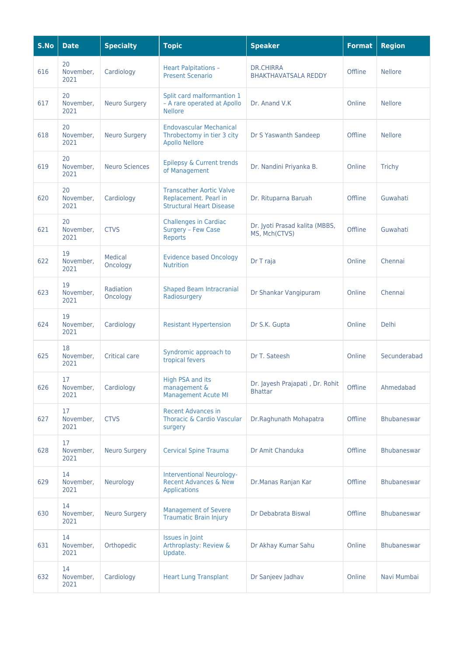| S.No | <b>Date</b>             | <b>Specialty</b>      | <b>Topic</b>                                                                                | <b>Speaker</b>                                    | <b>Format</b> | <b>Region</b>      |
|------|-------------------------|-----------------------|---------------------------------------------------------------------------------------------|---------------------------------------------------|---------------|--------------------|
| 616  | 20<br>November,<br>2021 | Cardiology            | <b>Heart Palpitations -</b><br><b>Present Scenario</b>                                      | <b>DR.CHIRRA</b><br><b>BHAKTHAVATSALA REDDY</b>   | Offline       | <b>Nellore</b>     |
| 617  | 20<br>November,<br>2021 | <b>Neuro Surgery</b>  | Split card malformantion 1<br>- A rare operated at Apollo<br><b>Nellore</b>                 | Dr. Anand V.K                                     | Online        | <b>Nellore</b>     |
| 618  | 20<br>November,<br>2021 | <b>Neuro Surgery</b>  | <b>Endovascular Mechanical</b><br>Throbectomy in tier 3 city<br><b>Apollo Nellore</b>       | Dr S Yaswanth Sandeep                             | Offline       | <b>Nellore</b>     |
| 619  | 20<br>November,<br>2021 | <b>Neuro Sciences</b> | Epilepsy & Current trends<br>of Management                                                  | Dr. Nandini Priyanka B.                           | Online        | <b>Trichy</b>      |
| 620  | 20<br>November,<br>2021 | Cardiology            | <b>Transcather Aortic Valve</b><br>Replacement. Pearl in<br><b>Structural Heart Disease</b> | Dr. Rituparna Baruah                              | Offline       | Guwahati           |
| 621  | 20<br>November,<br>2021 | <b>CTVS</b>           | <b>Challenges in Cardiac</b><br>Surgery - Few Case<br>Reports                               | Dr. Jyoti Prasad kalita (MBBS,<br>MS, Mch(CTVS)   | Offline       | Guwahati           |
| 622  | 19<br>November,<br>2021 | Medical<br>Oncology   | <b>Evidence based Oncology</b><br><b>Nutrition</b>                                          | Dr T raja                                         | Online        | Chennai            |
| 623  | 19<br>November,<br>2021 | Radiation<br>Oncology | <b>Shaped Beam Intracranial</b><br>Radiosurgery                                             | Dr Shankar Vangipuram                             | Online        | Chennai            |
| 624  | 19<br>November,<br>2021 | Cardiology            | <b>Resistant Hypertension</b>                                                               | Dr S.K. Gupta                                     | Online        | <b>Delhi</b>       |
| 625  | 18<br>November,<br>2021 | <b>Critical care</b>  | Syndromic approach to<br>tropical fevers                                                    | Dr T. Sateesh                                     | Online        | Secunderabad       |
| 626  | 17<br>November,<br>2021 | Cardiology            | High PSA and its<br>management &<br><b>Management Acute MI</b>                              | Dr. Jayesh Prajapati, Dr. Rohit<br><b>Bhattar</b> | Offline       | Ahmedabad          |
| 627  | 17<br>November.<br>2021 | <b>CTVS</b>           | <b>Recent Advances in</b><br>Thoracic & Cardio Vascular<br>surgery                          | Dr.Raghunath Mohapatra                            | Offline       | Bhubaneswar        |
| 628  | 17<br>November,<br>2021 | <b>Neuro Surgery</b>  | <b>Cervical Spine Trauma</b>                                                                | Dr Amit Chanduka                                  | Offline       | <b>Bhubaneswar</b> |
| 629  | 14<br>November,<br>2021 | Neurology             | <b>Interventional Neurology-</b><br>Recent Advances & New<br><b>Applications</b>            | Dr.Manas Ranjan Kar                               | Offline       | <b>Bhubaneswar</b> |
| 630  | 14<br>November,<br>2021 | <b>Neuro Surgery</b>  | <b>Management of Severe</b><br><b>Traumatic Brain Injury</b>                                | Dr Debabrata Biswal                               | Offline       | <b>Bhubaneswar</b> |
| 631  | 14<br>November,<br>2021 | Orthopedic            | <b>Issues in Joint</b><br>Arthroplasty: Review &<br>Update.                                 | Dr Akhay Kumar Sahu                               | Online        | Bhubaneswar        |
| 632  | 14<br>November,<br>2021 | Cardiology            | <b>Heart Lung Transplant</b>                                                                | Dr Sanjeev Jadhav                                 | Online        | Navi Mumbai        |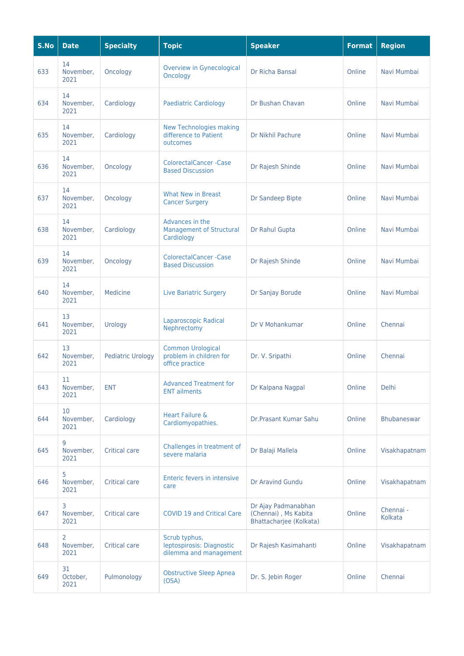| S.No | <b>Date</b>             | <b>Specialty</b>         | <b>Topic</b>                                                           | <b>Speaker</b>                                                         | <b>Format</b> | <b>Region</b>        |
|------|-------------------------|--------------------------|------------------------------------------------------------------------|------------------------------------------------------------------------|---------------|----------------------|
| 633  | 14<br>November,<br>2021 | Oncology                 | <b>Overview in Gynecological</b><br>Oncology                           | Dr Richa Bansal                                                        | Online        | Navi Mumbai          |
| 634  | 14<br>November,<br>2021 | Cardiology               | <b>Paediatric Cardiology</b>                                           | Dr Bushan Chavan                                                       | Online        | Navi Mumbai          |
| 635  | 14<br>November,<br>2021 | Cardiology               | <b>New Technologies making</b><br>difference to Patient<br>outcomes    | Dr Nikhil Pachure                                                      | Online        | Navi Mumbai          |
| 636  | 14<br>November,<br>2021 | Oncology                 | <b>ColorectalCancer -Case</b><br><b>Based Discussion</b>               | Dr Rajesh Shinde                                                       | Online        | Navi Mumbai          |
| 637  | 14<br>November,<br>2021 | Oncology                 | <b>What New in Breast</b><br><b>Cancer Surgery</b>                     | Dr Sandeep Bipte                                                       | Online        | Navi Mumbai          |
| 638  | 14<br>November,<br>2021 | Cardiology               | Advances in the<br><b>Management of Structural</b><br>Cardiology       | Dr Rahul Gupta                                                         | Online        | Navi Mumbai          |
| 639  | 14<br>November,<br>2021 | Oncology                 | <b>ColorectalCancer -Case</b><br><b>Based Discussion</b>               | Dr Rajesh Shinde                                                       | Online        | Navi Mumbai          |
| 640  | 14<br>November,<br>2021 | Medicine                 | <b>Live Bariatric Surgery</b>                                          | Dr Sanjay Borude                                                       | Online        | Navi Mumbai          |
| 641  | 13<br>November,<br>2021 | Urology                  | Laparoscopic Radical<br>Nephrectomy                                    | Dr V Mohankumar                                                        | Online        | Chennai              |
| 642  | 13<br>November,<br>2021 | <b>Pediatric Urology</b> | <b>Common Urological</b><br>problem in children for<br>office practice | Dr. V. Sripathi                                                        | Online        | Chennai              |
| 643  | 11<br>November,<br>2021 | <b>ENT</b>               | <b>Advanced Treatment for</b><br><b>ENT</b> ailments                   | Dr Kalpana Nagpal                                                      | Online        | Delhi                |
| 644  | 10<br>November,<br>2021 | Cardiology               | Heart Failure &<br>Cardiomyopathies.                                   | Dr.Prasant Kumar Sahu                                                  | Online        | <b>Bhubaneswar</b>   |
| 645  | 9<br>November,<br>2021  | <b>Critical care</b>     | Challenges in treatment of<br>severe malaria                           | Dr Balaji Mallela                                                      | Online        | Visakhapatnam        |
| 646  | 5<br>November,<br>2021  | <b>Critical care</b>     | Enteric fevers in intensive<br>care                                    | Dr Aravind Gundu                                                       | Online        | Visakhapatnam        |
| 647  | 3<br>November,<br>2021  | <b>Critical care</b>     | <b>COVID 19 and Critical Care</b>                                      | Dr Ajay Padmanabhan<br>(Chennai), Ms Kabita<br>Bhattacharjee (Kolkata) | Online        | Chennai -<br>Kolkata |
| 648  | 2<br>November,<br>2021  | Critical care            | Scrub typhus,<br>leptospirosis: Diagnostic<br>dilemma and management   | Dr Rajesh Kasimahanti                                                  | Online        | Visakhapatnam        |
| 649  | 31<br>October,<br>2021  | Pulmonology              | <b>Obstructive Sleep Apnea</b><br>OSA)                                 | Dr. S. Jebin Roger                                                     | Online        | Chennai              |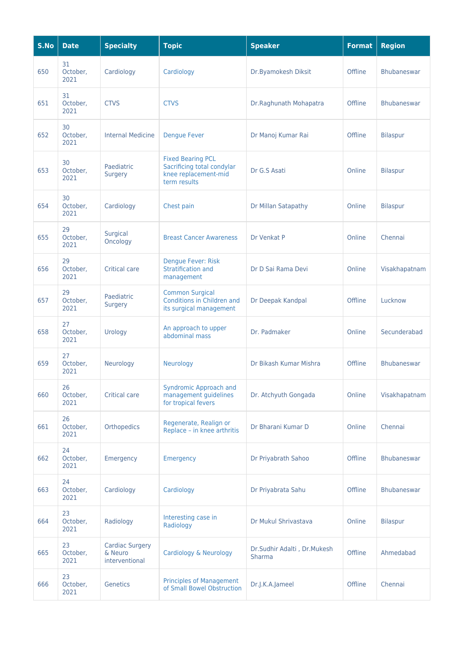| S.No | <b>Date</b>            | <b>Specialty</b>                                    | <b>Topic</b>                                                                                   | <b>Speaker</b>                               | <b>Format</b> | <b>Region</b>      |
|------|------------------------|-----------------------------------------------------|------------------------------------------------------------------------------------------------|----------------------------------------------|---------------|--------------------|
| 650  | 31<br>October,<br>2021 | Cardiology                                          | Cardiology                                                                                     | Dr.Byamokesh Diksit                          | Offline       | <b>Bhubaneswar</b> |
| 651  | 31<br>October,<br>2021 | <b>CTVS</b>                                         | <b>CTVS</b>                                                                                    | Dr.Raghunath Mohapatra                       | Offline       | <b>Bhubaneswar</b> |
| 652  | 30<br>October,<br>2021 | <b>Internal Medicine</b>                            | <b>Dengue Fever</b>                                                                            | Dr Manoj Kumar Rai                           | Offline       | <b>Bilaspur</b>    |
| 653  | 30<br>October,<br>2021 | Paediatric<br><b>Surgery</b>                        | <b>Fixed Bearing PCL</b><br>Sacrificing total condylar<br>knee replacement-mid<br>term results | Dr G.S Asati                                 | Online        | <b>Bilaspur</b>    |
| 654  | 30<br>October,<br>2021 | Cardiology                                          | Chest pain                                                                                     | Dr Millan Satapathy                          | Online        | Bilaspur           |
| 655  | 29<br>October,<br>2021 | Surgical<br>Oncology                                | <b>Breast Cancer Awareness</b>                                                                 | Dr Venkat P                                  | Online        | Chennai            |
| 656  | 29<br>October,<br>2021 | <b>Critical care</b>                                | Dengue Fever: Risk<br>Stratification and<br>management                                         | Dr D Sai Rama Devi                           | Online        | Visakhapatnam      |
| 657  | 29<br>October,<br>2021 | Paediatric<br><b>Surgery</b>                        | <b>Common Surgical</b><br>Conditions in Children and<br>its surgical management                | Dr Deepak Kandpal                            | Offline       | Lucknow            |
| 658  | 27<br>October,<br>2021 | Urology                                             | An approach to upper<br>abdominal mass                                                         | Dr. Padmaker                                 | Online        | Secunderabad       |
| 659  | 27<br>October,<br>2021 | Neurology                                           | Neurology                                                                                      | Dr Bikash Kumar Mishra                       | Offline       | <b>Bhubaneswar</b> |
| 660  | 26<br>October,<br>2021 | <b>Critical care</b>                                | <b>Syndromic Approach and</b><br>management guidelines<br>for tropical fevers                  | Dr. Atchyuth Gongada                         | Online        | Visakhapatnam      |
| 661  | 26<br>October,<br>2021 | Orthopedics                                         | Regenerate, Realign or<br>Replace - in knee arthritis                                          | Dr Bharani Kumar D                           | Online        | Chennai            |
| 662  | 24<br>October,<br>2021 | Emergency                                           | Emergency                                                                                      | Dr Priyabrath Sahoo                          | Offline       | Bhubaneswar        |
| 663  | 24<br>October,<br>2021 | Cardiology                                          | Cardiology                                                                                     | Dr Priyabrata Sahu                           | Offline       | Bhubaneswar        |
| 664  | 23<br>October,<br>2021 | Radiology                                           | Interesting case in<br>Radiology                                                               | Dr Mukul Shrivastava                         | Online        | <b>Bilaspur</b>    |
| 665  | 23<br>October,<br>2021 | <b>Cardiac Surgery</b><br>& Neuro<br>interventional | Cardiology & Neurology                                                                         | Dr.Sudhir Adalti, Dr.Mukesh<br><b>Sharma</b> | Offline       | Ahmedabad          |
| 666  | 23<br>October,<br>2021 | Genetics                                            | <b>Principles of Management</b><br>of Small Bowel Obstruction                                  | Dr.J.K.A.Jameel                              | Offline       | Chennai            |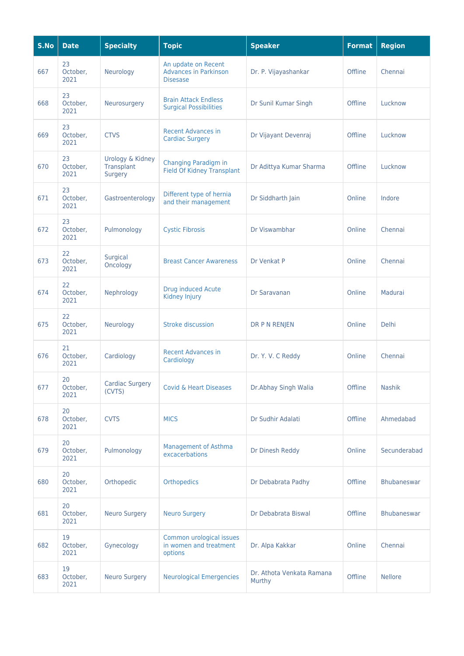| S.No | <b>Date</b>            | <b>Specialty</b>                          | <b>Topic</b>                                                           | <b>Speaker</b>                      | <b>Format</b> | <b>Region</b>  |
|------|------------------------|-------------------------------------------|------------------------------------------------------------------------|-------------------------------------|---------------|----------------|
| 667  | 23<br>October,<br>2021 | Neurology                                 | An update on Recent<br><b>Advances in Parkinson</b><br><b>Disesase</b> | Dr. P. Vijayashankar                | Offline       | Chennai        |
| 668  | 23<br>October,<br>2021 | Neurosurgery                              | <b>Brain Attack Endless</b><br><b>Surgical Possibilities</b>           | Dr Sunil Kumar Singh                | Offline       | Lucknow        |
| 669  | 23<br>October,<br>2021 | <b>CTVS</b>                               | <b>Recent Advances in</b><br><b>Cardiac Surgery</b>                    | Dr Vijayant Devenraj                | Offline       | Lucknow        |
| 670  | 23<br>October,<br>2021 | Urology & Kidney<br>Transplant<br>Surgery | Changing Paradigm in<br><b>Field Of Kidney Transplant</b>              | Dr Adittya Kumar Sharma             | Offline       | Lucknow        |
| 671  | 23<br>October,<br>2021 | Gastroenterology                          | Different type of hernia<br>and their management                       | Dr Siddharth Jain                   | Online        | Indore         |
| 672  | 23<br>October,<br>2021 | Pulmonology                               | <b>Cystic Fibrosis</b>                                                 | Dr Viswambhar                       | Online        | Chennai        |
| 673  | 22<br>October,<br>2021 | Surgical<br>Oncology                      | <b>Breast Cancer Awareness</b>                                         | Dr Venkat P                         | Online        | Chennai        |
| 674  | 22<br>October,<br>2021 | Nephrology                                | <b>Drug induced Acute</b><br>Kidney Injury                             | Dr Saravanan                        | Online        | Madurai        |
| 675  | 22<br>October,<br>2021 | Neurology                                 | <b>Stroke discussion</b>                                               | DR P N RENJEN                       | Online        | <b>Delhi</b>   |
| 676  | 21<br>October,<br>2021 | Cardiology                                | <b>Recent Advances in</b><br>Cardiology                                | Dr. Y. V. C Reddy                   | Online        | Chennai        |
| 677  | 20<br>October,<br>2021 | Cardiac Surgery<br>(CVTS)                 | <b>Covid &amp; Heart Diseases</b>                                      | Dr.Abhay Singh Walia                | Offline       | Nashik         |
| 678  | 20<br>October,<br>2021 | <b>CVTS</b>                               | <b>MICS</b>                                                            | Dr Sudhir Adalati                   | Offline       | Ahmedabad      |
| 679  | 20<br>October,<br>2021 | Pulmonology                               | <b>Management of Asthma</b><br>excacerbations                          | Dr Dinesh Reddy                     | Online        | Secunderabad   |
| 680  | 20<br>October,<br>2021 | Orthopedic                                | <b>Orthopedics</b>                                                     | Dr Debabrata Padhy                  | Offline       | Bhubaneswar    |
| 681  | 20<br>October,<br>2021 | <b>Neuro Surgery</b>                      | <b>Neuro Surgery</b>                                                   | Dr Debabrata Biswal                 | Offline       | Bhubaneswar    |
| 682  | 19<br>October,<br>2021 | Gynecology                                | Common urological issues<br>in women and treatment<br>options          | Dr. Alpa Kakkar                     | Online        | Chennai        |
| 683  | 19<br>October,<br>2021 | <b>Neuro Surgery</b>                      | <b>Neurological Emergencies</b>                                        | Dr. Athota Venkata Ramana<br>Murthy | Offline       | <b>Nellore</b> |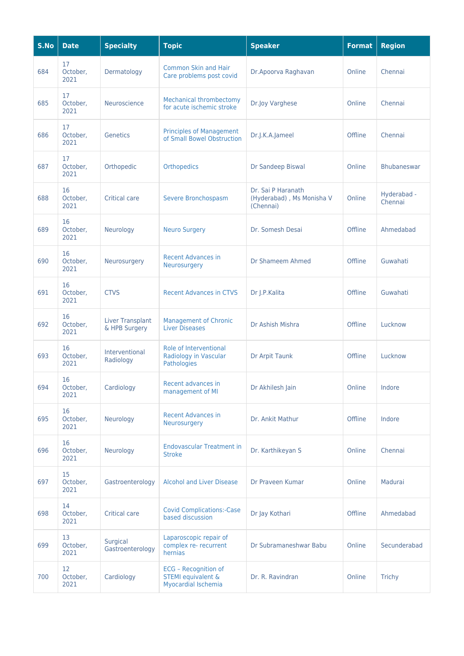| S.No | <b>Date</b>            | <b>Specialty</b>                         | <b>Topic</b>                                                             | <b>Speaker</b>                                               | <b>Format</b> | <b>Region</b>          |
|------|------------------------|------------------------------------------|--------------------------------------------------------------------------|--------------------------------------------------------------|---------------|------------------------|
| 684  | 17<br>October,<br>2021 | Dermatology                              | <b>Common Skin and Hair</b><br>Care problems post covid                  | Dr.Apoorva Raghavan                                          | Online        | Chennai                |
| 685  | 17<br>October,<br>2021 | Neuroscience                             | <b>Mechanical thrombectomy</b><br>for acute ischemic stroke              | Dr.Joy Varghese                                              | Online        | Chennai                |
| 686  | 17<br>October,<br>2021 | Genetics                                 | <b>Principles of Management</b><br>of Small Bowel Obstruction            | Dr.J.K.A.Jameel                                              | Offline       | Chennai                |
| 687  | 17<br>October,<br>2021 | Orthopedic                               | <b>Orthopedics</b>                                                       | Dr Sandeep Biswal                                            | Online        | <b>Bhubaneswar</b>     |
| 688  | 16<br>October,<br>2021 | <b>Critical care</b>                     | Severe Bronchospasm                                                      | Dr. Sai P Haranath<br>(Hyderabad), Ms Monisha V<br>(Chennai) | Online        | Hyderabad -<br>Chennai |
| 689  | 16<br>October,<br>2021 | Neurology                                | <b>Neuro Surgery</b>                                                     | Dr. Somesh Desai                                             | Offline       | Ahmedabad              |
| 690  | 16<br>October,<br>2021 | Neurosurgery                             | <b>Recent Advances in</b><br>Neurosurgery                                | Dr Shameem Ahmed                                             | Offline       | Guwahati               |
| 691  | 16<br>October,<br>2021 | <b>CTVS</b>                              | <b>Recent Advances in CTVS</b>                                           | Dr J.P.Kalita                                                | Offline       | Guwahati               |
| 692  | 16<br>October,<br>2021 | <b>Liver Transplant</b><br>& HPB Surgery | <b>Management of Chronic</b><br><b>Liver Diseases</b>                    | Dr Ashish Mishra                                             | Offline       | Lucknow                |
| 693  | 16<br>October,<br>2021 | Interventional<br>Radiology              | Role of Interventional<br>Radiology in Vascular<br>Pathologies           | Dr Arpit Taunk                                               | Offline       | Lucknow                |
| 694  | 16<br>October,<br>2021 | Cardiology                               | Recent advances in<br>management of MI                                   | Dr Akhilesh Jain                                             | Online        | Indore                 |
| 695  | 16<br>October,<br>2021 | Neurology                                | <b>Recent Advances in</b><br>Neurosurgery                                | Dr. Ankit Mathur                                             | Offline       | Indore                 |
| 696  | 16<br>October,<br>2021 | Neurology                                | <b>Endovascular Treatment in</b><br><b>Stroke</b>                        | Dr. Karthikeyan S                                            | Online        | Chennai                |
| 697  | 15<br>October,<br>2021 | Gastroenterology                         | <b>Alcohol and Liver Disease</b>                                         | Dr Praveen Kumar                                             | Online        | Madurai                |
| 698  | 14<br>October,<br>2021 | <b>Critical care</b>                     | <b>Covid Complications:-Case</b><br>based discussion                     | Dr Jay Kothari                                               | Offline       | Ahmedabad              |
| 699  | 13<br>October,<br>2021 | Surgical<br>Gastroenterology             | Laparoscopic repair of<br>complex re- recurrent<br>hernias               | Dr Subramaneshwar Babu                                       | Online        | Secunderabad           |
| 700  | 12<br>October,<br>2021 | Cardiology                               | ECG - Recognition of<br><b>STEMI</b> equivalent &<br>Myocardial Ischemia | Dr. R. Ravindran                                             | Online        | <b>Trichy</b>          |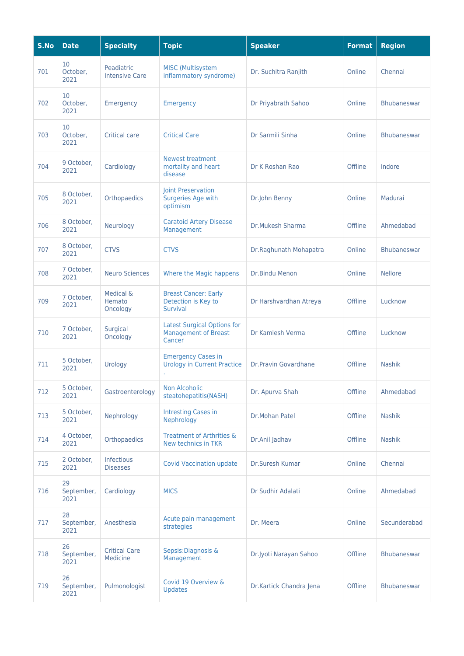| S.No | <b>Date</b>              | <b>Specialty</b>                    | <b>Topic</b>                                                                | <b>Speaker</b>          | <b>Format</b> | <b>Region</b>      |
|------|--------------------------|-------------------------------------|-----------------------------------------------------------------------------|-------------------------|---------------|--------------------|
| 701  | 10<br>October,<br>2021   | Peadiatric<br><b>Intensive Care</b> | <b>MISC</b> (Multisystem<br>inflammatory syndrome)                          | Dr. Suchitra Ranjith    | Online        | Chennai            |
| 702  | 10<br>October,<br>2021   | Emergency                           | Emergency                                                                   | Dr Priyabrath Sahoo     | Online        | <b>Bhubaneswar</b> |
| 703  | 10<br>October,<br>2021   | Critical care                       | <b>Critical Care</b>                                                        | Dr Sarmili Sinha        | Online        | <b>Bhubaneswar</b> |
| 704  | 9 October,<br>2021       | Cardiology                          | <b>Newest treatment</b><br>mortality and heart<br>disease                   | Dr K Roshan Rao         | Offline       | Indore             |
| 705  | 8 October,<br>2021       | Orthopaedics                        | Joint Preservation<br>Surgeries Age with<br>optimism                        | Dr.John Benny           | Online        | Madurai            |
| 706  | 8 October,<br>2021       | Neurology                           | <b>Caratoid Artery Disease</b><br>Management                                | Dr.Mukesh Sharma        | Offline       | Ahmedabad          |
| 707  | 8 October,<br>2021       | <b>CTVS</b>                         | <b>CTVS</b>                                                                 | Dr.Raghunath Mohapatra  | Online        | <b>Bhubaneswar</b> |
| 708  | 7 October,<br>2021       | <b>Neuro Sciences</b>               | Where the Magic happens                                                     | Dr.Bindu Menon          | Online        | <b>Nellore</b>     |
| 709  | 7 October,<br>2021       | Medical &<br>Hemato<br>Oncology     | <b>Breast Cancer: Early</b><br>Detection is Key to<br>Survival              | Dr Harshvardhan Atreya  | Offline       | Lucknow            |
| 710  | 7 October,<br>2021       | Surgical<br>Oncology                | <b>Latest Surgical Options for</b><br><b>Management of Breast</b><br>Cancer | Dr Kamlesh Verma        | Offline       | Lucknow            |
| 711  | 5 October,<br>2021       | Urology                             | <b>Emergency Cases in</b><br><b>Urology in Current Practice</b>             | Dr.Pravin Govardhane    | Offline       | <b>Nashik</b>      |
| 712  | 5 October,<br>2021       | Gastroenterology                    | <b>Non Alcoholic</b><br>steatohepatitis(NASH)                               | Dr. Apurva Shah         | Offline       | Ahmedabad          |
| 713  | 5 October,<br>2021       | Nephrology                          | <b>Intresting Cases in</b><br>Nephrology                                    | Dr.Mohan Patel          | Offline       | <b>Nashik</b>      |
| 714  | 4 October,<br>2021       | Orthopaedics                        | Treatment of Arthrities &<br>New technics in TKR                            | Dr.Anil Jadhav          | Offline       | <b>Nashik</b>      |
| 715  | 2 October,<br>2021       | Infectious<br><b>Diseases</b>       | <b>Covid Vaccination update</b>                                             | Dr.Suresh Kumar         | Online        | Chennai            |
| 716  | 29<br>September,<br>2021 | Cardiology                          | <b>MICS</b>                                                                 | Dr Sudhir Adalati       | Online        | Ahmedabad          |
| 717  | 28<br>September,<br>2021 | Anesthesia                          | Acute pain management<br>strategies                                         | Dr. Meera               | Online        | Secunderabad       |
| 718  | 26<br>September,<br>2021 | <b>Critical Care</b><br>Medicine    | Sepsis: Diagnosis &<br>Management                                           | Dr.Jyoti Narayan Sahoo  | Offline       | <b>Bhubaneswar</b> |
| 719  | 26<br>September,<br>2021 | Pulmonologist                       | Covid 19 Overview &<br><b>Updates</b>                                       | Dr.Kartick Chandra Jena | Offline       | <b>Bhubaneswar</b> |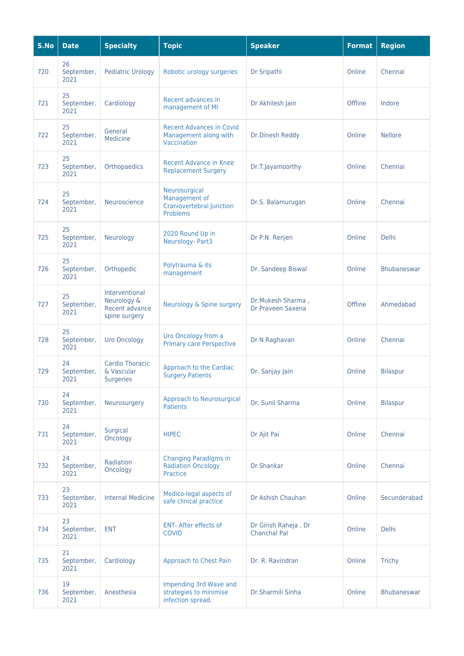| S.No | <b>Date</b>              | <b>Specialty</b>                                                 | <b>Topic</b>                                                                  | <b>Speaker</b>                              | <b>Format</b> | <b>Region</b>      |
|------|--------------------------|------------------------------------------------------------------|-------------------------------------------------------------------------------|---------------------------------------------|---------------|--------------------|
| 720  | 26<br>September,<br>2021 | <b>Pediatric Urology</b>                                         | Robotic urology surgeries                                                     | Dr Sripathi                                 | Online        | Chennai            |
| 721  | 25<br>September,<br>2021 | Cardiology                                                       | Recent advances in<br>management of MI                                        | Dr Akhilesh Jain                            | Offline       | Indore             |
| 722  | 25<br>September,<br>2021 | General<br>Medicine                                              | <b>Recent Advances in Covid</b><br>Management along with<br>Vaccination       | Dr.Dinesh Reddy                             | Online        | <b>Nellore</b>     |
| 723  | 25<br>September,<br>2021 | Orthopaedics                                                     | Recent Advance in Knee<br><b>Replacement Surgery</b>                          | Dr.T.Jayamoorthy                            | Online        | Chennai            |
| 724  | 25<br>September,<br>2021 | Neuroscience                                                     | Neurosurgical<br>Management of<br><b>Craniovertebral Junction</b><br>Problems | Dr.S. Balamurugan                           | Online        | Chennai            |
| 725  | 25<br>September,<br>2021 | Neurology                                                        | 2020 Round Up in<br>Neurology- Part3                                          | Dr P.N. Renjen                              | Online        | <b>Delhi</b>       |
| 726  | 25<br>September,<br>2021 | Orthopedic                                                       | Polytrauma & its<br>management                                                | Dr. Sandeep Biswal                          | Online        | <b>Bhubaneswar</b> |
| 727  | 25<br>September,<br>2021 | Interventional<br>Neurology &<br>Recent advance<br>spine surgery | Neurology & Spine surgery                                                     | Dr.Mukesh Sharma,<br>Dr.Praveen Saxena      | Offline       | Ahmedabad          |
| 728  | 25<br>September,<br>2021 | <b>Uro Oncology</b>                                              | Uro Oncology from a<br><b>Primary care Perspective</b>                        | Dr N Raghavan                               | Online        | Chennai            |
| 729  | 24<br>September,<br>2021 | <b>Cardio Thoracic</b><br>& Vascular<br><b>Surgeries</b>         | Approach to the Cardiac<br><b>Surgery Patients</b>                            | Dr. Sanjay Jain                             | Online        | <b>Bilaspur</b>    |
| 730  | 24<br>September,<br>2021 | Neurosurgery                                                     | <b>Approach to Neurosurgical</b><br><b>Patients</b>                           | Dr. Sunil Sharma                            | Online        | <b>Bilaspur</b>    |
| 731  | 24<br>September,<br>2021 | Surgical<br>Oncology                                             | <b>HIPEC</b>                                                                  | Dr Ajit Pai                                 | Online        | Chennai            |
| 732  | 24<br>September,<br>2021 | Radiation<br>Oncology                                            | <b>Changing Paradigms in</b><br><b>Radiation Oncology</b><br>Practice         | <b>Dr Shankar</b>                           | Online        | Chennai            |
| 733  | 23<br>September,<br>2021 | <b>Internal Medicine</b>                                         | Medico-legal aspects of<br>safe clinical practice                             | Dr Ashish Chauhan                           | Online        | Secunderabad       |
| 734  | 23<br>September,<br>2021 | <b>ENT</b>                                                       | <b>ENT- After effects of</b><br><b>COVID</b>                                  | Dr Girish Raheja, Dr<br><b>Chanchal Pal</b> | Online        | <b>Delhi</b>       |
| 735  | 21<br>September,<br>2021 | Cardiology                                                       | Approach to Chest Pain                                                        | Dr. R. Ravindran                            | Online        | Trichy             |
| 736  | 19<br>September,<br>2021 | Anesthesia                                                       | Impending 3rd Wave and<br>strategies to minimise<br>infection spread.         | Dr.Sharmili Sinha                           | Online        | <b>Bhubaneswar</b> |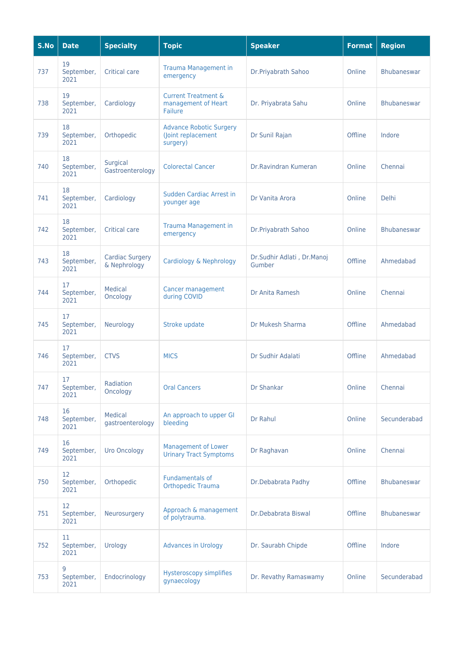| S.No | <b>Date</b>              | <b>Specialty</b>                       | <b>Topic</b>                                                            | <b>Speaker</b>                       | <b>Format</b> | <b>Region</b>      |
|------|--------------------------|----------------------------------------|-------------------------------------------------------------------------|--------------------------------------|---------------|--------------------|
| 737  | 19<br>September,<br>2021 | <b>Critical care</b>                   | <b>Trauma Management in</b><br>emergency                                | Dr.Priyabrath Sahoo                  | Online        | <b>Bhubaneswar</b> |
| 738  | 19<br>September,<br>2021 | Cardiology                             | <b>Current Treatment &amp;</b><br>management of Heart<br><b>Failure</b> | Dr. Priyabrata Sahu                  | Online        | <b>Bhubaneswar</b> |
| 739  | 18<br>September,<br>2021 | Orthopedic                             | <b>Advance Robotic Surgery</b><br>(Joint replacement<br>surgery)        | Dr Sunil Rajan                       | Offline       | Indore             |
| 740  | 18<br>September,<br>2021 | Surgical<br>Gastroenterology           | <b>Colorectal Cancer</b>                                                | Dr.Ravindran Kumeran                 | Online        | Chennai            |
| 741  | 18<br>September,<br>2021 | Cardiology                             | Sudden Cardiac Arrest in<br>younger age                                 | Dr Vanita Arora                      | Online        | <b>Delhi</b>       |
| 742  | 18<br>September,<br>2021 | <b>Critical care</b>                   | <b>Trauma Management in</b><br>emergency                                | Dr.Priyabrath Sahoo                  | Online        | <b>Bhubaneswar</b> |
| 743  | 18<br>September,<br>2021 | <b>Cardiac Surgery</b><br>& Nephrology | Cardiology & Nephrology                                                 | Dr.Sudhir Adlati, Dr.Manoj<br>Gumber | Offline       | Ahmedabad          |
| 744  | 17<br>September,<br>2021 | Medical<br>Oncology                    | <b>Cancer management</b><br>during COVID                                | Dr Anita Ramesh                      | Online        | Chennai            |
| 745  | 17<br>September,<br>2021 | Neurology                              | Stroke update                                                           | Dr Mukesh Sharma                     | Offline       | Ahmedabad          |
| 746  | 17<br>September,<br>2021 | <b>CTVS</b>                            | <b>MICS</b>                                                             | Dr Sudhir Adalati                    | Offline       | Ahmedabad          |
| 747  | 17<br>September,<br>2021 | Radiation<br>Oncology                  | <b>Oral Cancers</b>                                                     | Dr Shankar                           | Online        | Chennai            |
| 748  | 16<br>September,<br>2021 | Medical<br>gastroenterology            | An approach to upper GI<br>bleeding                                     | Dr Rahul                             | Online        | Secunderabad       |
| 749  | 16<br>September,<br>2021 | <b>Uro Oncology</b>                    | <b>Management of Lower</b><br><b>Urinary Tract Symptoms</b>             | Dr Raghavan                          | Online        | Chennai            |
| 750  | 12<br>September,<br>2021 | Orthopedic                             | <b>Fundamentals of</b><br><b>Orthopedic Trauma</b>                      | Dr.Debabrata Padhy                   | Offline       | Bhubaneswar        |
| 751  | 12<br>September,<br>2021 | Neurosurgery                           | Approach & management<br>of polytrauma.                                 | Dr.Debabrata Biswal                  | Offline       | Bhubaneswar        |
| 752  | 11<br>September,<br>2021 | Urology                                | <b>Advances in Urology</b>                                              | Dr. Saurabh Chipde                   | Offline       | Indore             |
| 753  | 9<br>September,<br>2021  | Endocrinology                          | <b>Hysteroscopy simplifies</b><br>gynaecology                           | Dr. Revathy Ramaswamy                | Online        | Secunderabad       |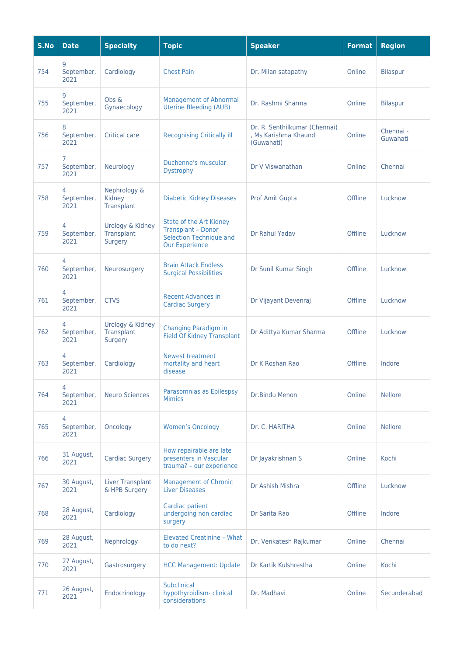| S.No | <b>Date</b>             | <b>Specialty</b>                          | <b>Topic</b>                                                                                             | <b>Speaker</b>                                                      | <b>Format</b> | <b>Region</b>         |
|------|-------------------------|-------------------------------------------|----------------------------------------------------------------------------------------------------------|---------------------------------------------------------------------|---------------|-----------------------|
| 754  | 9<br>September,<br>2021 | Cardiology                                | <b>Chest Pain</b>                                                                                        | Dr. Milan satapathy                                                 | Online        | <b>Bilaspur</b>       |
| 755  | 9<br>September,<br>2021 | Obs &<br>Gynaecology                      | <b>Management of Abnormal</b><br><b>Uterine Bleeding (AUB)</b>                                           | Dr. Rashmi Sharma                                                   | Online        | <b>Bilaspur</b>       |
| 756  | 8<br>September,<br>2021 | Critical care                             | <b>Recognising Critically ill</b>                                                                        | Dr. R. Senthilkumar (Chennai)<br>, Ms Karishma Khaund<br>(Guwahati) | Online        | Chennai -<br>Guwahati |
| 757  | 7<br>September,<br>2021 | Neurology                                 | Duchenne's muscular<br><b>Dystrophy</b>                                                                  | Dr V Viswanathan                                                    | Online        | Chennai               |
| 758  | 4<br>September,<br>2021 | Nephrology &<br>Kidney<br>Transplant      | <b>Diabetic Kidney Diseases</b>                                                                          | Prof Amit Gupta                                                     | Offline       | Lucknow               |
| 759  | 4<br>September,<br>2021 | Urology & Kidney<br>Transplant<br>Surgery | State of the Art Kidney<br><b>Transplant - Donor</b><br>Selection Technique and<br><b>Our Experience</b> | Dr Rahul Yadav                                                      | Offline       | Lucknow               |
| 760  | 4<br>September,<br>2021 | Neurosurgery                              | <b>Brain Attack Endless</b><br><b>Surgical Possibilities</b>                                             | Dr Sunil Kumar Singh                                                | Offline       | Lucknow               |
| 761  | 4<br>September,<br>2021 | <b>CTVS</b>                               | <b>Recent Advances in</b><br><b>Cardiac Surgery</b>                                                      | Dr Vijayant Devenraj                                                | Offline       | Lucknow               |
| 762  | 4<br>September,<br>2021 | Urology & Kidney<br>Transplant<br>Surgery | Changing Paradigm in<br><b>Field Of Kidney Transplant</b>                                                | Dr Adittya Kumar Sharma                                             | Offline       | Lucknow               |
| 763  | 4<br>September,<br>2021 | Cardiology                                | Newest treatment<br>mortality and heart<br>disease                                                       | Dr K Roshan Rao                                                     | Offline       | Indore                |
| 764  | 4<br>September,<br>2021 | <b>Neuro Sciences</b>                     | Parasomnias as Epilespsy<br><b>Mimics</b>                                                                | Dr.Bindu Menon                                                      | Online        | <b>Nellore</b>        |
| 765  | 4<br>September,<br>2021 | Oncology                                  | <b>Women's Oncology</b>                                                                                  | Dr. C. HARITHA                                                      | Online        | <b>Nellore</b>        |
| 766  | 31 August,<br>2021      | <b>Cardiac Surgery</b>                    | How repairable are late<br>presenters in Vascular<br>trauma? - our experience                            | Dr Jayakrishnan S                                                   | Online        | Kochi                 |
| 767  | 30 August,<br>2021      | <b>Liver Transplant</b><br>& HPB Surgery  | <b>Management of Chronic</b><br><b>Liver Diseases</b>                                                    | Dr Ashish Mishra                                                    | Offline       | Lucknow               |
| 768  | 28 August,<br>2021      | Cardiology                                | Cardiac patient<br>undergoing non cardiac<br>surgery                                                     | Dr Sarita Rao                                                       | Offline       | Indore                |
| 769  | 28 August,<br>2021      | Nephrology                                | <b>Elevated Creatinine - What</b><br>to do next?                                                         | Dr. Venkatesh Rajkumar                                              | Online        | Chennai               |
| 770  | 27 August,<br>2021      | Gastrosurgery                             | <b>HCC Management: Update</b>                                                                            | Dr Kartik Kulshrestha                                               | Online        | Kochi                 |
| 771  | 26 August,<br>2021      | Endocrinology                             | <b>Subclinical</b><br>hypothyroidism-clinical<br>considerations                                          | Dr. Madhavi                                                         | Online        | Secunderabad          |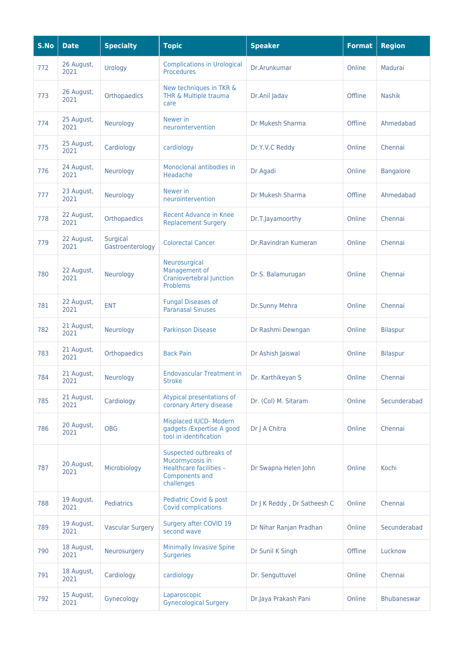| S.No | <b>Date</b>        | <b>Specialty</b>             | <b>Topic</b>                                                                                         | <b>Speaker</b>              | <b>Format</b> | <b>Region</b>      |
|------|--------------------|------------------------------|------------------------------------------------------------------------------------------------------|-----------------------------|---------------|--------------------|
| 772  | 26 August,<br>2021 | Urology                      | <b>Complications in Urological</b><br><b>Procedures</b>                                              | Dr.Arunkumar                | Online        | Madurai            |
| 773  | 26 August,<br>2021 | Orthopaedics                 | New techniques in TKR &<br>THR & Multiple trauma<br>care                                             | Dr.Anil Jadav               | Offline       | <b>Nashik</b>      |
| 774  | 25 August,<br>2021 | Neurology                    | Newer in<br>neurointervention                                                                        | Dr Mukesh Sharma            | Offline       | Ahmedabad          |
| 775  | 25 August,<br>2021 | Cardiology                   | cardiology                                                                                           | Dr.Y.V.C Reddy              | Online        | Chennai            |
| 776  | 24 August,<br>2021 | Neurology                    | Monoclonal antibodies in<br>Headache                                                                 | Dr Agadi                    | Online        | <b>Bangalore</b>   |
| 777  | 23 August,<br>2021 | Neurology                    | Newer in<br>neurointervention                                                                        | Dr Mukesh Sharma            | Offline       | Ahmedabad          |
| 778  | 22 August,<br>2021 | Orthopaedics                 | Recent Advance in Knee<br><b>Replacement Surgery</b>                                                 | Dr.T.Jayamoorthy            | Online        | Chennai            |
| 779  | 22 August,<br>2021 | Surgical<br>Gastroenterology | <b>Colorectal Cancer</b>                                                                             | Dr. Ravindran Kumeran       | Online        | Chennai            |
| 780  | 22 August,<br>2021 | Neurology                    | Neurosurgical<br>Management of<br><b>Craniovertebral Junction</b><br>Problems                        | Dr.S. Balamurugan           | Online        | Chennai            |
| 781  | 22 August,<br>2021 | <b>ENT</b>                   | <b>Fungal Diseases of</b><br><b>Paranasal Sinuses</b>                                                | Dr.Sunny Mehra              | Online        | Chennai            |
| 782  | 21 August,<br>2021 | Neurology                    | <b>Parkinson Disease</b>                                                                             | Dr Rashmi Dewngan           | Online        | <b>Bilaspur</b>    |
| 783  | 21 August,<br>2021 | Orthopaedics                 | <b>Back Pain</b>                                                                                     | Dr Ashish Jaiswal           | Online        | <b>Bilaspur</b>    |
| 784  | 21 August,<br>2021 | Neurology                    | <b>Endovascular Treatment in</b><br><b>Stroke</b>                                                    | Dr. Karthikeyan S           | Online        | Chennai            |
| 785  | 21 August,<br>2021 | Cardiology                   | Atypical presentations of<br>coronary Artery disease                                                 | Dr. (Col) M. Sitaram        | Online        | Secunderabad       |
| 786  | 20 August,<br>2021 | <b>OBG</b>                   | Misplaced IUCD- Modern<br>gadgets /Expertise A good<br>tool in identification                        | Dr J A Chitra               | Online        | Chennai            |
| 787  | 20 August,<br>2021 | Microbiology                 | Suspected outbreaks of<br>Mucormycosis in<br>Healthcare facilities -<br>Components and<br>challenges | Dr Swapna Helen John        | Online        | Kochi              |
| 788  | 19 August,<br>2021 | <b>Pediatrics</b>            | Pediatric Covid & post<br>Covid complications                                                        | Dr J K Reddy, Dr Satheesh C | Online        | Chennai            |
| 789  | 19 August,<br>2021 | <b>Vascular Surgery</b>      | Surgery after COVID 19<br>second wave                                                                | Dr Nihar Ranjan Pradhan     | Online        | Secunderabad       |
| 790  | 18 August,<br>2021 | Neurosurgery                 | <b>Minimally Invasive Spine</b><br><b>Surgeries</b>                                                  | Dr Sunil K Singh            | Offline       | Lucknow            |
| 791  | 18 August,<br>2021 | Cardiology                   | cardiology                                                                                           | Dr. Senguttuvel             | Online        | Chennai            |
| 792  | 15 August,<br>2021 | Gynecology                   | Laparoscopic<br><b>Gynecological Surgery</b>                                                         | Dr.Jaya Prakash Pani        | Online        | <b>Bhubaneswar</b> |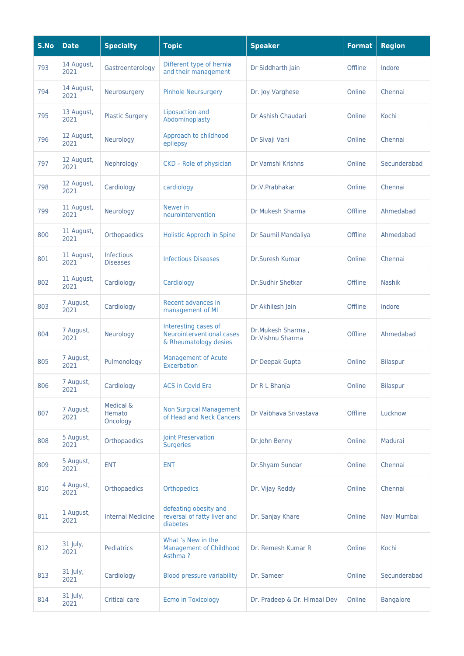| S.No | <b>Date</b>        | <b>Specialty</b>                | <b>Topic</b>                                                               | <b>Speaker</b>                        | <b>Format</b> | <b>Region</b>    |
|------|--------------------|---------------------------------|----------------------------------------------------------------------------|---------------------------------------|---------------|------------------|
| 793  | 14 August,<br>2021 | Gastroenterology                | Different type of hernia<br>and their management                           | Dr Siddharth Jain                     | Offline       | Indore           |
| 794  | 14 August,<br>2021 | Neurosurgery                    | <b>Pinhole Neursurgery</b>                                                 | Dr. Joy Varghese                      | Online        | Chennai          |
| 795  | 13 August,<br>2021 | <b>Plastic Surgery</b>          | <b>Liposuction and</b><br>Abdominoplasty                                   | Dr Ashish Chaudari                    | Online        | Kochi            |
| 796  | 12 August,<br>2021 | Neurology                       | Approach to childhood<br>epilepsy                                          | Dr Sivaji Vani                        | Online        | Chennai          |
| 797  | 12 August,<br>2021 | Nephrology                      | CKD - Role of physician                                                    | Dr Vamshi Krishns                     | Online        | Secunderabad     |
| 798  | 12 August,<br>2021 | Cardiology                      | cardiology                                                                 | Dr.V.Prabhakar                        | Online        | Chennai          |
| 799  | 11 August,<br>2021 | Neurology                       | Newer in<br>neurointervention                                              | Dr Mukesh Sharma                      | Offline       | Ahmedabad        |
| 800  | 11 August,<br>2021 | Orthopaedics                    | <b>Holistic Approch in Spine</b>                                           | Dr Saumil Mandaliya                   | Offline       | Ahmedabad        |
| 801  | 11 August,<br>2021 | Infectious<br><b>Diseases</b>   | <b>Infectious Diseases</b>                                                 | Dr.Suresh Kumar                       | Online        | Chennai          |
| 802  | 11 August,<br>2021 | Cardiology                      | Cardiology                                                                 | <b>Dr.Sudhir Shetkar</b>              | Offline       | <b>Nashik</b>    |
| 803  | 7 August,<br>2021  | Cardiology                      | Recent advances in<br>management of MI                                     | Dr Akhilesh Jain                      | Offline       | Indore           |
| 804  | 7 August,<br>2021  | Neurology                       | Interesting cases of<br>Neurointerventional cases<br>& Rheumatology desies | Dr.Mukesh Sharma,<br>Dr.Vishnu Sharma | Offline       | Ahmedabad        |
| 805  | 7 August,<br>2021  | Pulmonology                     | <b>Management of Acute</b><br>Excerbation                                  | Dr Deepak Gupta                       | Online        | <b>Bilaspur</b>  |
| 806  | 7 August,<br>2021  | Cardiology                      | <b>ACS in Covid Era</b>                                                    | Dr R L Bhanja                         | Online        | <b>Bilaspur</b>  |
| 807  | 7 August,<br>2021  | Medical &<br>Hemato<br>Oncology | <b>Non Surgical Management</b><br>of Head and Neck Cancers                 | Dr Vaibhava Srivastava                | Offline       | Lucknow          |
| 808  | 5 August,<br>2021  | Orthopaedics                    | Joint Preservation<br><b>Surgeries</b>                                     | Dr.John Benny                         | Online        | Madurai          |
| 809  | 5 August,<br>2021  | <b>ENT</b>                      | <b>ENT</b>                                                                 | Dr.Shyam Sundar                       | Online        | Chennai          |
| 810  | 4 August,<br>2021  | Orthopaedics                    | <b>Orthopedics</b>                                                         | Dr. Vijay Reddy                       | Online        | Chennai          |
| 811  | 1 August,<br>2021  | <b>Internal Medicine</b>        | defeating obesity and<br>reversal of fatty liver and<br>diabetes           | Dr. Sanjay Khare                      | Online        | Navi Mumbai      |
| 812  | 31 July,<br>2021   | Pediatrics                      | What 's New in the<br><b>Management of Childhood</b><br>Asthma?            | Dr. Remesh Kumar R                    | Online        | Kochi            |
| 813  | 31 July,<br>2021   | Cardiology                      | <b>Blood pressure variability</b>                                          | Dr. Sameer                            | Online        | Secunderabad     |
| 814  | 31 July,<br>2021   | Critical care                   | <b>Ecmo in Toxicology</b>                                                  | Dr. Pradeep & Dr. Himaal Dev          | Online        | <b>Bangalore</b> |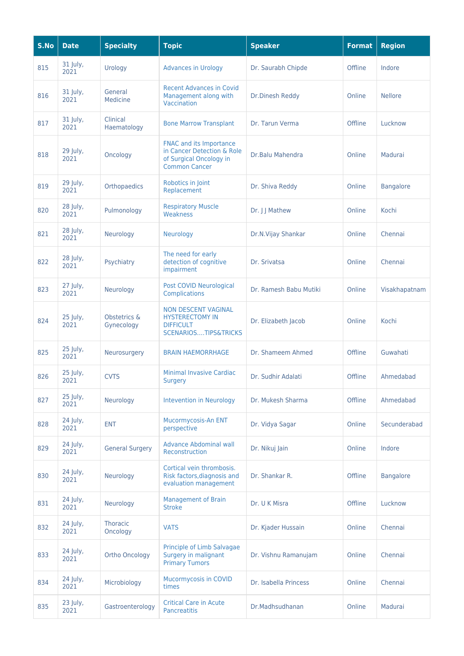| S.No | <b>Date</b>      | <b>Specialty</b>            | <b>Topic</b>                                                                                                    | <b>Speaker</b>         | <b>Format</b> | <b>Region</b>    |
|------|------------------|-----------------------------|-----------------------------------------------------------------------------------------------------------------|------------------------|---------------|------------------|
| 815  | 31 July,<br>2021 | Urology                     | <b>Advances in Urology</b>                                                                                      | Dr. Saurabh Chipde     | Offline       | Indore           |
| 816  | 31 July,<br>2021 | General<br>Medicine         | <b>Recent Advances in Covid</b><br>Management along with<br>Vaccination                                         | Dr.Dinesh Reddy        | Online        | <b>Nellore</b>   |
| 817  | 31 July,<br>2021 | Clinical<br>Haematology     | <b>Bone Marrow Transplant</b>                                                                                   | Dr. Tarun Verma        | Offline       | Lucknow          |
| 818  | 29 July,<br>2021 | Oncology                    | <b>FNAC and its Importance</b><br>in Cancer Detection & Role<br>of Surgical Oncology in<br><b>Common Cancer</b> | Dr.Balu Mahendra       | Online        | Madurai          |
| 819  | 29 July,<br>2021 | Orthopaedics                | Robotics in Joint<br>Replacement                                                                                | Dr. Shiva Reddy        | Online        | <b>Bangalore</b> |
| 820  | 28 July,<br>2021 | Pulmonology                 | <b>Respiratory Muscle</b><br>Weakness                                                                           | Dr. J J Mathew         | Online        | Kochi            |
| 821  | 28 July,<br>2021 | Neurology                   | Neurology                                                                                                       | Dr.N.Vijay Shankar     | Online        | Chennai          |
| 822  | 28 July,<br>2021 | Psychiatry                  | The need for early<br>detection of cognitive<br>impairment                                                      | Dr. Srivatsa           | Online        | Chennai          |
| 823  | 27 July,<br>2021 | Neurology                   | Post COVID Neurological<br><b>Complications</b>                                                                 | Dr. Ramesh Babu Mutiki | Online        | Visakhapatnam    |
| 824  | 25 July,<br>2021 | Obstetrics &<br>Gynecology  | <b>NON DESCENT VAGINAL</b><br><b>HYSTERECTOMY IN</b><br><b>DIFFICULT</b><br><b>SCENARIOSTIPS&amp;TRICKS</b>     | Dr. Elizabeth Jacob    | Online        | Kochi            |
| 825  | 25 July,<br>2021 | Neurosurgery                | <b>BRAIN HAEMORRHAGE</b>                                                                                        | Dr. Shameem Ahmed      | Offline       | Guwahati         |
| 826  | 25 July,<br>2021 | <b>CVTS</b>                 | <b>Minimal Invasive Cardiac</b><br><b>Surgery</b>                                                               | Dr. Sudhir Adalati     | Offline       | Ahmedabad        |
| 827  | 25 July,<br>2021 | Neurology                   | Intevention in Neurology                                                                                        | Dr. Mukesh Sharma      | Offline       | Ahmedabad        |
| 828  | 24 July,<br>2021 | <b>ENT</b>                  | Mucormycosis-An ENT<br>perspective                                                                              | Dr. Vidya Sagar        | Online        | Secunderabad     |
| 829  | 24 July,<br>2021 | <b>General Surgery</b>      | <b>Advance Abdominal wall</b><br>Reconstruction                                                                 | Dr. Nikuj Jain         | Online        | Indore           |
| 830  | 24 July,<br>2021 | Neurology                   | Cortical vein thrombosis.<br>Risk factors, diagnosis and<br>evaluation management                               | Dr. Shankar R.         | Offline       | <b>Bangalore</b> |
| 831  | 24 July,<br>2021 | Neurology                   | <b>Management of Brain</b><br><b>Stroke</b>                                                                     | Dr. U K Misra          | Offline       | Lucknow          |
| 832  | 24 July,<br>2021 | <b>Thoracic</b><br>Oncology | <b>VATS</b>                                                                                                     | Dr. Kjader Hussain     | Online        | Chennai          |
| 833  | 24 July,<br>2021 | <b>Ortho Oncology</b>       | Principle of Limb Salvagae<br>Surgery in malignant<br><b>Primary Tumors</b>                                     | Dr. Vishnu Ramanujam   | Online        | Chennai          |
| 834  | 24 July,<br>2021 | Microbiology                | Mucormycosis in COVID<br>times                                                                                  | Dr. Isabella Princess  | Online        | Chennai          |
| 835  | 23 July,<br>2021 | Gastroenterology            | <b>Critical Care in Acute</b><br><b>Pancreatitis</b>                                                            | Dr.Madhsudhanan        | Online        | Madurai          |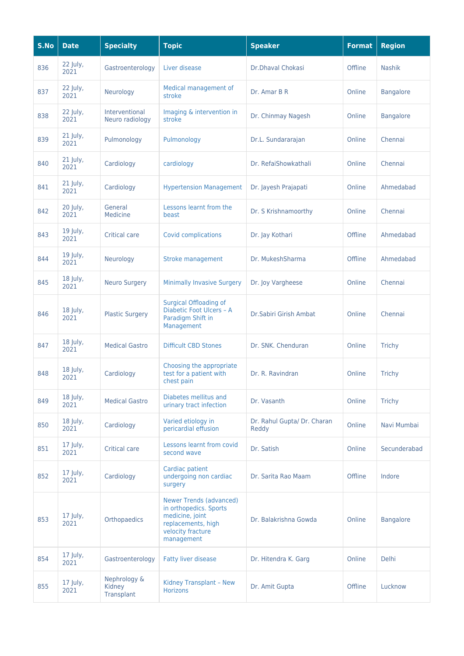| S.No | <b>Date</b>      | <b>Specialty</b>                     | <b>Topic</b>                                                                                                                         | <b>Speaker</b>                       | <b>Format</b> | <b>Region</b>    |
|------|------------------|--------------------------------------|--------------------------------------------------------------------------------------------------------------------------------------|--------------------------------------|---------------|------------------|
| 836  | 22 July,<br>2021 | Gastroenterology                     | Liver disease                                                                                                                        | Dr.Dhaval Chokasi                    | Offline       | <b>Nashik</b>    |
| 837  | 22 July,<br>2021 | Neurology                            | Medical management of<br>stroke                                                                                                      | Dr. Amar B R                         | Online        | <b>Bangalore</b> |
| 838  | 22 July,<br>2021 | Interventional<br>Neuro radiology    | Imaging & intervention in<br>stroke                                                                                                  | Dr. Chinmay Nagesh                   | Online        | <b>Bangalore</b> |
| 839  | 21 July,<br>2021 | Pulmonology                          | Pulmonology                                                                                                                          | Dr.L. Sundararajan                   | Online        | Chennai          |
| 840  | 21 July,<br>2021 | Cardiology                           | cardiology                                                                                                                           | Dr. RefaiShowkathali                 | Online        | Chennai          |
| 841  | 21 July,<br>2021 | Cardiology                           | <b>Hypertension Management</b>                                                                                                       | Dr. Jayesh Prajapati                 | Online        | Ahmedabad        |
| 842  | 20 July,<br>2021 | General<br>Medicine                  | Lessons learnt from the<br>beast                                                                                                     | Dr. S Krishnamoorthy                 | Online        | Chennai          |
| 843  | 19 July,<br>2021 | <b>Critical care</b>                 | Covid complications                                                                                                                  | Dr. Jay Kothari                      | Offline       | Ahmedabad        |
| 844  | 19 July,<br>2021 | Neurology                            | Stroke management                                                                                                                    | Dr. MukeshSharma                     | Offline       | Ahmedabad        |
| 845  | 18 July,<br>2021 | <b>Neuro Surgery</b>                 | <b>Minimally Invasive Surgery</b>                                                                                                    | Dr. Joy Vargheese                    | Online        | Chennai          |
| 846  | 18 July,<br>2021 | <b>Plastic Surgery</b>               | <b>Surgical Offloading of</b><br>Diabetic Foot Ulcers - A<br>Paradigm Shift in<br>Management                                         | Dr.Sabiri Girish Ambat               | Online        | Chennai          |
| 847  | 18 July,<br>2021 | <b>Medical Gastro</b>                | <b>Difficult CBD Stones</b>                                                                                                          | Dr. SNK. Chenduran                   | Online        | <b>Trichy</b>    |
| 848  | 18 July,<br>2021 | Cardiology                           | Choosing the appropriate<br>test for a patient with<br>chest pain                                                                    | Dr. R. Ravindran                     | Online        | <b>Trichy</b>    |
| 849  | 18 July,<br>2021 | <b>Medical Gastro</b>                | Diabetes mellitus and<br>urinary tract infection                                                                                     | Dr. Vasanth                          | Online        | <b>Trichy</b>    |
| 850  | 18 July,<br>2021 | Cardiology                           | Varied etiology in<br>pericardial effusion                                                                                           | Dr. Rahul Gupta/ Dr. Charan<br>Reddy | Online        | Navi Mumbai      |
| 851  | 17 July,<br>2021 | <b>Critical care</b>                 | Lessons learnt from covid<br>second wave                                                                                             | Dr. Satish                           | Online        | Secunderabad     |
| 852  | 17 July,<br>2021 | Cardiology                           | Cardiac patient<br>undergoing non cardiac<br>surgery                                                                                 | Dr. Sarita Rao Maam                  | Offline       | Indore           |
| 853  | 17 July,<br>2021 | Orthopaedics                         | <b>Newer Trends (advanced)</b><br>in orthopedics. Sports<br>medicine, joint<br>replacements, high<br>velocity fracture<br>management | Dr. Balakrishna Gowda                | Online        | <b>Bangalore</b> |
| 854  | 17 July,<br>2021 | Gastroenterology                     | <b>Fatty liver disease</b>                                                                                                           | Dr. Hitendra K. Garg                 | Online        | <b>Delhi</b>     |
| 855  | 17 July,<br>2021 | Nephrology &<br>Kidney<br>Transplant | Kidney Transplant - New<br><b>Horizons</b>                                                                                           | Dr. Amit Gupta                       | Offline       | Lucknow          |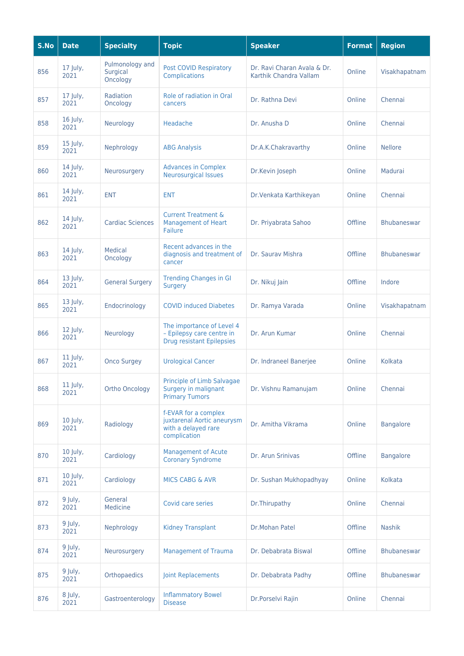| S.No | <b>Date</b>      | <b>Specialty</b>                        | <b>Topic</b>                                                                               | <b>Speaker</b>                                        | <b>Format</b> | <b>Region</b>      |
|------|------------------|-----------------------------------------|--------------------------------------------------------------------------------------------|-------------------------------------------------------|---------------|--------------------|
| 856  | 17 July,<br>2021 | Pulmonology and<br>Surgical<br>Oncology | <b>Post COVID Respiratory</b><br>Complications                                             | Dr. Ravi Charan Avala & Dr.<br>Karthik Chandra Vallam | Online        | Visakhapatnam      |
| 857  | 17 July,<br>2021 | Radiation<br>Oncology                   | Role of radiation in Oral<br>cancers                                                       | Dr. Rathna Devi                                       | Online        | Chennai            |
| 858  | 16 July,<br>2021 | Neurology                               | Headache                                                                                   | Dr. Anusha D                                          | Online        | Chennai            |
| 859  | 15 July,<br>2021 | Nephrology                              | <b>ABG Analysis</b>                                                                        | Dr.A.K.Chakravarthy                                   | Online        | <b>Nellore</b>     |
| 860  | 14 July,<br>2021 | Neurosurgery                            | <b>Advances in Complex</b><br><b>Neurosurgical Issues</b>                                  | Dr.Kevin Joseph                                       | Online        | Madurai            |
| 861  | 14 July,<br>2021 | <b>ENT</b>                              | <b>ENT</b>                                                                                 | Dr. Venkata Karthikeyan                               | Online        | Chennai            |
| 862  | 14 July,<br>2021 | <b>Cardiac Sciences</b>                 | <b>Current Treatment &amp;</b><br><b>Management of Heart</b><br><b>Failure</b>             | Dr. Priyabrata Sahoo                                  | Offline       | <b>Bhubaneswar</b> |
| 863  | 14 July,<br>2021 | Medical<br>Oncology                     | Recent advances in the<br>diagnosis and treatment of<br>cancer                             | Dr. Sauray Mishra                                     | Offline       | <b>Bhubaneswar</b> |
| 864  | 13 July,<br>2021 | <b>General Surgery</b>                  | <b>Trending Changes in GI</b><br>Surgery                                                   | Dr. Nikuj Jain                                        | Offline       | Indore             |
| 865  | 13 July,<br>2021 | Endocrinology                           | <b>COVID induced Diabetes</b>                                                              | Dr. Ramya Varada                                      | Online        | Visakhapatnam      |
| 866  | 12 July,<br>2021 | Neurology                               | The importance of Level 4<br>- Epilepsy care centre in<br><b>Drug resistant Epilepsies</b> | Dr. Arun Kumar                                        | Online        | Chennai            |
| 867  | 11 July,<br>2021 | <b>Onco Surgey</b>                      | <b>Urological Cancer</b>                                                                   | Dr. Indraneel Banerjee                                | Online        | Kolkata            |
| 868  | 11 July,<br>2021 | <b>Ortho Oncology</b>                   | Principle of Limb Salvagae<br>Surgery in malignant<br><b>Primary Tumors</b>                | Dr. Vishnu Ramanujam                                  | Online        | Chennai            |
| 869  | 10 July,<br>2021 | Radiology                               | f-EVAR for a complex<br>juxtarenal Aortic aneurysm<br>with a delayed rare<br>complication  | Dr. Amitha Vikrama                                    | Online        | <b>Bangalore</b>   |
| 870  | 10 July,<br>2021 | Cardiology                              | <b>Management of Acute</b><br><b>Coronary Syndrome</b>                                     | Dr. Arun Srinivas                                     | Offline       | <b>Bangalore</b>   |
| 871  | 10 July,<br>2021 | Cardiology                              | <b>MICS CABG &amp; AVR</b>                                                                 | Dr. Sushan Mukhopadhyay                               | Online        | Kolkata            |
| 872  | 9 July,<br>2021  | General<br>Medicine                     | Covid care series                                                                          | Dr.Thirupathy                                         | Online        | Chennai            |
| 873  | 9 July,<br>2021  | Nephrology                              | <b>Kidney Transplant</b>                                                                   | Dr.Mohan Patel                                        | Offline       | <b>Nashik</b>      |
| 874  | 9 July,<br>2021  | Neurosurgery                            | <b>Management of Trauma</b>                                                                | Dr. Debabrata Biswal                                  | Offline       | Bhubaneswar        |
| 875  | 9 July,<br>2021  | Orthopaedics                            | <b>Joint Replacements</b>                                                                  | Dr. Debabrata Padhy                                   | Offline       | Bhubaneswar        |
| 876  | 8 July,<br>2021  | Gastroenterology                        | <b>Inflammatory Bowel</b><br><b>Disease</b>                                                | Dr.Porselvi Rajin                                     | Online        | Chennai            |